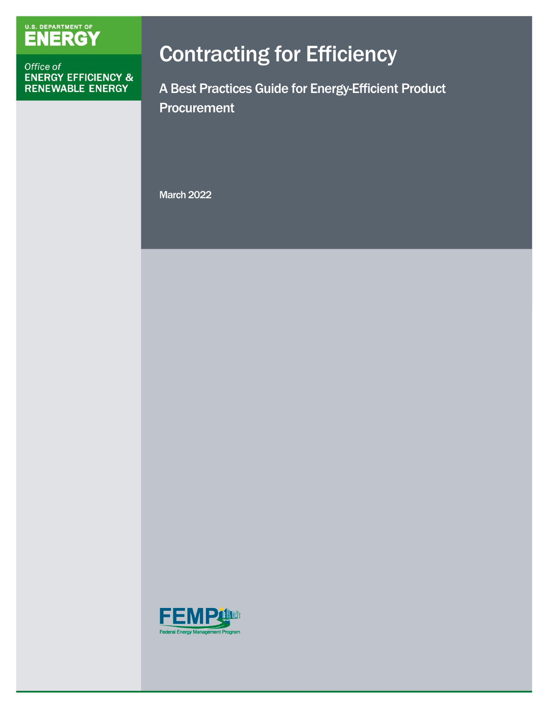# U.S. DEPARTMENT OF

Office of **ENERGY EFFICIENCY &** RENEWABLE ENERGY

# Contracting for Efficiency

A Best Practices Guide for Energy-Efficient Product **Procurement** 

March 2022

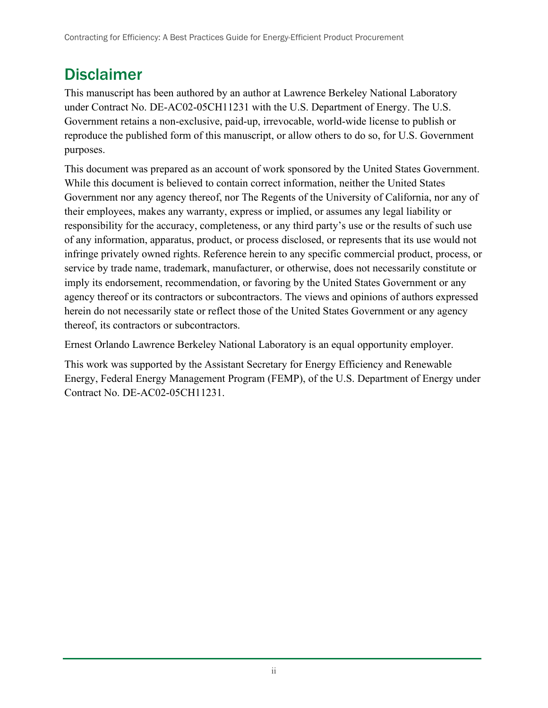## Disclaimer

This manuscript has been authored by an author at Lawrence Berkeley National Laboratory under Contract No. DE-AC02-05CH11231 with the U.S. Department of Energy. The U.S. Government retains a non-exclusive, paid-up, irrevocable, world-wide license to publish or reproduce the published form of this manuscript, or allow others to do so, for U.S. Government purposes.

This document was prepared as an account of work sponsored by the United States Government. While this document is believed to contain correct information, neither the United States Government nor any agency thereof, nor The Regents of the University of California, nor any of their employees, makes any warranty, express or implied, or assumes any legal liability or responsibility for the accuracy, completeness, or any third party's use or the results of such use of any information, apparatus, product, or process disclosed, or represents that its use would not infringe privately owned rights. Reference herein to any specific commercial product, process, or service by trade name, trademark, manufacturer, or otherwise, does not necessarily constitute or imply its endorsement, recommendation, or favoring by the United States Government or any agency thereof or its contractors or subcontractors. The views and opinions of authors expressed herein do not necessarily state or reflect those of the United States Government or any agency thereof, its contractors or subcontractors.

Ernest Orlando Lawrence Berkeley National Laboratory is an equal opportunity employer.

This work was supported by the Assistant Secretary for Energy Efficiency and Renewable Energy, Federal Energy Management Program (FEMP), of the U.S. Department of Energy under Contract No. DE-AC02-05CH11231.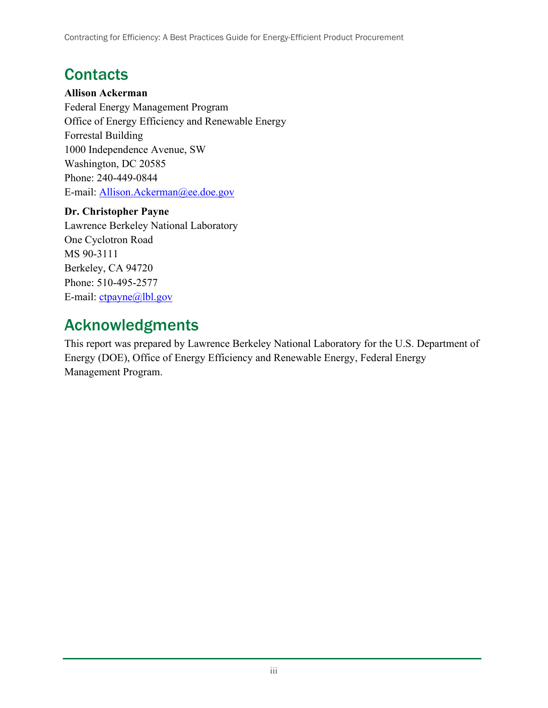## **Contacts**

#### **Allison Ackerman**

Federal Energy Management Program Office of Energy Efficiency and Renewable Energy Forrestal Building 1000 Independence Avenue, SW Washington, DC 20585 Phone: 240-449-0844 E-mail: [Allison.Ackerman@ee.doe.gov](mailto:Allison.Ackerman@ee.doe.gov)

#### **Dr. Christopher Payne**

Lawrence Berkeley National Laboratory One Cyclotron Road MS 90-3111 Berkeley, CA 94720 Phone: 510-495-2577 E-mail: [ctpayne@lbl.gov](mailto:ctpayne@lbl.gov)

## Acknowledgments

This report was prepared by Lawrence Berkeley National Laboratory for the U.S. Department of Energy (DOE), Office of Energy Efficiency and Renewable Energy, Federal Energy Management Program.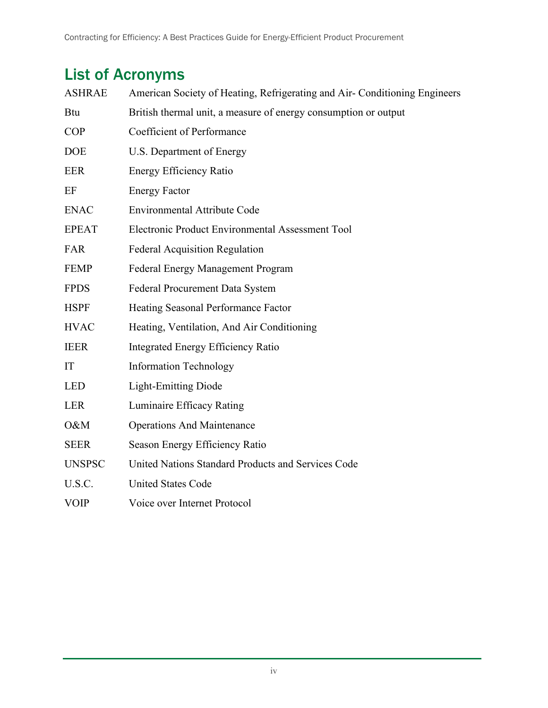## List of Acronyms

| <b>ASHRAE</b> | American Society of Heating, Refrigerating and Air- Conditioning Engineers |  |  |  |
|---------------|----------------------------------------------------------------------------|--|--|--|
| <b>Btu</b>    | British thermal unit, a measure of energy consumption or output            |  |  |  |
| <b>COP</b>    | Coefficient of Performance                                                 |  |  |  |
| <b>DOE</b>    | U.S. Department of Energy                                                  |  |  |  |
| <b>EER</b>    | Energy Efficiency Ratio                                                    |  |  |  |
| EF            | <b>Energy Factor</b>                                                       |  |  |  |
| <b>ENAC</b>   | <b>Environmental Attribute Code</b>                                        |  |  |  |
| <b>EPEAT</b>  | Electronic Product Environmental Assessment Tool                           |  |  |  |
| FAR           | <b>Federal Acquisition Regulation</b>                                      |  |  |  |
| <b>FEMP</b>   | Federal Energy Management Program                                          |  |  |  |
| <b>FPDS</b>   | Federal Procurement Data System                                            |  |  |  |
| <b>HSPF</b>   | Heating Seasonal Performance Factor                                        |  |  |  |
| <b>HVAC</b>   | Heating, Ventilation, And Air Conditioning                                 |  |  |  |
| <b>IEER</b>   | <b>Integrated Energy Efficiency Ratio</b>                                  |  |  |  |
| IT            | <b>Information Technology</b>                                              |  |  |  |
| <b>LED</b>    | <b>Light-Emitting Diode</b>                                                |  |  |  |
| <b>LER</b>    | Luminaire Efficacy Rating                                                  |  |  |  |
| O&M           | <b>Operations And Maintenance</b>                                          |  |  |  |
| <b>SEER</b>   | Season Energy Efficiency Ratio                                             |  |  |  |
| <b>UNSPSC</b> | United Nations Standard Products and Services Code                         |  |  |  |
| U.S.C.        | <b>United States Code</b>                                                  |  |  |  |
| <b>VOIP</b>   | Voice over Internet Protocol                                               |  |  |  |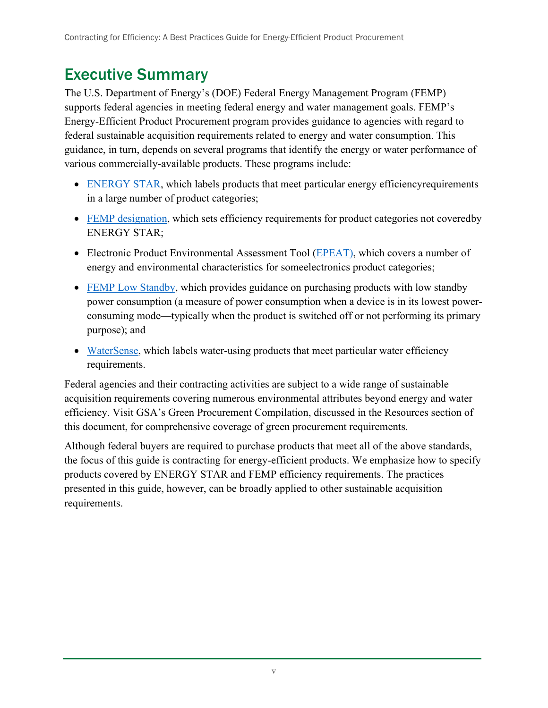## Executive Summary

The U.S. Department of Energy's (DOE) Federal Energy Management Program (FEMP) supports federal agencies in meeting federal energy and water management goals. FEMP's Energy-Efficient Product Procurement program provides guidance to agencies with regard to federal sustainable acquisition requirements related to energy and water consumption. This guidance, in turn, depends on several programs that identify the energy or water performance of various commercially-available products. These programs include:

- [ENERGY STAR,](http://www.energystar.gov/) which labels products that meet particular energy efficiency requirements in a large number of product categories;
- [FEMP designation,](https://www.energy.gov/eere/femp/designating-efficiency-levels-product-categories) which sets efficiency requirements for product categories not coveredby ENERGY STAR;
- Electronic Product Environmental Assessment Tool [\(EPEAT\)](http://www.epeat.net/about-epeat/), which covers a number of energy and environmental characteristics for someelectronics product categories;
- [FEMP Low Standby,](https://www.energy.gov/eere/femp/low-standby-power-products) which provides guidance on purchasing products with low standby power consumption (a measure of power consumption when a device is in its lowest powerconsuming mode—typically when the product is switched off or not performing its primary purpose); and
- [WaterSense,](http://www.epa.gov/watersense/) which labels water-using products that meet particular water efficiency requirements.

Federal agencies and their contracting activities are subject to a wide range of sustainable acquisition requirements covering numerous environmental attributes beyond energy and water efficiency. Visit GSA's Green Procurement Compilation, discussed in the Resources section of this document, for comprehensive coverage of green procurement requirements.

Although federal buyers are required to purchase products that meet all of the above standards, the focus of this guide is contracting for energy-efficient products. We emphasize how to specify products covered by ENERGY STAR and FEMP efficiency requirements. The practices presented in this guide, however, can be broadly applied to other sustainable acquisition requirements.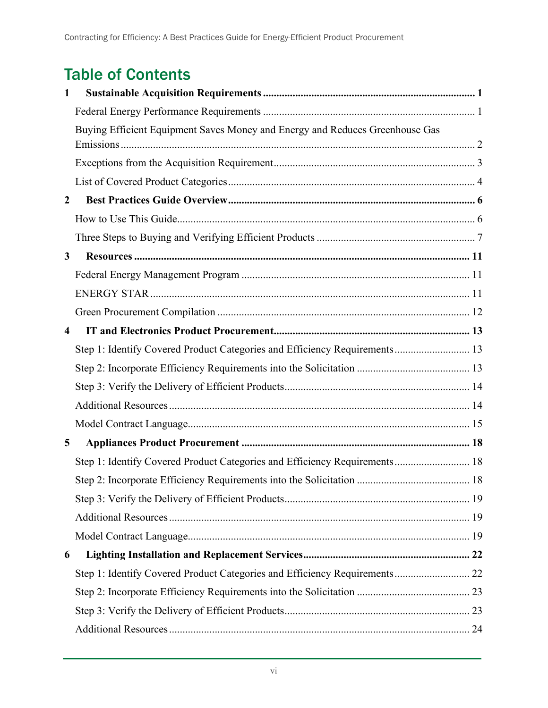## Table of Contents

| 1                |                                                                              |  |
|------------------|------------------------------------------------------------------------------|--|
|                  |                                                                              |  |
|                  | Buying Efficient Equipment Saves Money and Energy and Reduces Greenhouse Gas |  |
|                  |                                                                              |  |
|                  |                                                                              |  |
|                  |                                                                              |  |
| $\boldsymbol{2}$ |                                                                              |  |
|                  |                                                                              |  |
|                  |                                                                              |  |
| 3                |                                                                              |  |
|                  |                                                                              |  |
|                  |                                                                              |  |
|                  |                                                                              |  |
| $\overline{4}$   |                                                                              |  |
|                  | Step 1: Identify Covered Product Categories and Efficiency Requirements 13   |  |
|                  |                                                                              |  |
|                  |                                                                              |  |
|                  |                                                                              |  |
|                  |                                                                              |  |
| 5                |                                                                              |  |
|                  | Step 1: Identify Covered Product Categories and Efficiency Requirements 18   |  |
|                  |                                                                              |  |
|                  |                                                                              |  |
|                  |                                                                              |  |
|                  |                                                                              |  |
| 6                |                                                                              |  |
|                  | Step 1: Identify Covered Product Categories and Efficiency Requirements 22   |  |
|                  |                                                                              |  |
|                  |                                                                              |  |
|                  |                                                                              |  |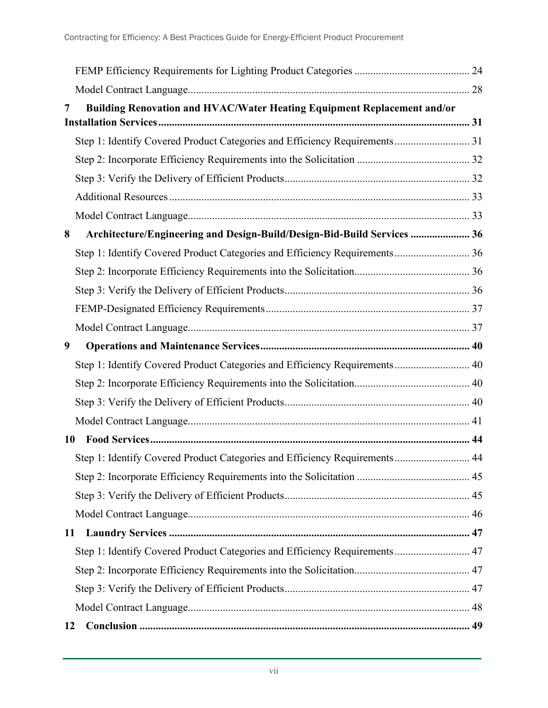| 7  | Building Renovation and HVAC/Water Heating Equipment Replacement and/or    |  |
|----|----------------------------------------------------------------------------|--|
|    |                                                                            |  |
|    | Step 1: Identify Covered Product Categories and Efficiency Requirements 31 |  |
|    |                                                                            |  |
|    |                                                                            |  |
|    |                                                                            |  |
|    |                                                                            |  |
| 8  | Architecture/Engineering and Design-Build/Design-Bid-Build Services  36    |  |
|    | Step 1: Identify Covered Product Categories and Efficiency Requirements 36 |  |
|    |                                                                            |  |
|    |                                                                            |  |
|    |                                                                            |  |
|    |                                                                            |  |
| 9  |                                                                            |  |
|    | Step 1: Identify Covered Product Categories and Efficiency Requirements 40 |  |
|    |                                                                            |  |
|    |                                                                            |  |
|    |                                                                            |  |
| 10 |                                                                            |  |
|    | Step 1: Identify Covered Product Categories and Efficiency Requirements 44 |  |
|    |                                                                            |  |
|    |                                                                            |  |
|    |                                                                            |  |
|    | 11                                                                         |  |
|    | Step 1: Identify Covered Product Categories and Efficiency Requirements 47 |  |
|    |                                                                            |  |
|    |                                                                            |  |
|    |                                                                            |  |
| 12 |                                                                            |  |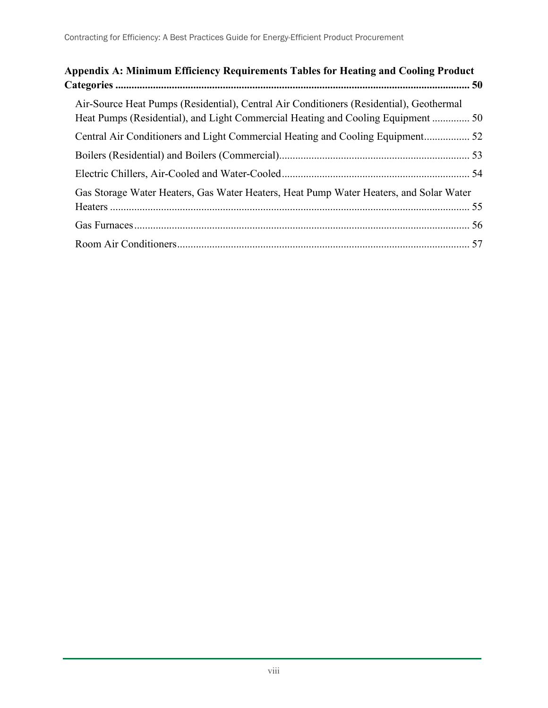| Appendix A: Minimum Efficiency Requirements Tables for Heating and Cooling Product                                                                                          |  |
|-----------------------------------------------------------------------------------------------------------------------------------------------------------------------------|--|
| Air-Source Heat Pumps (Residential), Central Air Conditioners (Residential), Geothermal<br>Heat Pumps (Residential), and Light Commercial Heating and Cooling Equipment  50 |  |
|                                                                                                                                                                             |  |
|                                                                                                                                                                             |  |
|                                                                                                                                                                             |  |
| Gas Storage Water Heaters, Gas Water Heaters, Heat Pump Water Heaters, and Solar Water                                                                                      |  |
|                                                                                                                                                                             |  |
|                                                                                                                                                                             |  |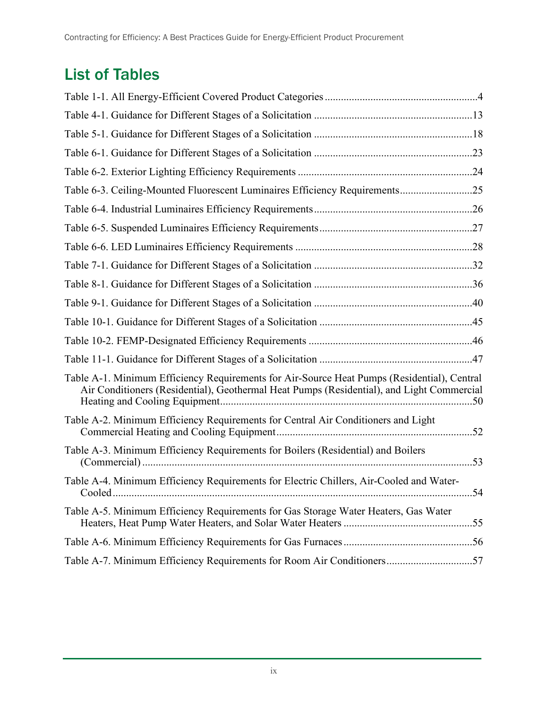## List of Tables

| Table 6-3. Ceiling-Mounted Fluorescent Luminaires Efficiency Requirements25                                                                                                              |  |
|------------------------------------------------------------------------------------------------------------------------------------------------------------------------------------------|--|
|                                                                                                                                                                                          |  |
|                                                                                                                                                                                          |  |
|                                                                                                                                                                                          |  |
|                                                                                                                                                                                          |  |
|                                                                                                                                                                                          |  |
|                                                                                                                                                                                          |  |
|                                                                                                                                                                                          |  |
|                                                                                                                                                                                          |  |
|                                                                                                                                                                                          |  |
| Table A-1. Minimum Efficiency Requirements for Air-Source Heat Pumps (Residential), Central<br>Air Conditioners (Residential), Geothermal Heat Pumps (Residential), and Light Commercial |  |
| Table A-2. Minimum Efficiency Requirements for Central Air Conditioners and Light                                                                                                        |  |
| Table A-3. Minimum Efficiency Requirements for Boilers (Residential) and Boilers                                                                                                         |  |
| Table A-4. Minimum Efficiency Requirements for Electric Chillers, Air-Cooled and Water-                                                                                                  |  |
| Table A-5. Minimum Efficiency Requirements for Gas Storage Water Heaters, Gas Water                                                                                                      |  |
|                                                                                                                                                                                          |  |
| Table A-7. Minimum Efficiency Requirements for Room Air Conditioners57                                                                                                                   |  |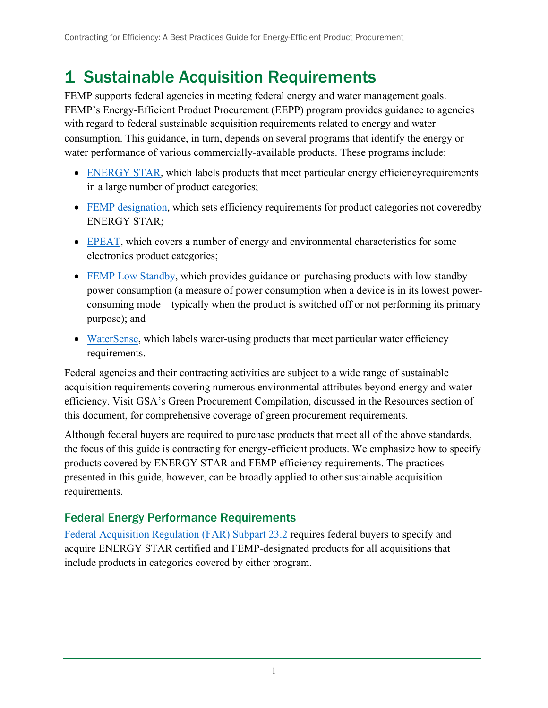## <span id="page-9-0"></span>1 Sustainable Acquisition Requirements

FEMP supports federal agencies in meeting federal energy and water management goals. FEMP's Energy-Efficient Product Procurement (EEPP) program provides guidance to agencies with regard to federal sustainable acquisition requirements related to energy and water consumption. This guidance, in turn, depends on several programs that identify the energy or water performance of various commercially-available products. These programs include:

- [ENERGY STAR,](http://www.energystar.gov/) which labels products that meet particular energy efficiency requirements in a large number of product categories;
- [FEMP designation,](https://www.energy.gov/eere/femp/designating-efficiency-levels-product-categories) which sets efficiency requirements for product categories not coveredby ENERGY STAR;
- [EPEAT,](http://www.epeat.net/about-epeat/) which covers a number of energy and environmental characteristics for some electronics product categories;
- [FEMP Low Standby,](https://www.energy.gov/eere/femp/low-standby-power-products) which provides guidance on purchasing products with low standby power consumption (a measure of power consumption when a device is in its lowest powerconsuming mode—typically when the product is switched off or not performing its primary purpose); and
- [WaterSense,](http://www.epa.gov/watersense/) which labels water-using products that meet particular water efficiency requirements.

Federal agencies and their contracting activities are subject to a wide range of sustainable acquisition requirements covering numerous environmental attributes beyond energy and water efficiency. Visit GSA's Green Procurement Compilation, discussed in the Resources section of this document, for comprehensive coverage of green procurement requirements.

Although federal buyers are required to purchase products that meet all of the above standards, the focus of this guide is contracting for energy-efficient products. We emphasize how to specify products covered by ENERGY STAR and FEMP efficiency requirements. The practices presented in this guide, however, can be broadly applied to other sustainable acquisition requirements.

### <span id="page-9-1"></span>Federal Energy Performance Requirements

[Federal Acquisition Regulation \(FAR\) Subpart 23.2](https://www.acquisition.gov/far/subpart-23.2) requires federal buyers to specify and acquire ENERGY STAR certified and FEMP-designated products for all acquisitions that include products in categories covered by either program.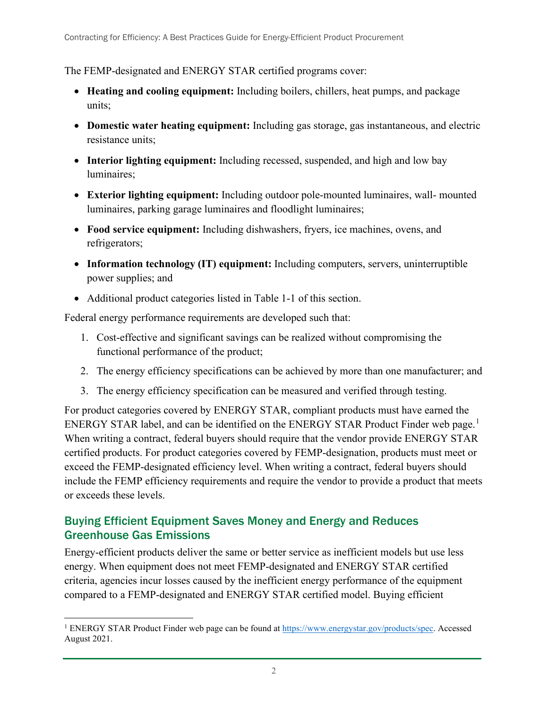The FEMP-designated and ENERGY STAR certified programs cover:

- **Heating and cooling equipment:** Including boilers, chillers, heat pumps, and package units;
- **Domestic water heating equipment:** Including gas storage, gas instantaneous, and electric resistance units;
- **Interior lighting equipment:** Including recessed, suspended, and high and low bay luminaires;
- **Exterior lighting equipment:** Including outdoor pole-mounted luminaires, wall- mounted luminaires, parking garage luminaires and floodlight luminaires;
- **Food service equipment:** Including dishwashers, fryers, ice machines, ovens, and refrigerators;
- **Information technology (IT) equipment:** Including computers, servers, uninterruptible power supplies; and
- Additional product categories listed in Table 1-1 of this section.

Federal energy performance requirements are developed such that:

- 1. Cost-effective and significant savings can be realized without compromising the functional performance of the product;
- 2. The energy efficiency specifications can be achieved by more than one manufacturer; and
- 3. The energy efficiency specification can be measured and verified through testing.

For product categories covered by ENERGY STAR, compliant products must have earned the ENERGY STAR label, and can be identified on the ENERGY STAR Product Finder web page.<sup>[1](#page-10-1)</sup> When writing a contract, federal buyers should require that the vendor provide ENERGY STAR certified products. For product categories covered by FEMP-designation, products must meet or exceed the FEMP-designated efficiency level. When writing a contract, federal buyers should include the FEMP efficiency requirements and require the vendor to provide a product that meets or exceeds these levels.

### <span id="page-10-0"></span>Buying Efficient Equipment Saves Money and Energy and Reduces Greenhouse Gas Emissions

Energy-efficient products deliver the same or better service as inefficient models but use less energy. When equipment does not meet FEMP-designated and ENERGY STAR certified criteria, agencies incur losses caused by the inefficient energy performance of the equipment compared to a FEMP-designated and ENERGY STAR certified model. Buying efficient

<span id="page-10-1"></span><sup>&</sup>lt;sup>1</sup> ENERGY STAR Product Finder web page can be found a[t https://www.energystar.gov/products/spec.](https://www.energystar.gov/products/spec) Accessed August 2021.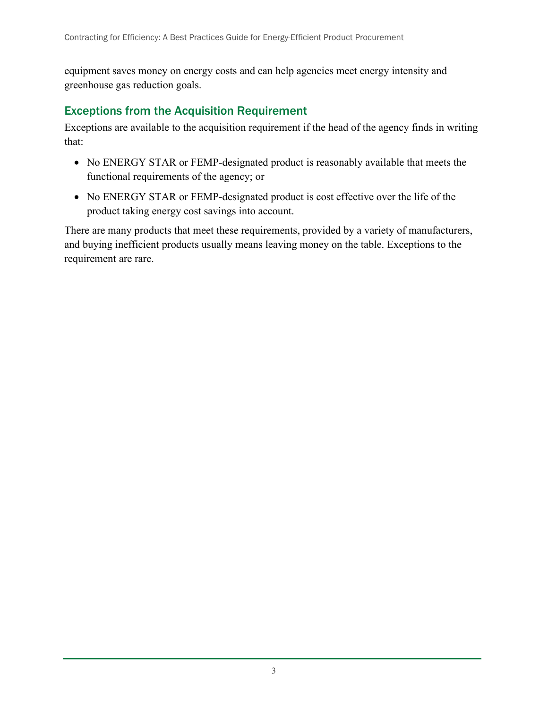equipment saves money on energy costs and can help agencies meet energy intensity and greenhouse gas reduction goals.

#### <span id="page-11-0"></span>Exceptions from the Acquisition Requirement

Exceptions are available to the acquisition requirement if the head of the agency finds in writing that:

- No ENERGY STAR or FEMP-designated product is reasonably available that meets the functional requirements of the agency; or
- No ENERGY STAR or FEMP-designated product is cost effective over the life of the product taking energy cost savings into account.

There are many products that meet these requirements, provided by a variety of manufacturers, and buying inefficient products usually means leaving money on the table. Exceptions to the requirement are rare.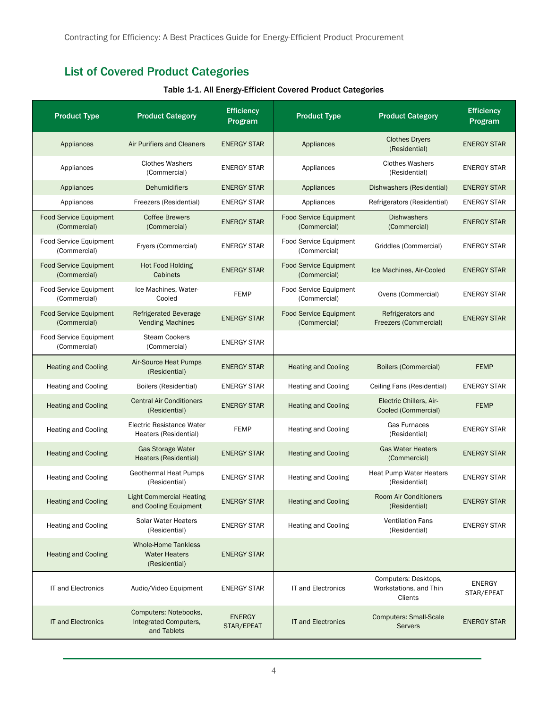## <span id="page-12-1"></span><span id="page-12-0"></span>List of Covered Product Categories

| <b>Product Type</b>                           | <b>Product Category</b>                                             | <b>Efficiency</b><br>Program | <b>Product Type</b>                           | <b>Product Category</b>                                   | <b>Efficiency</b><br>Program |
|-----------------------------------------------|---------------------------------------------------------------------|------------------------------|-----------------------------------------------|-----------------------------------------------------------|------------------------------|
| Appliances                                    | Air Purifiers and Cleaners                                          | <b>ENERGY STAR</b>           | Appliances                                    | <b>Clothes Dryers</b><br>(Residential)                    | <b>ENERGY STAR</b>           |
| Appliances                                    | <b>Clothes Washers</b><br>(Commercial)                              | <b>ENERGY STAR</b>           | Appliances                                    | <b>Clothes Washers</b><br>(Residential)                   | <b>ENERGY STAR</b>           |
| Appliances                                    | <b>Dehumidifiers</b>                                                | <b>ENERGY STAR</b>           | Appliances                                    | Dishwashers (Residential)                                 | <b>ENERGY STAR</b>           |
| Appliances                                    | Freezers (Residential)                                              | <b>ENERGY STAR</b>           | Appliances                                    | Refrigerators (Residential)                               | <b>ENERGY STAR</b>           |
| <b>Food Service Equipment</b><br>(Commercial) | <b>Coffee Brewers</b><br>(Commercial)                               | <b>ENERGY STAR</b>           | <b>Food Service Equipment</b><br>(Commercial) | <b>Dishwashers</b><br>(Commercial)                        | <b>ENERGY STAR</b>           |
| <b>Food Service Equipment</b><br>(Commercial) | Fryers (Commercial)                                                 | <b>ENERGY STAR</b>           | Food Service Equipment<br>(Commercial)        | Griddles (Commercial)                                     | <b>ENERGY STAR</b>           |
| <b>Food Service Equipment</b><br>(Commercial) | <b>Hot Food Holding</b><br>Cabinets                                 | <b>ENERGY STAR</b>           | <b>Food Service Equipment</b><br>(Commercial) | Ice Machines, Air-Cooled                                  | <b>ENERGY STAR</b>           |
| <b>Food Service Equipment</b><br>(Commercial) | Ice Machines, Water-<br>Cooled                                      | <b>FEMP</b>                  | Food Service Equipment<br>(Commercial)        | Ovens (Commercial)                                        | <b>ENERGY STAR</b>           |
| <b>Food Service Equipment</b><br>(Commercial) | <b>Refrigerated Beverage</b><br><b>Vending Machines</b>             | <b>ENERGY STAR</b>           | <b>Food Service Equipment</b><br>(Commercial) | Refrigerators and<br>Freezers (Commercial)                | <b>ENERGY STAR</b>           |
| <b>Food Service Equipment</b><br>(Commercial) | <b>Steam Cookers</b><br>(Commercial)                                | <b>ENERGY STAR</b>           |                                               |                                                           |                              |
| <b>Heating and Cooling</b>                    | <b>Air-Source Heat Pumps</b><br>(Residential)                       | <b>ENERGY STAR</b>           | <b>Heating and Cooling</b>                    | <b>Boilers (Commercial)</b>                               | <b>FEMP</b>                  |
| <b>Heating and Cooling</b>                    | Boilers (Residential)                                               | <b>ENERGY STAR</b>           | <b>Heating and Cooling</b>                    | Ceiling Fans (Residential)                                | <b>ENERGY STAR</b>           |
| <b>Heating and Cooling</b>                    | <b>Central Air Conditioners</b><br>(Residential)                    | <b>ENERGY STAR</b>           | <b>Heating and Cooling</b>                    | Electric Chillers, Air-<br>Cooled (Commercial)            | <b>FEMP</b>                  |
| <b>Heating and Cooling</b>                    | Electric Resistance Water<br>Heaters (Residential)                  | <b>FEMP</b>                  | <b>Heating and Cooling</b>                    | Gas Furnaces<br>(Residential)                             | <b>ENERGY STAR</b>           |
| <b>Heating and Cooling</b>                    | <b>Gas Storage Water</b><br>Heaters (Residential)                   | <b>ENERGY STAR</b>           | <b>Heating and Cooling</b>                    | <b>Gas Water Heaters</b><br>(Commercial)                  | <b>ENERGY STAR</b>           |
| <b>Heating and Cooling</b>                    | Geothermal Heat Pumps<br>(Residential)                              | <b>ENERGY STAR</b>           | <b>Heating and Cooling</b>                    | <b>Heat Pump Water Heaters</b><br>(Residential)           | <b>ENERGY STAR</b>           |
| <b>Heating and Cooling</b>                    | Light Commercial Heating<br>and Cooling Equipment                   | <b>ENERGY STAR</b>           | <b>Heating and Cooling</b>                    | <b>Room Air Conditioners</b><br>(Residential)             | <b>ENERGY STAR</b>           |
| <b>Heating and Cooling</b>                    | Solar Water Heaters<br>(Residential)                                | <b>ENERGY STAR</b>           | <b>Heating and Cooling</b>                    | <b>Ventilation Fans</b><br>(Residential)                  | <b>ENERGY STAR</b>           |
| <b>Heating and Cooling</b>                    | <b>Whole-Home Tankless</b><br><b>Water Heaters</b><br>(Residential) | <b>ENERGY STAR</b>           |                                               |                                                           |                              |
| IT and Electronics                            | Audio/Video Equipment                                               | <b>ENERGY STAR</b>           | IT and Electronics                            | Computers: Desktops,<br>Workstations, and Thin<br>Clients | <b>ENERGY</b><br>STAR/EPEAT  |
| <b>IT and Electronics</b>                     | Computers: Notebooks,<br>Integrated Computers,<br>and Tablets       | <b>ENERGY</b><br>STAR/EPEAT  | <b>IT and Electronics</b>                     | <b>Computers: Small-Scale</b><br><b>Servers</b>           | <b>ENERGY STAR</b>           |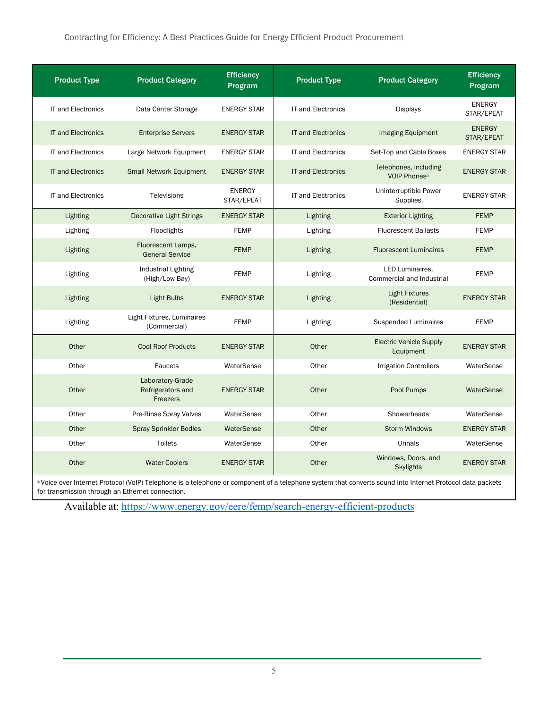#### Contracting for Efficiency: A Best Practices Guide for Energy-Efficient Product Procurement

| <b>Product Type</b>       | <b>Product Category</b>                                  | <b>Efficiency</b><br>Program | <b>Product Type</b>       | <b>Product Category</b>                           | <b>Efficiency</b><br>Program |
|---------------------------|----------------------------------------------------------|------------------------------|---------------------------|---------------------------------------------------|------------------------------|
| IT and Electronics        | Data Center Storage                                      | <b>ENERGY STAR</b>           | IT and Electronics        | <b>Displays</b>                                   | <b>ENERGY</b><br>STAR/EPEAT  |
| <b>IT and Electronics</b> | <b>Enterprise Servers</b>                                | <b>ENERGY STAR</b>           | <b>IT and Electronics</b> | Imaging Equipment                                 | <b>ENERGY</b><br>STAR/EPEAT  |
| <b>IT and Electronics</b> | Large Network Equipment                                  | <b>ENERGY STAR</b>           | <b>IT and Electronics</b> | Set-Top and Cable Boxes                           | <b>ENERGY STAR</b>           |
| <b>IT and Electronics</b> | <b>Small Network Equipment</b>                           | <b>ENERGY STAR</b>           | <b>IT and Electronics</b> | Telephones, including<br>VOIP Phones <sup>a</sup> | <b>ENERGY STAR</b>           |
| <b>IT and Electronics</b> | Televisions                                              | <b>ENERGY</b><br>STAR/EPEAT  | <b>IT and Electronics</b> | Uninterruptible Power<br>Supplies                 | <b>ENERGY STAR</b>           |
| Lighting                  | <b>Decorative Light Strings</b>                          | <b>ENERGY STAR</b>           | Lighting                  | <b>Exterior Lighting</b>                          | <b>FEMP</b>                  |
| Lighting                  | Floodlights                                              | <b>FEMP</b>                  | Lighting                  | <b>Fluorescent Ballasts</b>                       | <b>FEMP</b>                  |
| Lighting                  | Fluorescent Lamps,<br><b>General Service</b>             | <b>FEMP</b>                  | Lighting                  | <b>Fluorescent Luminaires</b>                     | <b>FEMP</b>                  |
| Lighting                  | Industrial Lighting<br>(High/Low Bay)                    | <b>FEMP</b>                  | Lighting                  | LED Luminaires.<br>Commercial and Industrial      | <b>FEMP</b>                  |
| Lighting                  | <b>Light Bulbs</b>                                       | <b>ENERGY STAR</b>           | Lighting                  | <b>Light Fixtures</b><br>(Residential)            | <b>ENERGY STAR</b>           |
| Lighting                  | Light Fixtures, Luminaires<br>(Commercial)               | <b>FEMP</b>                  | Lighting                  | <b>Suspended Luminaires</b>                       | <b>FEMP</b>                  |
| Other                     | <b>Cool Roof Products</b>                                | <b>ENERGY STAR</b>           | Other                     | <b>Electric Vehicle Supply</b><br>Equipment       | <b>ENERGY STAR</b>           |
| Other                     | <b>Faucets</b>                                           | WaterSense                   | Other                     | <b>Irrigation Controllers</b>                     | WaterSense                   |
| Other                     | Laboratory-Grade<br>Refrigerators and<br><b>Freezers</b> | <b>ENERGY STAR</b>           | Other                     | Pool Pumps                                        | WaterSense                   |
| Other                     | Pre-Rinse Spray Valves                                   | WaterSense                   | Other                     | Showerheads                                       | WaterSense                   |
| Other                     | <b>Spray Sprinkler Bodies</b>                            | WaterSense                   | Other                     | <b>Storm Windows</b>                              | <b>ENERGY STAR</b>           |
| Other                     | <b>Toilets</b>                                           | WaterSense                   | Other                     | Urinals                                           | WaterSense                   |
| Other                     | <b>Water Coolers</b>                                     | <b>ENERGY STAR</b>           | Other                     | Windows, Doors, and<br><b>Skylights</b>           | <b>ENERGY STAR</b>           |

a Voice over Internet Protocol (VoIP) Telephone is a telephone or component of a telephone system that converts sound into Internet Protocol data packets for transmission through an Ethernet connection.

Available at: <https://www.energy.gov/eere/femp/search-energy-efficient-products>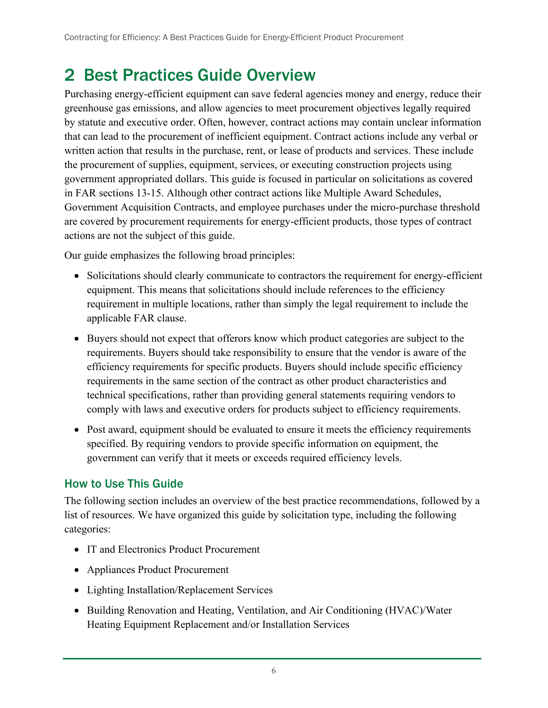## <span id="page-14-0"></span>2 Best Practices Guide Overview

Purchasing energy-efficient equipment can save federal agencies money and energy, reduce their greenhouse gas emissions, and allow agencies to meet procurement objectives legally required by statute and executive order. Often, however, contract actions may contain unclear information that can lead to the procurement of inefficient equipment. Contract actions include any verbal or written action that results in the purchase, rent, or lease of products and services. These include the procurement of supplies, equipment, services, or executing construction projects using government appropriated dollars. This guide is focused in particular on solicitations as covered in FAR sections 13-15. Although other contract actions like Multiple Award Schedules, Government Acquisition Contracts, and employee purchases under the micro-purchase threshold are covered by procurement requirements for energy-efficient products, those types of contract actions are not the subject of this guide.

Our guide emphasizes the following broad principles:

- Solicitations should clearly communicate to contractors the requirement for energy-efficient equipment. This means that solicitations should include references to the efficiency requirement in multiple locations, rather than simply the legal requirement to include the applicable FAR clause.
- Buyers should not expect that offerors know which product categories are subject to the requirements. Buyers should take responsibility to ensure that the vendor is aware of the efficiency requirements for specific products. Buyers should include specific efficiency requirements in the same section of the contract as other product characteristics and technical specifications, rather than providing general statements requiring vendors to comply with laws and executive orders for products subject to efficiency requirements.
- Post award, equipment should be evaluated to ensure it meets the efficiency requirements specified. By requiring vendors to provide specific information on equipment, the government can verify that it meets or exceeds required efficiency levels.

## <span id="page-14-1"></span>How to Use This Guide

The following section includes an overview of the best practice recommendations, followed by a list of resources. We have organized this guide by solicitation type, including the following categories:

- IT and Electronics Product Procurement
- Appliances Product Procurement
- Lighting Installation/Replacement Services
- Building Renovation and Heating, Ventilation, and Air Conditioning (HVAC)/Water Heating Equipment Replacement and/or Installation Services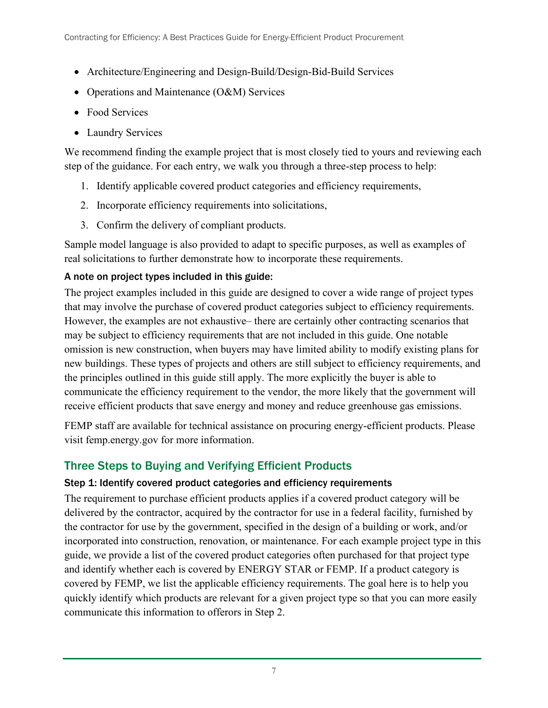- Architecture/Engineering and Design-Build/Design-Bid-Build Services
- Operations and Maintenance (O&M) Services
- Food Services
- Laundry Services

We recommend finding the example project that is most closely tied to yours and reviewing each step of the guidance. For each entry, we walk you through a three-step process to help:

- 1. Identify applicable covered product categories and efficiency requirements,
- 2. Incorporate efficiency requirements into solicitations,
- 3. Confirm the delivery of compliant products.

Sample model language is also provided to adapt to specific purposes, as well as examples of real solicitations to further demonstrate how to incorporate these requirements.

#### A note on project types included in this guide:

The project examples included in this guide are designed to cover a wide range of project types that may involve the purchase of covered product categories subject to efficiency requirements. However, the examples are not exhaustive– there are certainly other contracting scenarios that may be subject to efficiency requirements that are not included in this guide. One notable omission is new construction, when buyers may have limited ability to modify existing plans for new buildings. These types of projects and others are still subject to efficiency requirements, and the principles outlined in this guide still apply. The more explicitly the buyer is able to communicate the efficiency requirement to the vendor, the more likely that the government will receive efficient products that save energy and money and reduce greenhouse gas emissions.

FEMP staff are available for technical assistance on procuring energy-efficient products. Please visit femp.energy.gov for more information.

## <span id="page-15-0"></span>Three Steps to Buying and Verifying Efficient Products

#### Step 1: Identify covered product categories and efficiency requirements

The requirement to purchase efficient products applies if a covered product category will be delivered by the contractor, acquired by the contractor for use in a federal facility, furnished by the contractor for use by the government, specified in the design of a building or work, and/or incorporated into construction, renovation, or maintenance. For each example project type in this guide, we provide a list of the covered product categories often purchased for that project type and identify whether each is covered by ENERGY STAR or FEMP. If a product category is covered by FEMP, we list the applicable efficiency requirements. The goal here is to help you quickly identify which products are relevant for a given project type so that you can more easily communicate this information to offerors in Step 2.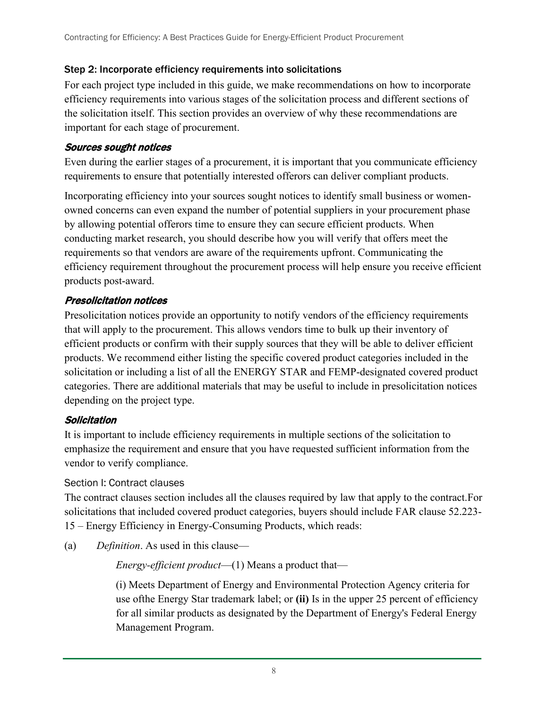#### Step 2: Incorporate efficiency requirements into solicitations

For each project type included in this guide, we make recommendations on how to incorporate efficiency requirements into various stages of the solicitation process and different sections of the solicitation itself. This section provides an overview of why these recommendations are important for each stage of procurement.

#### Sources sought notices

Even during the earlier stages of a procurement, it is important that you communicate efficiency requirements to ensure that potentially interested offerors can deliver compliant products.

Incorporating efficiency into your sources sought notices to identify small business or womenowned concerns can even expand the number of potential suppliers in your procurement phase by allowing potential offerors time to ensure they can secure efficient products. When conducting market research, you should describe how you will verify that offers meet the requirements so that vendors are aware of the requirements upfront. Communicating the efficiency requirement throughout the procurement process will help ensure you receive efficient products post-award.

#### Presolicitation notices

Presolicitation notices provide an opportunity to notify vendors of the efficiency requirements that will apply to the procurement. This allows vendors time to bulk up their inventory of efficient products or confirm with their supply sources that they will be able to deliver efficient products. We recommend either listing the specific covered product categories included in the solicitation or including a list of all the ENERGY STAR and FEMP-designated covered product categories. There are additional materials that may be useful to include in presolicitation notices depending on the project type.

#### **Solicitation**

It is important to include efficiency requirements in multiple sections of the solicitation to emphasize the requirement and ensure that you have requested sufficient information from the vendor to verify compliance.

#### Section I: Contract clauses

The contract clauses section includes all the clauses required by law that apply to the contract.For solicitations that included covered product categories, buyers should include FAR clause 52.223- 15 – Energy Efficiency in Energy-Consuming Products, which reads:

(a) *Definition*. As used in this clause—

*Energy-efficient product*—(1) Means a product that—

(i) Meets Department of Energy and Environmental Protection Agency criteria for use ofthe Energy Star trademark label; or **(ii)** Is in the upper 25 percent of efficiency for all similar products as designated by the Department of Energy's Federal Energy Management Program.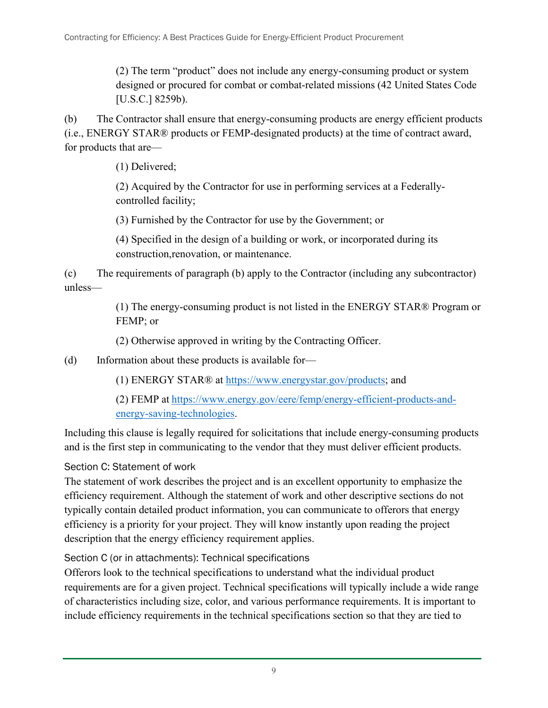(2) The term "product" does not include any energy-consuming product or system designed or procured for combat or combat-related missions (42 United States Code [U.S.C.] 8259b).

(b) The Contractor shall ensure that energy-consuming products are energy efficient products (i.e., ENERGY STAR® products or FEMP-designated products) at the time of contract award, for products that are—

(1) Delivered;

(2) Acquired by the Contractor for use in performing services at a Federallycontrolled facility;

(3) Furnished by the Contractor for use by the Government; or

(4) Specified in the design of a building or work, or incorporated during its construction,renovation, or maintenance.

(c) The requirements of paragraph (b) apply to the Contractor (including any subcontractor) unless—

> (1) The energy-consuming product is not listed in the ENERGY STAR® Program or FEMP; or

(2) Otherwise approved in writing by the Contracting Officer.

(d) Information about these products is available for—

(1) ENERGY STAR® at [https://www.energystar.gov/products;](https://www.energystar.gov/products) and

(2) FEMP at [https://www.energy.gov/eere/femp/energy-efficient-products-and](https://www.energy.gov/eere/femp/energy-efficient-products-and-energy-saving-technologies)[energy-saving-technologies.](https://www.energy.gov/eere/femp/energy-efficient-products-and-energy-saving-technologies)

Including this clause is legally required for solicitations that include energy-consuming products and is the first step in communicating to the vendor that they must deliver efficient products.

Section C: Statement of work

The statement of work describes the project and is an excellent opportunity to emphasize the efficiency requirement. Although the statement of work and other descriptive sections do not typically contain detailed product information, you can communicate to offerors that energy efficiency is a priority for your project. They will know instantly upon reading the project description that the energy efficiency requirement applies.

Section C (or in attachments): Technical specifications

Offerors look to the technical specifications to understand what the individual product requirements are for a given project. Technical specifications will typically include a wide range of characteristics including size, color, and various performance requirements. It is important to include efficiency requirements in the technical specifications section so that they are tied to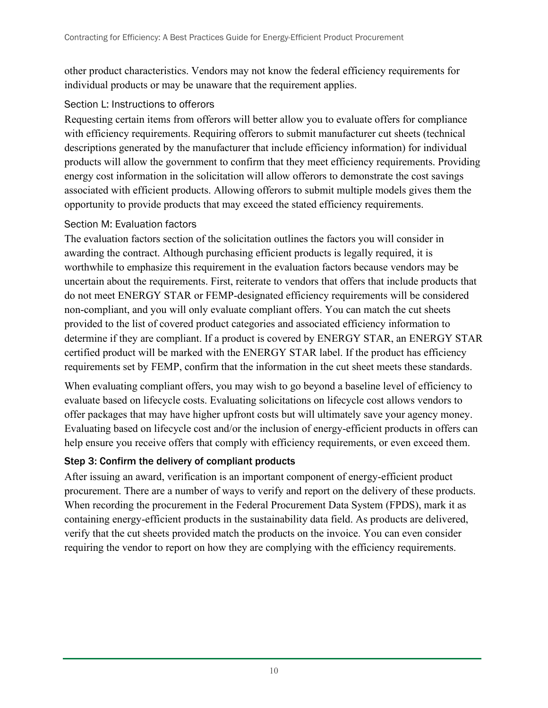other product characteristics. Vendors may not know the federal efficiency requirements for individual products or may be unaware that the requirement applies.

#### Section L: Instructions to offerors

Requesting certain items from offerors will better allow you to evaluate offers for compliance with efficiency requirements. Requiring offerors to submit manufacturer cut sheets (technical descriptions generated by the manufacturer that include efficiency information) for individual products will allow the government to confirm that they meet efficiency requirements. Providing energy cost information in the solicitation will allow offerors to demonstrate the cost savings associated with efficient products. Allowing offerors to submit multiple models gives them the opportunity to provide products that may exceed the stated efficiency requirements.

#### Section M: Evaluation factors

The evaluation factors section of the solicitation outlines the factors you will consider in awarding the contract. Although purchasing efficient products is legally required, it is worthwhile to emphasize this requirement in the evaluation factors because vendors may be uncertain about the requirements. First, reiterate to vendors that offers that include products that do not meet ENERGY STAR or FEMP-designated efficiency requirements will be considered non-compliant, and you will only evaluate compliant offers. You can match the cut sheets provided to the list of covered product categories and associated efficiency information to determine if they are compliant. If a product is covered by ENERGY STAR, an ENERGY STAR certified product will be marked with the ENERGY STAR label. If the product has efficiency requirements set by FEMP, confirm that the information in the cut sheet meets these standards.

When evaluating compliant offers, you may wish to go beyond a baseline level of efficiency to evaluate based on lifecycle costs. Evaluating solicitations on lifecycle cost allows vendors to offer packages that may have higher upfront costs but will ultimately save your agency money. Evaluating based on lifecycle cost and/or the inclusion of energy-efficient products in offers can help ensure you receive offers that comply with efficiency requirements, or even exceed them.

#### Step 3: Confirm the delivery of compliant products

After issuing an award, verification is an important component of energy-efficient product procurement. There are a number of ways to verify and report on the delivery of these products. When recording the procurement in the Federal Procurement Data System (FPDS), mark it as containing energy-efficient products in the sustainability data field. As products are delivered, verify that the cut sheets provided match the products on the invoice. You can even consider requiring the vendor to report on how they are complying with the efficiency requirements.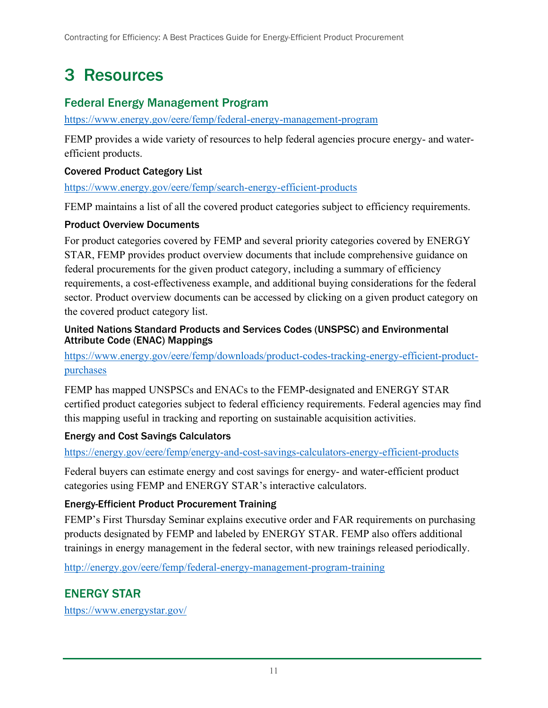## <span id="page-19-0"></span>3 Resources

#### <span id="page-19-1"></span>Federal Energy Management Program

<https://www.energy.gov/eere/femp/federal-energy-management-program>

FEMP provides a wide variety of resources to help federal agencies procure energy- and waterefficient products.

#### Covered Product Category List

<https://www.energy.gov/eere/femp/search-energy-efficient-products>

FEMP maintains a list of all the covered product categories subject to efficiency requirements.

#### Product Overview Documents

For product categories covered by FEMP and several priority categories covered by ENERGY STAR, FEMP provides product overview documents that include comprehensive guidance on federal procurements for the given product category, including a summary of efficiency requirements, a cost-effectiveness example, and additional buying considerations for the federal sector. Product overview documents can be accessed by clicking on a given product category on the covered product category list.

#### United Nations Standard Products and Services Codes (UNSPSC) and Environmental Attribute Code (ENAC) Mappings

[https://www.energy.gov/eere/femp/downloads/product-codes-tracking-energy-efficient-product](https://www.energy.gov/eere/femp/downloads/product-codes-tracking-energy-efficient-product-purchases)[purchases](https://www.energy.gov/eere/femp/downloads/product-codes-tracking-energy-efficient-product-purchases)

FEMP has mapped UNSPSCs and ENACs to the FEMP-designated and ENERGY STAR certified product categories subject to federal efficiency requirements. Federal agencies may find this mapping useful in tracking and reporting on sustainable acquisition activities.

#### Energy and Cost Savings Calculators

<https://energy.gov/eere/femp/energy-and-cost-savings-calculators-energy-efficient-products>

Federal buyers can estimate energy and cost savings for energy- and water-efficient product categories using FEMP and ENERGY STAR's interactive calculators.

#### Energy-Efficient Product Procurement Training

FEMP's First Thursday Seminar explains executive order and FAR requirements on purchasing products designated by FEMP and labeled by ENERGY STAR. FEMP also offers additional trainings in energy management in the federal sector, with new trainings released periodically.

<http://energy.gov/eere/femp/federal-energy-management-program-training>

## <span id="page-19-2"></span>ENERGY STAR

<https://www.energystar.gov/>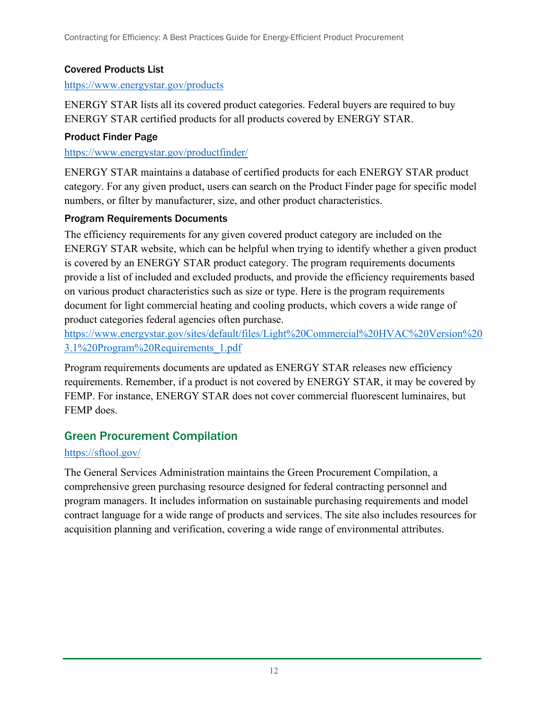#### Covered Products List

#### <https://www.energystar.gov/products>

ENERGY STAR lists all its covered product categories. Federal buyers are required to buy ENERGY STAR certified products for all products covered by ENERGY STAR.

#### Product Finder Page

<https://www.energystar.gov/productfinder/>

ENERGY STAR maintains a database of certified products for each ENERGY STAR product category. For any given product, users can search on the Product Finder page for specific model numbers, or filter by manufacturer, size, and other product characteristics.

#### Program Requirements Documents

The efficiency requirements for any given covered product category are included on the ENERGY STAR website, which can be helpful when trying to identify whether a given product is covered by an ENERGY STAR product category. The program requirements documents provide a list of included and excluded products, and provide the efficiency requirements based on various product characteristics such as size or type. Here is the program requirements document for light commercial heating and cooling products, which covers a wide range of product categories federal agencies often purchase.

[https://www.energystar.gov/sites/default/files/Light%20Commercial%20HVAC%20Version%20](https://www.energystar.gov/sites/default/files/Light%20Commercial%20HVAC%20Version%203.1%20Program%20Requirements_1.pdf) [3.1%20Program%20Requirements\\_1.pdf](https://www.energystar.gov/sites/default/files/Light%20Commercial%20HVAC%20Version%203.1%20Program%20Requirements_1.pdf)

Program requirements documents are updated as ENERGY STAR releases new efficiency requirements. Remember, if a product is not covered by ENERGY STAR, it may be covered by FEMP. For instance, ENERGY STAR does not cover commercial fluorescent luminaires, but FEMP does.

## <span id="page-20-0"></span>Green Procurement Compilation

#### <https://sftool.gov/>

The General Services Administration maintains the Green Procurement Compilation, a comprehensive green purchasing resource designed for federal contracting personnel and program managers. It includes information on sustainable purchasing requirements and model contract language for a wide range of products and services. The site also includes resources for acquisition planning and verification, covering a wide range of environmental attributes.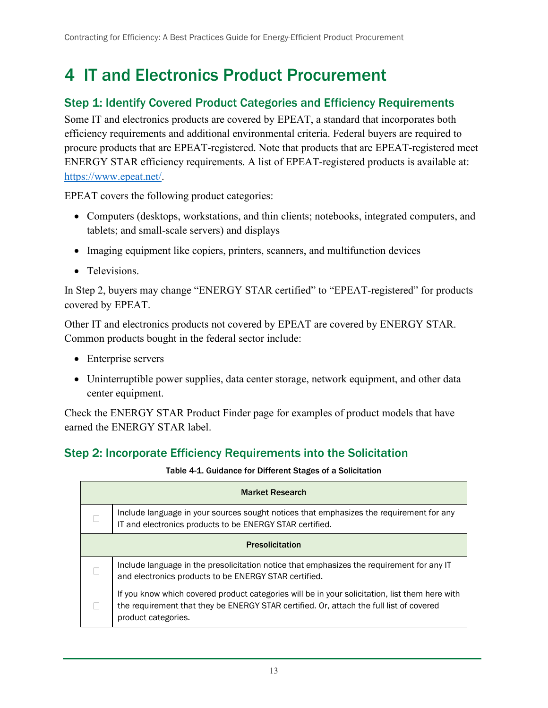## <span id="page-21-0"></span>4 IT and Electronics Product Procurement

#### <span id="page-21-1"></span>Step 1: Identify Covered Product Categories and Efficiency Requirements

Some IT and electronics products are covered by EPEAT, a standard that incorporates both efficiency requirements and additional environmental criteria. Federal buyers are required to procure products that are EPEAT-registered. Note that products that are EPEAT-registered meet ENERGY STAR efficiency requirements. A list of EPEAT-registered products is available at: [https://www.epeat.net/.](https://www.epeat.net/)

EPEAT covers the following product categories:

- Computers (desktops, workstations, and thin clients; notebooks, integrated computers, and tablets; and small-scale servers) and displays
- Imaging equipment like copiers, printers, scanners, and multifunction devices
- Televisions.

In Step 2, buyers may change "ENERGY STAR certified" to "EPEAT-registered" for products covered by EPEAT.

Other IT and electronics products not covered by EPEAT are covered by ENERGY STAR. Common products bought in the federal sector include:

- Enterprise servers
- Uninterruptible power supplies, data center storage, network equipment, and other data center equipment.

Check the ENERGY STAR Product Finder page for examples of product models that have earned the ENERGY STAR label.

### <span id="page-21-3"></span><span id="page-21-2"></span>Step 2: Incorporate Efficiency Requirements into the Solicitation

Table 4-1. Guidance for Different Stages of a Solicitation

| <b>Market Research</b>                                                                                                                                                                                           |
|------------------------------------------------------------------------------------------------------------------------------------------------------------------------------------------------------------------|
| Include language in your sources sought notices that emphasizes the requirement for any<br>IT and electronics products to be ENERGY STAR certified.                                                              |
| <b>Presolicitation</b>                                                                                                                                                                                           |
| Include language in the presolicitation notice that emphasizes the requirement for any IT<br>and electronics products to be ENERGY STAR certified.                                                               |
| If you know which covered product categories will be in your solicitation, list them here with<br>the requirement that they be ENERGY STAR certified. Or, attach the full list of covered<br>product categories. |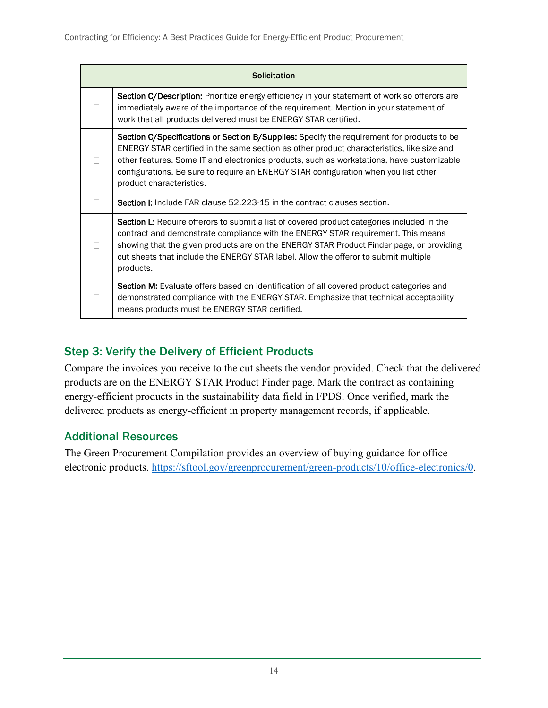| <b>Solicitation</b>                                                                                                                                                                                                                                                                                                                                                                                     |
|---------------------------------------------------------------------------------------------------------------------------------------------------------------------------------------------------------------------------------------------------------------------------------------------------------------------------------------------------------------------------------------------------------|
| Section C/Description: Prioritize energy efficiency in your statement of work so offerors are<br>immediately aware of the importance of the requirement. Mention in your statement of<br>work that all products delivered must be ENERGY STAR certified.                                                                                                                                                |
| Section C/Specifications or Section B/Supplies: Specify the requirement for products to be<br>ENERGY STAR certified in the same section as other product characteristics, like size and<br>other features. Some IT and electronics products, such as workstations, have customizable<br>configurations. Be sure to require an ENERGY STAR configuration when you list other<br>product characteristics. |
| <b>Section I:</b> Include FAR clause 52.223-15 in the contract clauses section.                                                                                                                                                                                                                                                                                                                         |
| <b>Section L:</b> Require offerors to submit a list of covered product categories included in the<br>contract and demonstrate compliance with the ENERGY STAR requirement. This means<br>showing that the given products are on the ENERGY STAR Product Finder page, or providing<br>cut sheets that include the ENERGY STAR label. Allow the offeror to submit multiple<br>products.                   |
| <b>Section M:</b> Evaluate offers based on identification of all covered product categories and<br>demonstrated compliance with the ENERGY STAR. Emphasize that technical acceptability<br>means products must be ENERGY STAR certified.                                                                                                                                                                |

### <span id="page-22-0"></span>Step 3: Verify the Delivery of Efficient Products

Compare the invoices you receive to the cut sheets the vendor provided. Check that the delivered products are on the ENERGY STAR Product Finder page. Mark the contract as containing energy-efficient products in the sustainability data field in FPDS. Once verified, mark the delivered products as energy-efficient in property management records, if applicable.

### <span id="page-22-1"></span>Additional Resources

The Green Procurement Compilation provides an overview of buying guidance for office electronic products. [https://sftool.gov/greenprocurement/green-products/10/office-electronics/0.](https://sftool.gov/greenprocurement/green-products/10/office-electronics/0)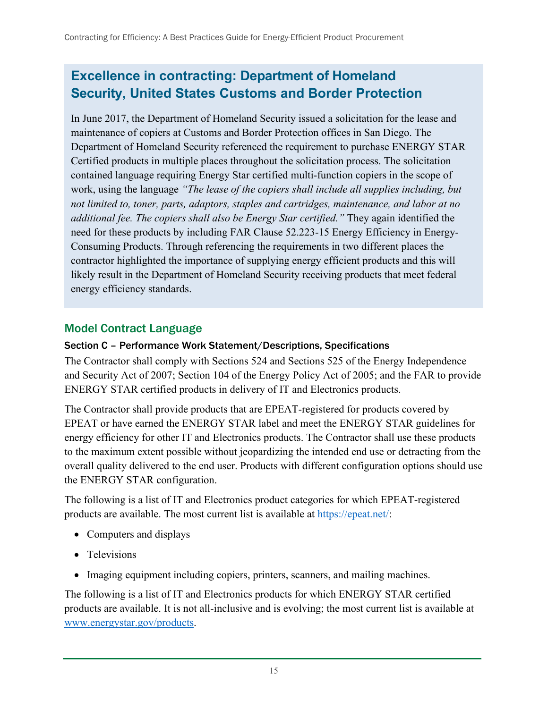## **Excellence in contracting: Department of Homeland Security, United States Customs and Border Protection**

In June 2017, the Department of Homeland Security issued a solicitation for the lease and maintenance of copiers at Customs and Border Protection offices in San Diego. The Department of Homeland Security referenced the requirement to purchase ENERGY STAR Certified products in multiple places throughout the solicitation process. The solicitation contained language requiring Energy Star certified multi-function copiers in the scope of work, using the language *"The lease of the copiers shall include all supplies including, but not limited to, toner, parts, adaptors, staples and cartridges, maintenance, and labor at no additional fee. The copiers shall also be Energy Star certified."* They again identified the need for these products by including FAR Clause 52.223-15 Energy Efficiency in Energy-Consuming Products. Through referencing the requirements in two different places the contractor highlighted the importance of supplying energy efficient products and this will likely result in the Department of Homeland Security receiving products that meet federal energy efficiency standards.

### <span id="page-23-0"></span>Model Contract Language

#### Section C – Performance Work Statement/Descriptions, Specifications

The Contractor shall comply with Sections 524 and Sections 525 of the Energy Independence and Security Act of 2007; Section 104 of the Energy Policy Act of 2005; and the FAR to provide ENERGY STAR certified products in delivery of IT and Electronics products.

The Contractor shall provide products that are EPEAT-registered for products covered by EPEAT or have earned the ENERGY STAR label and meet the ENERGY STAR guidelines for energy efficiency for other IT and Electronics products. The Contractor shall use these products to the maximum extent possible without jeopardizing the intended end use or detracting from the overall quality delivered to the end user. Products with different configuration options should use the ENERGY STAR configuration.

The following is a list of IT and Electronics product categories for which EPEAT-registered products are available. The most current list is available at [https://epeat.net/:](https://epeat.net/)

- Computers and displays
- Televisions
- Imaging equipment including copiers, printers, scanners, and mailing machines.

The following is a list of IT and Electronics products for which ENERGY STAR certified products are available. It is not all-inclusive and is evolving; the most current list is available at [www.energystar.gov/products.](http://www.energystar.gov/products)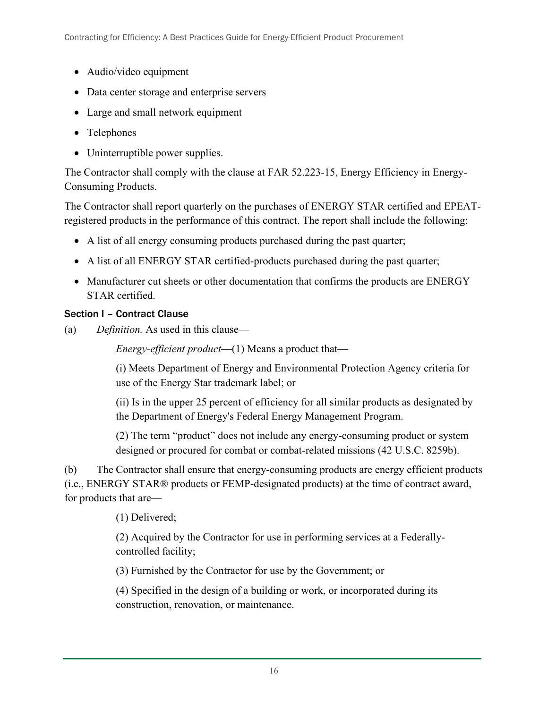- Audio/video equipment
- Data center storage and enterprise servers
- Large and small network equipment
- Telephones
- Uninterruptible power supplies.

The Contractor shall comply with the clause at FAR 52.223-15, Energy Efficiency in Energy-Consuming Products.

The Contractor shall report quarterly on the purchases of ENERGY STAR certified and EPEATregistered products in the performance of this contract. The report shall include the following:

- A list of all energy consuming products purchased during the past quarter;
- A list of all ENERGY STAR certified-products purchased during the past quarter;
- Manufacturer cut sheets or other documentation that confirms the products are ENERGY STAR certified.

#### Section I – Contract Clause

(a) *Definition.* As used in this clause—

*Energy-efficient product*—(1) Means a product that—

(i) Meets Department of Energy and Environmental Protection Agency criteria for use of the Energy Star trademark label; or

(ii) Is in the upper 25 percent of efficiency for all similar products as designated by the Department of Energy's Federal Energy Management Program.

(2) The term "product" does not include any energy-consuming product or system designed or procured for combat or combat-related missions (42 U.S.C. 8259b).

(b) The Contractor shall ensure that energy-consuming products are energy efficient products (i.e., ENERGY STAR® products or FEMP-designated products) at the time of contract award, for products that are—

(1) Delivered;

(2) Acquired by the Contractor for use in performing services at a Federallycontrolled facility;

(3) Furnished by the Contractor for use by the Government; or

(4) Specified in the design of a building or work, or incorporated during its construction, renovation, or maintenance.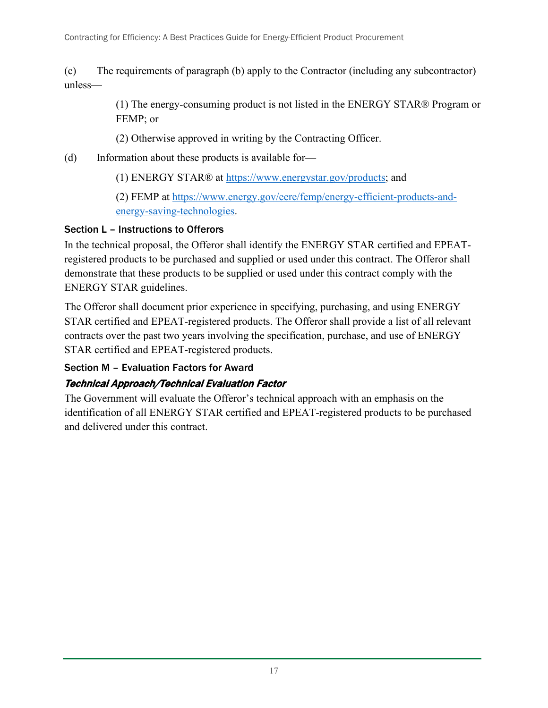(c) The requirements of paragraph (b) apply to the Contractor (including any subcontractor) unless—

> (1) The energy-consuming product is not listed in the ENERGY STAR® Program or FEMP; or

(2) Otherwise approved in writing by the Contracting Officer.

(d) Information about these products is available for—

(1) ENERGY STAR® at [https://www.energystar.gov/products;](https://www.energystar.gov/products) and

(2) FEMP at [https://www.energy.gov/eere/femp/energy-efficient-products-and](https://www.energy.gov/eere/femp/energy-efficient-products-and-energy-saving-technologies)[energy-saving-technologies.](https://www.energy.gov/eere/femp/energy-efficient-products-and-energy-saving-technologies)

#### Section L – Instructions to Offerors

In the technical proposal, the Offeror shall identify the ENERGY STAR certified and EPEATregistered products to be purchased and supplied or used under this contract. The Offeror shall demonstrate that these products to be supplied or used under this contract comply with the ENERGY STAR guidelines.

The Offeror shall document prior experience in specifying, purchasing, and using ENERGY STAR certified and EPEAT-registered products. The Offeror shall provide a list of all relevant contracts over the past two years involving the specification, purchase, and use of ENERGY STAR certified and EPEAT-registered products.

#### Section M – Evaluation Factors for Award

### Technical Approach/Technical Evaluation Factor

The Government will evaluate the Offeror's technical approach with an emphasis on the identification of all ENERGY STAR certified and EPEAT-registered products to be purchased and delivered under this contract.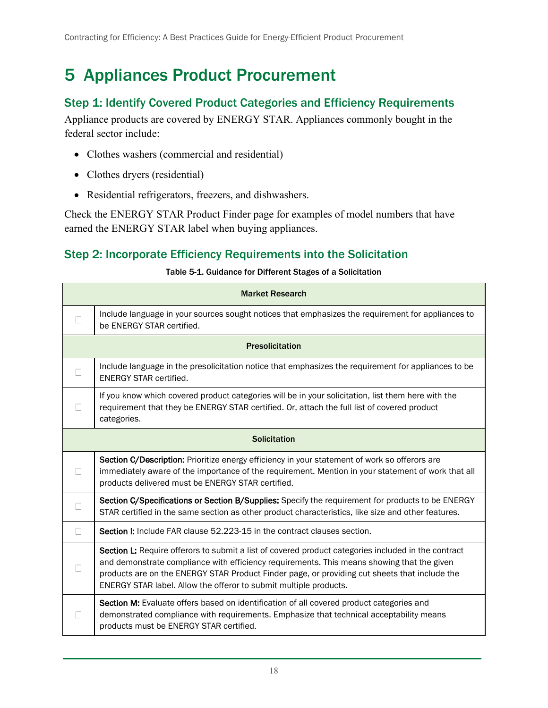## <span id="page-26-0"></span>5 Appliances Product Procurement

#### <span id="page-26-1"></span>Step 1: Identify Covered Product Categories and Efficiency Requirements

Appliance products are covered by ENERGY STAR. Appliances commonly bought in the federal sector include:

- Clothes washers (commercial and residential)
- Clothes dryers (residential)
- Residential refrigerators, freezers, and dishwashers.

Check the ENERGY STAR Product Finder page for examples of model numbers that have earned the ENERGY STAR label when buying appliances.

### <span id="page-26-3"></span><span id="page-26-2"></span>Step 2: Incorporate Efficiency Requirements into the Solicitation

#### Table 5-1. Guidance for Different Stages of a Solicitation

|        | <b>Market Research</b>                                                                                                                                                                                                                                                                                                                                                  |  |  |
|--------|-------------------------------------------------------------------------------------------------------------------------------------------------------------------------------------------------------------------------------------------------------------------------------------------------------------------------------------------------------------------------|--|--|
|        | Include language in your sources sought notices that emphasizes the requirement for appliances to<br>be ENERGY STAR certified.                                                                                                                                                                                                                                          |  |  |
|        | <b>Presolicitation</b>                                                                                                                                                                                                                                                                                                                                                  |  |  |
|        | Include language in the presolicitation notice that emphasizes the requirement for appliances to be<br><b>ENERGY STAR certified.</b>                                                                                                                                                                                                                                    |  |  |
|        | If you know which covered product categories will be in your solicitation, list them here with the<br>requirement that they be ENERGY STAR certified. Or, attach the full list of covered product<br>categories.                                                                                                                                                        |  |  |
|        | <b>Solicitation</b>                                                                                                                                                                                                                                                                                                                                                     |  |  |
|        | Section C/Description: Prioritize energy efficiency in your statement of work so offerors are<br>immediately aware of the importance of the requirement. Mention in your statement of work that all<br>products delivered must be ENERGY STAR certified.                                                                                                                |  |  |
| $\Box$ | Section C/Specifications or Section B/Supplies: Specify the requirement for products to be ENERGY<br>STAR certified in the same section as other product characteristics, like size and other features.                                                                                                                                                                 |  |  |
| П      | Section I: Include FAR clause 52.223-15 in the contract clauses section.                                                                                                                                                                                                                                                                                                |  |  |
|        | Section L: Require offerors to submit a list of covered product categories included in the contract<br>and demonstrate compliance with efficiency requirements. This means showing that the given<br>products are on the ENERGY STAR Product Finder page, or providing cut sheets that include the<br>ENERGY STAR label. Allow the offeror to submit multiple products. |  |  |
|        | Section M: Evaluate offers based on identification of all covered product categories and<br>demonstrated compliance with requirements. Emphasize that technical acceptability means<br>products must be ENERGY STAR certified.                                                                                                                                          |  |  |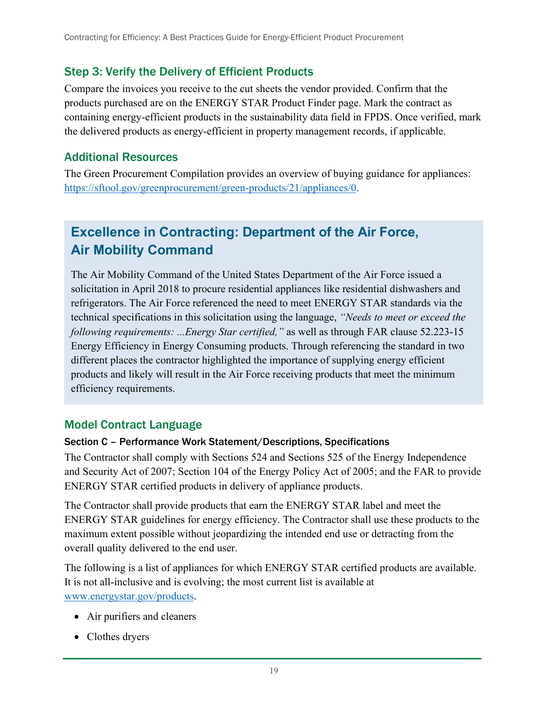### <span id="page-27-0"></span>Step 3: Verify the Delivery of Efficient Products

Compare the invoices you receive to the cut sheets the vendor provided. Confirm that the products purchased are on the ENERGY STAR Product Finder page. Mark the contract as containing energy-efficient products in the sustainability data field in FPDS. Once verified, mark the delivered products as energy-efficient in property management records, if applicable.

#### <span id="page-27-1"></span>Additional Resources

The Green Procurement Compilation provides an overview of buying guidance for appliances: [https://sftool.gov/greenprocurement/green-products/21/appliances/0.](https://sftool.gov/greenprocurement/green-products/21/appliances/0)

## **Excellence in Contracting: Department of the Air Force, Air Mobility Command**

The Air Mobility Command of the United States Department of the Air Force issued a solicitation in April 2018 to procure residential appliances like residential dishwashers and refrigerators. The Air Force referenced the need to meet ENERGY STAR standards via the technical specifications in this solicitation using the language, *"Needs to meet or exceed the following requirements: ...Energy Star certified,"* as well as through FAR clause 52.223-15 Energy Efficiency in Energy Consuming products. Through referencing the standard in two different places the contractor highlighted the importance of supplying energy efficient products and likely will result in the Air Force receiving products that meet the minimum efficiency requirements.

#### <span id="page-27-2"></span>Model Contract Language

#### Section C – Performance Work Statement/Descriptions, Specifications

The Contractor shall comply with Sections 524 and Sections 525 of the Energy Independence and Security Act of 2007; Section 104 of the Energy Policy Act of 2005; and the FAR to provide ENERGY STAR certified products in delivery of appliance products.

The Contractor shall provide products that earn the ENERGY STAR label and meet the ENERGY STAR guidelines for energy efficiency. The Contractor shall use these products to the maximum extent possible without jeopardizing the intended end use or detracting from the overall quality delivered to the end user.

The following is a list of appliances for which ENERGY STAR certified products are available. It is not all-inclusive and is evolving; the most current list is available at [www.energystar.gov/products.](http://www.energystar.gov/products)

- Air purifiers and cleaners
- Clothes dryers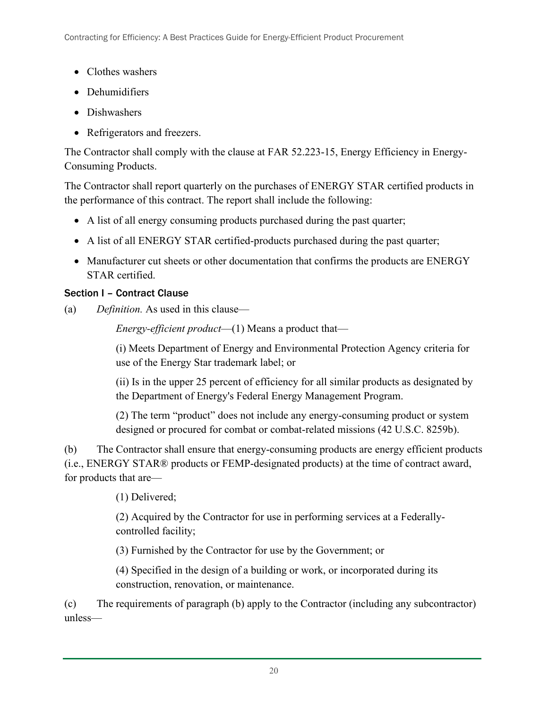- Clothes washers
- Dehumidifiers
- Dishwashers
- Refrigerators and freezers.

The Contractor shall comply with the clause at FAR 52.223-15, Energy Efficiency in Energy-Consuming Products.

The Contractor shall report quarterly on the purchases of ENERGY STAR certified products in the performance of this contract. The report shall include the following:

- A list of all energy consuming products purchased during the past quarter;
- A list of all ENERGY STAR certified-products purchased during the past quarter;
- Manufacturer cut sheets or other documentation that confirms the products are ENERGY STAR certified.

#### Section I – Contract Clause

(a) *Definition.* As used in this clause—

*Energy-efficient product*—(1) Means a product that—

(i) Meets Department of Energy and Environmental Protection Agency criteria for use of the Energy Star trademark label; or

(ii) Is in the upper 25 percent of efficiency for all similar products as designated by the Department of Energy's Federal Energy Management Program.

(2) The term "product" does not include any energy-consuming product or system designed or procured for combat or combat-related missions (42 U.S.C. 8259b).

(b) The Contractor shall ensure that energy-consuming products are energy efficient products (i.e., ENERGY STAR® products or FEMP-designated products) at the time of contract award, for products that are—

(1) Delivered;

(2) Acquired by the Contractor for use in performing services at a Federallycontrolled facility;

(3) Furnished by the Contractor for use by the Government; or

(4) Specified in the design of a building or work, or incorporated during its construction, renovation, or maintenance.

(c) The requirements of paragraph (b) apply to the Contractor (including any subcontractor) unless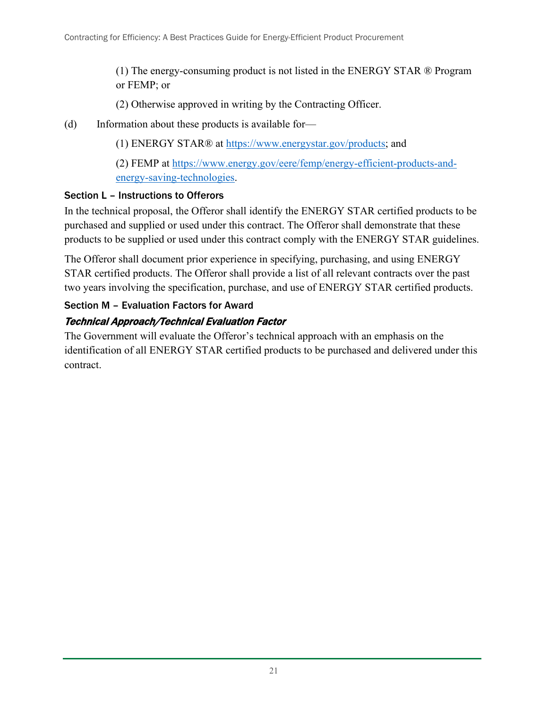(1) The energy-consuming product is not listed in the ENERGY STAR ® Program or FEMP; or

(2) Otherwise approved in writing by the Contracting Officer.

(d) Information about these products is available for—

(1) ENERGY STAR® at [https://www.energystar.gov/products;](https://www.energystar.gov/products) and

(2) FEMP at [https://www.energy.gov/eere/femp/energy-efficient-products-and](https://www.energy.gov/eere/femp/energy-efficient-products-and-energy-saving-technologies)[energy-saving-technologies.](https://www.energy.gov/eere/femp/energy-efficient-products-and-energy-saving-technologies)

#### Section L – Instructions to Offerors

In the technical proposal, the Offeror shall identify the ENERGY STAR certified products to be purchased and supplied or used under this contract. The Offeror shall demonstrate that these products to be supplied or used under this contract comply with the ENERGY STAR guidelines.

The Offeror shall document prior experience in specifying, purchasing, and using ENERGY STAR certified products. The Offeror shall provide a list of all relevant contracts over the past two years involving the specification, purchase, and use of ENERGY STAR certified products.

#### Section M – Evaluation Factors for Award

### Technical Approach/Technical Evaluation Factor

The Government will evaluate the Offeror's technical approach with an emphasis on the identification of all ENERGY STAR certified products to be purchased and delivered under this contract.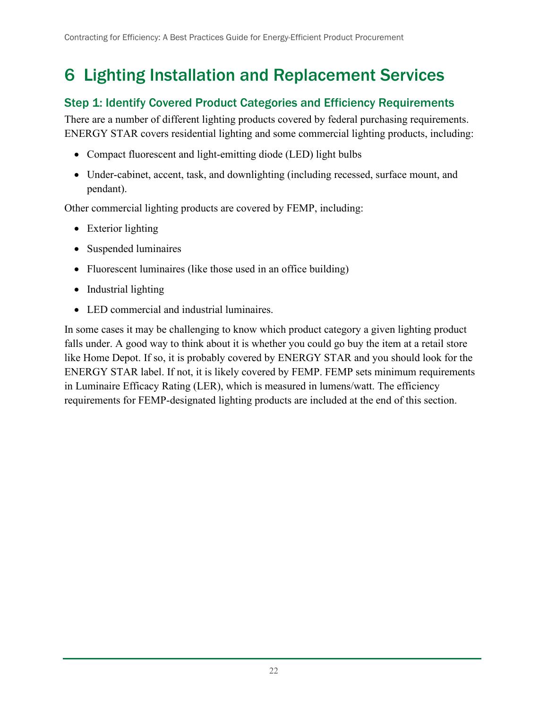## <span id="page-30-0"></span>6 Lighting Installation and Replacement Services

### <span id="page-30-1"></span>Step 1: Identify Covered Product Categories and Efficiency Requirements

There are a number of different lighting products covered by federal purchasing requirements. ENERGY STAR covers residential lighting and some commercial lighting products, including:

- Compact fluorescent and light-emitting diode (LED) light bulbs
- Under-cabinet, accent, task, and downlighting (including recessed, surface mount, and pendant).

Other commercial lighting products are covered by FEMP, including:

- Exterior lighting
- Suspended luminaires
- Fluorescent luminaires (like those used in an office building)
- Industrial lighting
- LED commercial and industrial luminaires.

In some cases it may be challenging to know which product category a given lighting product falls under. A good way to think about it is whether you could go buy the item at a retail store like Home Depot. If so, it is probably covered by ENERGY STAR and you should look for the ENERGY STAR label. If not, it is likely covered by FEMP. FEMP sets minimum requirements in Luminaire Efficacy Rating (LER), which is measured in lumens/watt. The efficiency requirements for FEMP-designated lighting products are included at the end of this section.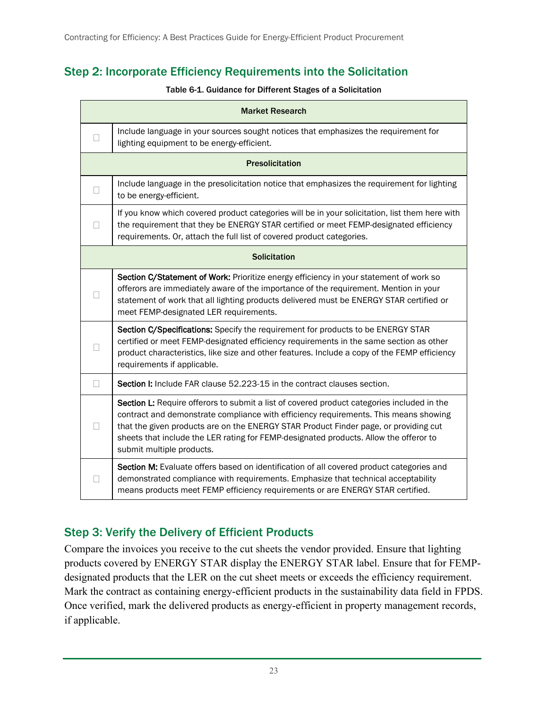### <span id="page-31-2"></span><span id="page-31-0"></span>Step 2: Incorporate Efficiency Requirements into the Solicitation

#### Table 6-1. Guidance for Different Stages of a Solicitation

|              | <b>Market Research</b>                                                                                                                                                                                                                                                                                                                                                                           |  |  |  |
|--------------|--------------------------------------------------------------------------------------------------------------------------------------------------------------------------------------------------------------------------------------------------------------------------------------------------------------------------------------------------------------------------------------------------|--|--|--|
| $\mathbf{L}$ | Include language in your sources sought notices that emphasizes the requirement for<br>lighting equipment to be energy-efficient.                                                                                                                                                                                                                                                                |  |  |  |
|              | <b>Presolicitation</b>                                                                                                                                                                                                                                                                                                                                                                           |  |  |  |
| П            | Include language in the presolicitation notice that emphasizes the requirement for lighting<br>to be energy-efficient.                                                                                                                                                                                                                                                                           |  |  |  |
| $\mathbf{L}$ | If you know which covered product categories will be in your solicitation, list them here with<br>the requirement that they be ENERGY STAR certified or meet FEMP-designated efficiency<br>requirements. Or, attach the full list of covered product categories.                                                                                                                                 |  |  |  |
|              | <b>Solicitation</b>                                                                                                                                                                                                                                                                                                                                                                              |  |  |  |
|              | Section C/Statement of Work: Prioritize energy efficiency in your statement of work so<br>offerors are immediately aware of the importance of the requirement. Mention in your<br>statement of work that all lighting products delivered must be ENERGY STAR certified or<br>meet FEMP-designated LER requirements.                                                                              |  |  |  |
| П            | Section C/Specifications: Specify the requirement for products to be ENERGY STAR<br>certified or meet FEMP-designated efficiency requirements in the same section as other<br>product characteristics, like size and other features. Include a copy of the FEMP efficiency<br>requirements if applicable.                                                                                        |  |  |  |
| $\Box$       | Section I: Include FAR clause 52.223-15 in the contract clauses section.                                                                                                                                                                                                                                                                                                                         |  |  |  |
| Н            | Section L: Require offerors to submit a list of covered product categories included in the<br>contract and demonstrate compliance with efficiency requirements. This means showing<br>that the given products are on the ENERGY STAR Product Finder page, or providing cut<br>sheets that include the LER rating for FEMP-designated products. Allow the offeror to<br>submit multiple products. |  |  |  |
|              | Section M: Evaluate offers based on identification of all covered product categories and<br>demonstrated compliance with requirements. Emphasize that technical acceptability<br>means products meet FEMP efficiency requirements or are ENERGY STAR certified.                                                                                                                                  |  |  |  |

### <span id="page-31-1"></span>Step 3: Verify the Delivery of Efficient Products

Compare the invoices you receive to the cut sheets the vendor provided. Ensure that lighting products covered by ENERGY STAR display the ENERGY STAR label. Ensure that for FEMPdesignated products that the LER on the cut sheet meets or exceeds the efficiency requirement. Mark the contract as containing energy-efficient products in the sustainability data field in FPDS. Once verified, mark the delivered products as energy-efficient in property management records, if applicable.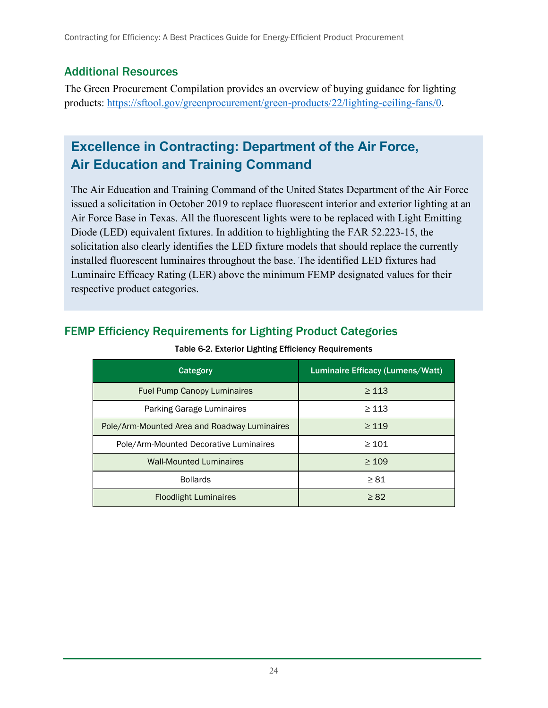#### <span id="page-32-0"></span>Additional Resources

The Green Procurement Compilation provides an overview of buying guidance for lighting products: [https://sftool.gov/greenprocurement/green-products/22/lighting-ceiling-fans/0.](https://sftool.gov/greenprocurement/green-products/22/lighting-ceiling-fans/0)

## **Excellence in Contracting: Department of the Air Force, Air Education and Training Command**

The Air Education and Training Command of the United States Department of the Air Force issued a solicitation in October 2019 to replace fluorescent interior and exterior lighting at an Air Force Base in Texas. All the fluorescent lights were to be replaced with Light Emitting Diode (LED) equivalent fixtures. In addition to highlighting the FAR 52.223-15, the solicitation also clearly identifies the LED fixture models that should replace the currently installed fluorescent luminaires throughout the base. The identified LED fixtures had Luminaire Efficacy Rating (LER) above the minimum FEMP designated values for their respective product categories.

| <b>Category</b>                              | Luminaire Efficacy (Lumens/Watt) |
|----------------------------------------------|----------------------------------|
| <b>Fuel Pump Canopy Luminaires</b>           | $\geq 113$                       |
| Parking Garage Luminaires                    | > 113                            |
| Pole/Arm-Mounted Area and Roadway Luminaires | $\geq 119$                       |
| Pole/Arm-Mounted Decorative Luminaires       | $\geq 101$                       |
| <b>Wall-Mounted Luminaires</b>               | $\geq 109$                       |
| <b>Bollards</b>                              | $\geq 81$                        |
| <b>Floodlight Luminaires</b>                 | $\geq 82$                        |

## <span id="page-32-2"></span><span id="page-32-1"></span>FEMP Efficiency Requirements for Lighting Product Categories

Table 6-2. Exterior Lighting Efficiency Requirements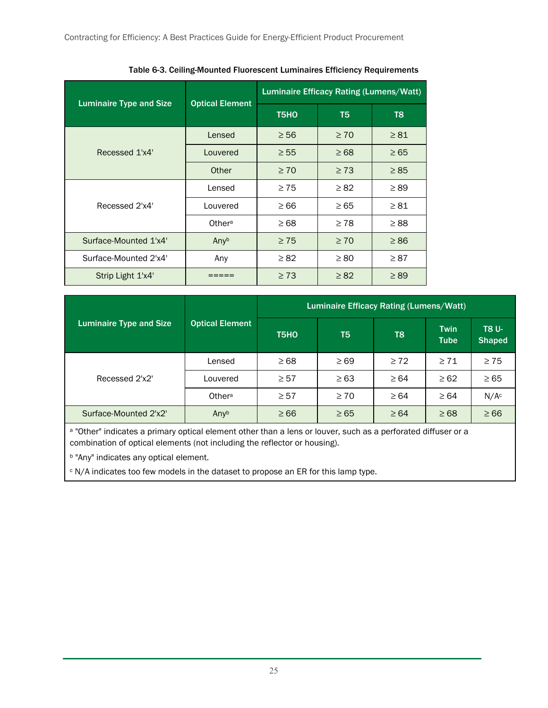<span id="page-33-0"></span>

| <b>Luminaire Type and Size</b> | <b>Optical Element</b> | Luminaire Efficacy Rating (Lumens/Watt) |                |           |  |
|--------------------------------|------------------------|-----------------------------------------|----------------|-----------|--|
|                                |                        | T <sub>5</sub> H <sub>O</sub>           | T <sub>5</sub> | T8        |  |
|                                | Lensed                 | $\geq 56$                               | $\geq 70$      | $\geq 81$ |  |
| Recessed 1'x4'                 | Louvered               | $\geq 55$                               | $\geq 68$      | $\geq 65$ |  |
|                                | Other                  | $\geq 70$                               | $\geq 73$      | $\geq 85$ |  |
|                                | Lensed                 | $\geq 75$                               | $\geq 82$      | $\geq$ 89 |  |
| Recessed 2'x4'                 | Louvered               | $\geq 66$                               | $\geq 65$      | $\geq 81$ |  |
|                                | Othera                 | $\geq 68$                               | $\geq 78$      | $\geq 88$ |  |
| Surface-Mounted 1'x4'          | Anyb                   | $\geq 75$                               | $\geq 70$      | $\geq 86$ |  |
| Surface-Mounted 2'x4'          | Any                    | $\geq 82$                               | $\geq 80$      | $\geq 87$ |  |
| Strip Light 1'x4'              |                        | $\geq 73$                               | $\geq 82$      | $\geq$ 89 |  |

Table 6-3. Ceiling-Mounted Fluorescent Luminaires Efficiency Requirements

|                         |                        | Luminaire Efficacy Rating (Lumens/Watt) |           |                |                            |                               |
|-------------------------|------------------------|-----------------------------------------|-----------|----------------|----------------------------|-------------------------------|
| Luminaire Type and Size | <b>Optical Element</b> | T <sub>5</sub> HO                       | T5        | T <sub>8</sub> | <b>Twin</b><br><b>Tube</b> | <b>T8 U-</b><br><b>Shaped</b> |
| Recessed 2'x2'          | Lensed                 | $\geq 68$                               | $\geq 69$ | $\geq 72$      | $\geq 71$                  | $\geq 75$                     |
|                         | Louvered               | $\geq 57$                               | $\geq 63$ | $\geq 64$      | $\geq 62$                  | $\geq 65$                     |
|                         | Othera                 | $\geq 57$                               | $\geq 70$ | $\geq 64$      | $\geq 64$                  | N/A <sup>c</sup>              |
| Surface-Mounted 2'x2'   | Anyb                   | $\geq 66$                               | $\geq 65$ | $\geq 64$      | $\geq 68$                  | $\geq 66$                     |

a "Other" indicates a primary optical element other than a lens or louver, such as a perforated diffuser or a combination of optical elements (not including the reflector or housing).

**b** "Any" indicates any optical element.

<sup>c</sup> N/A indicates too few models in the dataset to propose an ER for this lamp type.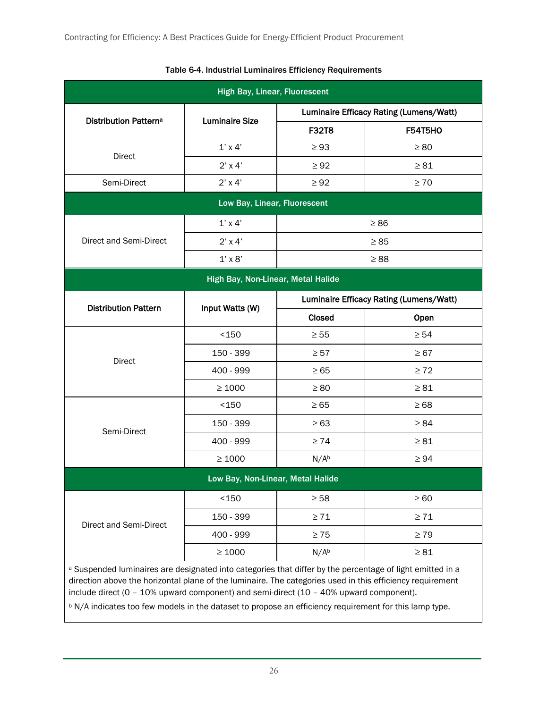<span id="page-34-0"></span>

| <b>High Bay, Linear, Fluorescent</b>                                                                                                                                                                                                                                                                                                                                                                                       |                                    |                                         |                                         |  |
|----------------------------------------------------------------------------------------------------------------------------------------------------------------------------------------------------------------------------------------------------------------------------------------------------------------------------------------------------------------------------------------------------------------------------|------------------------------------|-----------------------------------------|-----------------------------------------|--|
|                                                                                                                                                                                                                                                                                                                                                                                                                            | <b>Luminaire Size</b>              | Luminaire Efficacy Rating (Lumens/Watt) |                                         |  |
| <b>Distribution Patterna</b>                                                                                                                                                                                                                                                                                                                                                                                               |                                    | <b>F32T8</b>                            | <b>F54T5HO</b>                          |  |
| <b>Direct</b>                                                                                                                                                                                                                                                                                                                                                                                                              | $1'$ x 4'                          | $\geq 93$                               | $\geq 80$                               |  |
|                                                                                                                                                                                                                                                                                                                                                                                                                            | $2'$ x 4'                          | $\geq 92$                               | $\geq 81$                               |  |
| Semi-Direct                                                                                                                                                                                                                                                                                                                                                                                                                | $2'$ x 4'                          | $\geq 92$                               | $\geq 70$                               |  |
|                                                                                                                                                                                                                                                                                                                                                                                                                            | Low Bay, Linear, Fluorescent       |                                         |                                         |  |
|                                                                                                                                                                                                                                                                                                                                                                                                                            | $1'$ x 4'                          |                                         | $\geq 86$                               |  |
| Direct and Semi-Direct                                                                                                                                                                                                                                                                                                                                                                                                     | $2'$ x 4'                          |                                         | $\geq 85$                               |  |
|                                                                                                                                                                                                                                                                                                                                                                                                                            | $1' \times 8'$                     |                                         | $\geq 88$                               |  |
|                                                                                                                                                                                                                                                                                                                                                                                                                            | High Bay, Non-Linear, Metal Halide |                                         |                                         |  |
|                                                                                                                                                                                                                                                                                                                                                                                                                            |                                    |                                         | Luminaire Efficacy Rating (Lumens/Watt) |  |
| <b>Distribution Pattern</b>                                                                                                                                                                                                                                                                                                                                                                                                | Input Watts (W)                    | <b>Closed</b>                           | Open                                    |  |
|                                                                                                                                                                                                                                                                                                                                                                                                                            | $150$                              | $\geq 55$                               | $\geq 54$                               |  |
| Direct                                                                                                                                                                                                                                                                                                                                                                                                                     | 150 - 399                          | $\geq 57$                               | $\geq 67$                               |  |
|                                                                                                                                                                                                                                                                                                                                                                                                                            | 400 - 999                          | $\geq 65$                               | $\geq 72$                               |  |
|                                                                                                                                                                                                                                                                                                                                                                                                                            | $\geq 1000$                        | $\geq 80$                               | $\geq 81$                               |  |
|                                                                                                                                                                                                                                                                                                                                                                                                                            | < 150                              | $\geq 65$                               | $\geq 68$                               |  |
| Semi-Direct                                                                                                                                                                                                                                                                                                                                                                                                                | 150 - 399                          | $\geq 63$                               | $\geq 84$                               |  |
|                                                                                                                                                                                                                                                                                                                                                                                                                            | 400 - 999                          | $\geq 74$                               | $\geq 81$                               |  |
|                                                                                                                                                                                                                                                                                                                                                                                                                            | $\geq 1000$                        | N/A <sup>b</sup>                        | $\geq 94$                               |  |
|                                                                                                                                                                                                                                                                                                                                                                                                                            | Low Bay, Non-Linear, Metal Halide  |                                         |                                         |  |
|                                                                                                                                                                                                                                                                                                                                                                                                                            | $150$                              | $\geq 58$                               | $\geq 60$                               |  |
| Direct and Semi-Direct                                                                                                                                                                                                                                                                                                                                                                                                     | 150 - 399                          | $\geq 71$                               | $\geq 71$                               |  |
|                                                                                                                                                                                                                                                                                                                                                                                                                            | 400 - 999                          | $\geq 75$                               | $\geq 79$                               |  |
|                                                                                                                                                                                                                                                                                                                                                                                                                            | $\geq 1000$                        | N/A <sup>b</sup>                        | $\geq 81$                               |  |
| a Suspended luminaires are designated into categories that differ by the percentage of light emitted in a<br>direction above the horizontal plane of the luminaire. The categories used in this efficiency requirement<br>include direct (0 - 10% upward component) and semi-direct (10 - 40% upward component).<br>b N/A indicates too few models in the dataset to propose an efficiency requirement for this lamp type. |                                    |                                         |                                         |  |

#### Table 6-4. Industrial Luminaires Efficiency Requirements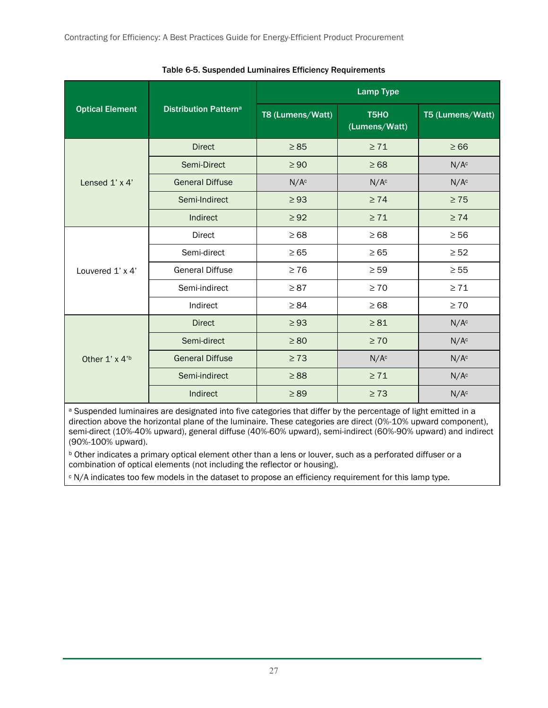<span id="page-35-0"></span>

|                                   |                              | <b>Lamp Type</b> |                       |                  |  |
|-----------------------------------|------------------------------|------------------|-----------------------|------------------|--|
| <b>Optical Element</b>            | <b>Distribution Patterna</b> | T8 (Lumens/Watt) | T5HO<br>(Lumens/Watt) | T5 (Lumens/Watt) |  |
|                                   | <b>Direct</b>                | $\geq 85$        | $\geq 71$             | $\geq 66$        |  |
|                                   | Semi-Direct                  | $\geq 90$        | $\geq 68$             | N/A <sup>c</sup> |  |
| Lensed $1' \times 4'$             | <b>General Diffuse</b>       | N/A <sup>c</sup> | N/A <sup>c</sup>      | N/A <sup>c</sup> |  |
|                                   | Semi-Indirect                | $\geq 93$        | $\geq 74$             | $\geq 75$        |  |
|                                   | Indirect                     | $\geq 92$        | $\geq 71$             | $\geq 74$        |  |
|                                   | Direct                       | $\geq 68$        | $\geq 68$             | $\geq 56$        |  |
|                                   | Semi-direct                  | $\geq 65$        | $\geq 65$             | $\geq 52$        |  |
| Louvered 1' x 4'                  | <b>General Diffuse</b>       | $\geq 76$        | $\geq 59$             | $\geq 55$        |  |
|                                   | Semi-indirect                | $\geq 87$        | $\geq 70$             | $\geq 71$        |  |
|                                   | Indirect                     | $\geq 84$        | $\geq 68$             | $\geq 70$        |  |
| Other $1' \times 4'$ <sup>b</sup> | <b>Direct</b>                | $\geq 93$        | $\geq 81$             | N/A <sup>c</sup> |  |
|                                   | Semi-direct                  | $\geq 80$        | $\geq 70$             | N/A <sup>c</sup> |  |
|                                   | <b>General Diffuse</b>       | $\geq 73$        | N/A <sup>c</sup>      | N/A <sup>c</sup> |  |
|                                   | Semi-indirect                | $\geq 88$        | $\geq 71$             | N/A <sup>c</sup> |  |
|                                   | Indirect                     | $\geq 89$        | $\geq 73$             | N/A <sup>c</sup> |  |

Table 6-5. Suspended Luminaires Efficiency Requirements

a Suspended luminaires are designated into five categories that differ by the percentage of light emitted in a direction above the horizontal plane of the luminaire. These categories are direct (0%-10% upward component), semi-direct (10%-40% upward), general diffuse (40%-60% upward), semi-indirect (60%-90% upward) and indirect (90%-100% upward).

<sup>b</sup> Other indicates a primary optical element other than a lens or louver, such as a perforated diffuser or a combination of optical elements (not including the reflector or housing).

<sup>c</sup> N/A indicates too few models in the dataset to propose an efficiency requirement for this lamp type.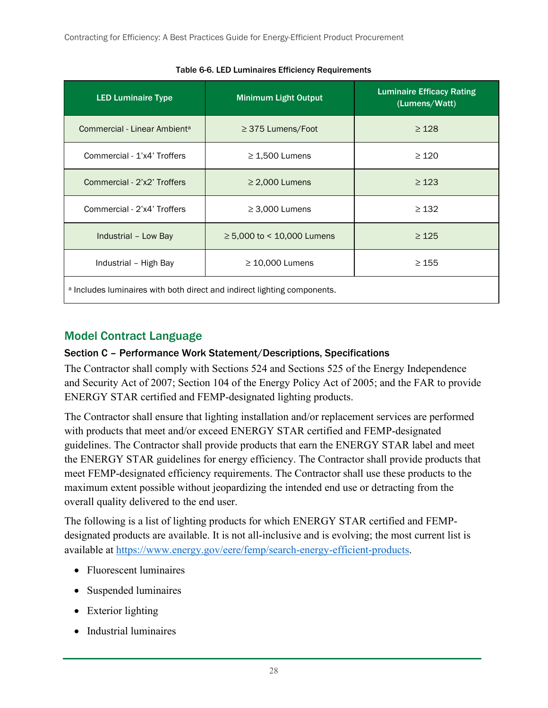<span id="page-36-1"></span>

| <b>LED Luminaire Type</b>                                                | <b>Minimum Light Output</b>  | <b>Luminaire Efficacy Rating</b><br>(Lumens/Watt) |
|--------------------------------------------------------------------------|------------------------------|---------------------------------------------------|
| Commercial - Linear Ambient <sup>a</sup>                                 | $\geq$ 375 Lumens/Foot       | $\geq 128$                                        |
| Commercial - 1'x4' Troffers                                              | $\geq$ 1,500 Lumens          | $\geq$ 120                                        |
| Commercial - 2'x2' Troffers                                              | $\geq$ 2,000 Lumens          | $\geq 123$                                        |
| Commercial - 2'x4' Troffers                                              | $\geq$ 3,000 Lumens          | $\geq$ 132                                        |
| Industrial - Low Bay                                                     | $≥ 5,000$ to < 10,000 Lumens | $\geq 125$                                        |
| Industrial - High Bay                                                    | $\geq$ 10,000 Lumens         | $\geq 155$                                        |
| a Includes luminaires with both direct and indirect lighting components. |                              |                                                   |

Table 6-6. LED Luminaires Efficiency Requirements

### <span id="page-36-0"></span>Model Contract Language

#### Section C – Performance Work Statement/Descriptions, Specifications

The Contractor shall comply with Sections 524 and Sections 525 of the Energy Independence and Security Act of 2007; Section 104 of the Energy Policy Act of 2005; and the FAR to provide ENERGY STAR certified and FEMP-designated lighting products.

The Contractor shall ensure that lighting installation and/or replacement services are performed with products that meet and/or exceed ENERGY STAR certified and FEMP-designated guidelines. The Contractor shall provide products that earn the ENERGY STAR label and meet the ENERGY STAR guidelines for energy efficiency. The Contractor shall provide products that meet FEMP-designated efficiency requirements. The Contractor shall use these products to the maximum extent possible without jeopardizing the intended end use or detracting from the overall quality delivered to the end user.

The following is a list of lighting products for which ENERGY STAR certified and FEMPdesignated products are available. It is not all-inclusive and is evolving; the most current list is available at [https://www.energy.gov/eere/femp/search-energy-efficient-products.](https://www.energy.gov/eere/femp/search-energy-efficient-products)

- Fluorescent luminaires
- Suspended luminaires
- Exterior lighting
- Industrial luminaires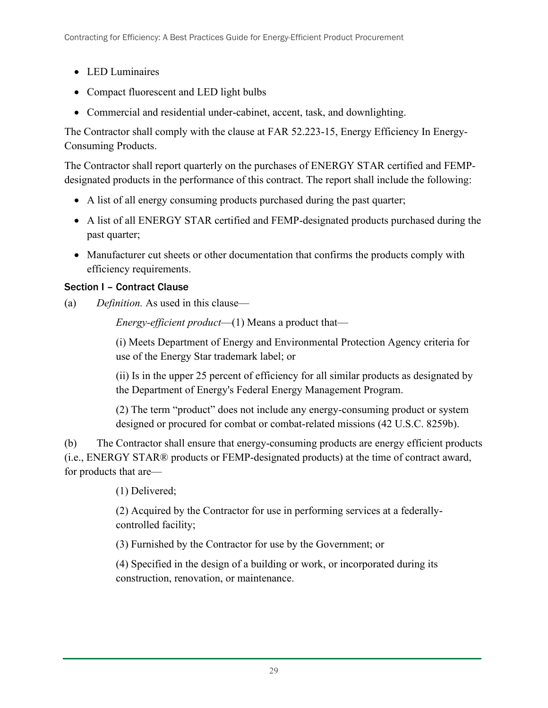- LED Luminaires
- Compact fluorescent and LED light bulbs
- Commercial and residential under-cabinet, accent, task, and downlighting.

The Contractor shall comply with the clause at FAR 52.223-15, Energy Efficiency In Energy-Consuming Products.

The Contractor shall report quarterly on the purchases of ENERGY STAR certified and FEMPdesignated products in the performance of this contract. The report shall include the following:

- A list of all energy consuming products purchased during the past quarter;
- A list of all ENERGY STAR certified and FEMP-designated products purchased during the past quarter;
- Manufacturer cut sheets or other documentation that confirms the products comply with efficiency requirements.

#### Section I – Contract Clause

(a) *Definition.* As used in this clause—

*Energy-efficient product*—(1) Means a product that—

(i) Meets Department of Energy and Environmental Protection Agency criteria for use of the Energy Star trademark label; or

(ii) Is in the upper 25 percent of efficiency for all similar products as designated by the Department of Energy's Federal Energy Management Program.

(2) The term "product" does not include any energy-consuming product or system designed or procured for combat or combat-related missions (42 U.S.C. 8259b).

(b) The Contractor shall ensure that energy-consuming products are energy efficient products (i.e., ENERGY STAR® products or FEMP-designated products) at the time of contract award, for products that are—

(1) Delivered;

(2) Acquired by the Contractor for use in performing services at a federallycontrolled facility;

(3) Furnished by the Contractor for use by the Government; or

(4) Specified in the design of a building or work, or incorporated during its construction, renovation, or maintenance.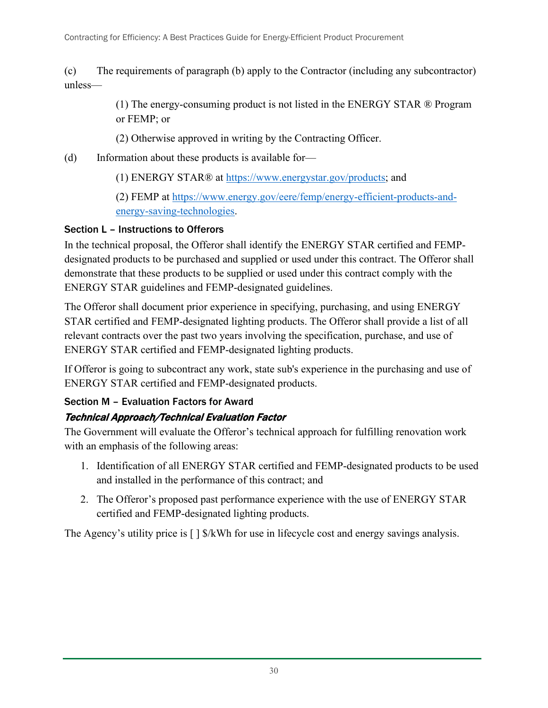(c) The requirements of paragraph (b) apply to the Contractor (including any subcontractor) unless—

> (1) The energy-consuming product is not listed in the ENERGY STAR ® Program or FEMP; or

(2) Otherwise approved in writing by the Contracting Officer.

- (d) Information about these products is available for—
	- (1) ENERGY STAR® at [https://www.energystar.gov/products;](https://www.energystar.gov/products) and

(2) FEMP at [https://www.energy.gov/eere/femp/energy-efficient-products-and](https://www.energy.gov/eere/femp/energy-efficient-products-and-energy-saving-technologies)[energy-saving-technologies.](https://www.energy.gov/eere/femp/energy-efficient-products-and-energy-saving-technologies)

#### Section L – Instructions to Offerors

In the technical proposal, the Offeror shall identify the ENERGY STAR certified and FEMPdesignated products to be purchased and supplied or used under this contract. The Offeror shall demonstrate that these products to be supplied or used under this contract comply with the ENERGY STAR guidelines and FEMP-designated guidelines.

The Offeror shall document prior experience in specifying, purchasing, and using ENERGY STAR certified and FEMP-designated lighting products. The Offeror shall provide a list of all relevant contracts over the past two years involving the specification, purchase, and use of ENERGY STAR certified and FEMP-designated lighting products.

If Offeror is going to subcontract any work, state sub's experience in the purchasing and use of ENERGY STAR certified and FEMP-designated products.

#### Section M – Evaluation Factors for Award

### Technical Approach/Technical Evaluation Factor

The Government will evaluate the Offeror's technical approach for fulfilling renovation work with an emphasis of the following areas:

- 1. Identification of all ENERGY STAR certified and FEMP-designated products to be used and installed in the performance of this contract; and
- 2. The Offeror's proposed past performance experience with the use of ENERGY STAR certified and FEMP-designated lighting products.

The Agency's utility price is  $\lceil \cdot \rceil$  \$/kWh for use in lifecycle cost and energy savings analysis.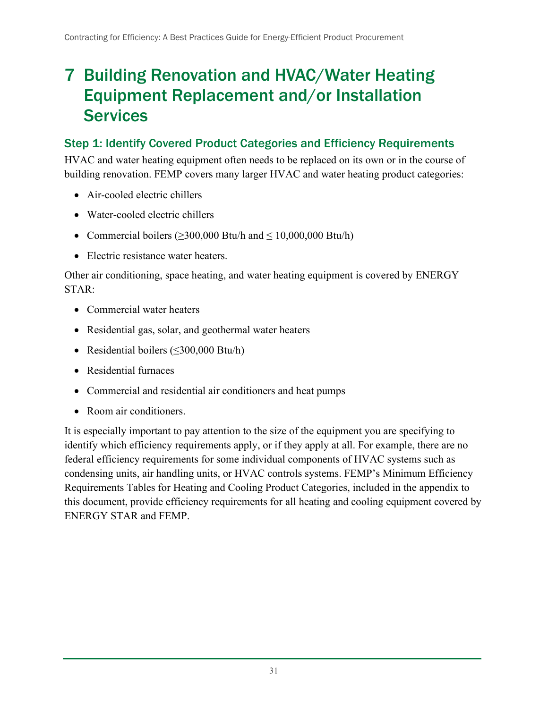## <span id="page-39-0"></span>7 Building Renovation and HVAC/Water Heating Equipment Replacement and/or Installation **Services**

## <span id="page-39-1"></span>Step 1: Identify Covered Product Categories and Efficiency Requirements

HVAC and water heating equipment often needs to be replaced on its own or in the course of building renovation. FEMP covers many larger HVAC and water heating product categories:

- Air-cooled electric chillers
- Water-cooled electric chillers
- Commercial boilers ( $\geq$ 300,000 Btu/h and  $\leq$  10,000,000 Btu/h)
- Electric resistance water heaters.

Other air conditioning, space heating, and water heating equipment is covered by ENERGY STAR:

- Commercial water heaters
- Residential gas, solar, and geothermal water heaters
- Residential boilers (≤300,000 Btu/h)
- Residential furnaces
- Commercial and residential air conditioners and heat pumps
- Room air conditioners.

It is especially important to pay attention to the size of the equipment you are specifying to identify which efficiency requirements apply, or if they apply at all. For example, there are no federal efficiency requirements for some individual components of HVAC systems such as condensing units, air handling units, or HVAC controls systems. FEMP's Minimum Efficiency Requirements Tables for Heating and Cooling Product Categories, included in the appendix to this document, provide efficiency requirements for all heating and cooling equipment covered by ENERGY STAR and FEMP.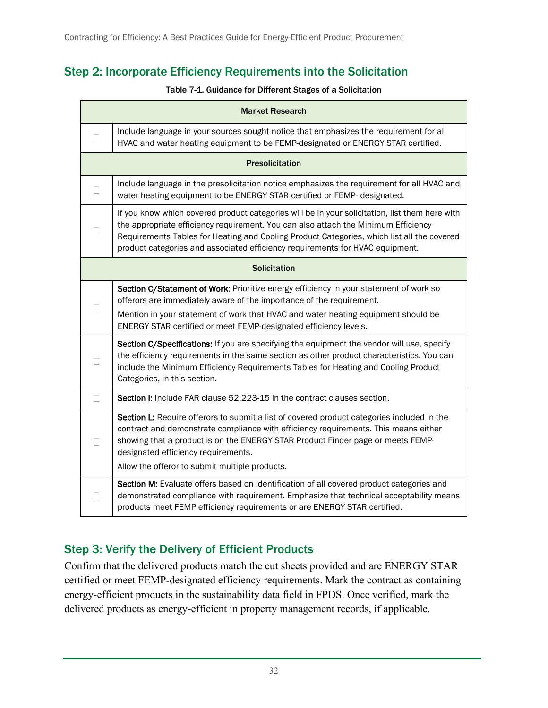## <span id="page-40-2"></span><span id="page-40-0"></span>Step 2: Incorporate Efficiency Requirements into the Solicitation

#### Table 7-1. Guidance for Different Stages of a Solicitation

|              | <b>Market Research</b>                                                                                                                                                                                                                                                                                                                                              |
|--------------|---------------------------------------------------------------------------------------------------------------------------------------------------------------------------------------------------------------------------------------------------------------------------------------------------------------------------------------------------------------------|
| $\mathbf{L}$ | Include language in your sources sought notice that emphasizes the requirement for all<br>HVAC and water heating equipment to be FEMP-designated or ENERGY STAR certified.                                                                                                                                                                                          |
|              | <b>Presolicitation</b>                                                                                                                                                                                                                                                                                                                                              |
| П            | Include language in the presolicitation notice emphasizes the requirement for all HVAC and<br>water heating equipment to be ENERGY STAR certified or FEMP- designated.                                                                                                                                                                                              |
|              | If you know which covered product categories will be in your solicitation, list them here with<br>the appropriate efficiency requirement. You can also attach the Minimum Efficiency<br>Requirements Tables for Heating and Cooling Product Categories, which list all the covered<br>product categories and associated efficiency requirements for HVAC equipment. |
|              | <b>Solicitation</b>                                                                                                                                                                                                                                                                                                                                                 |
|              | Section C/Statement of Work: Prioritize energy efficiency in your statement of work so<br>offerors are immediately aware of the importance of the requirement.<br>Mention in your statement of work that HVAC and water heating equipment should be<br>ENERGY STAR certified or meet FEMP-designated efficiency levels.                                             |
|              | Section C/Specifications: If you are specifying the equipment the vendor will use, specify<br>the efficiency requirements in the same section as other product characteristics. You can<br>include the Minimum Efficiency Requirements Tables for Heating and Cooling Product<br>Categories, in this section.                                                       |
| П            | Section I: Include FAR clause 52.223-15 in the contract clauses section.                                                                                                                                                                                                                                                                                            |
| ĪΤ           | Section L: Require offerors to submit a list of covered product categories included in the<br>contract and demonstrate compliance with efficiency requirements. This means either<br>showing that a product is on the ENERGY STAR Product Finder page or meets FEMP-<br>designated efficiency requirements.<br>Allow the offeror to submit multiple products.       |
|              | Section M: Evaluate offers based on identification of all covered product categories and<br>demonstrated compliance with requirement. Emphasize that technical acceptability means<br>products meet FEMP efficiency requirements or are ENERGY STAR certified.                                                                                                      |

### <span id="page-40-1"></span>Step 3: Verify the Delivery of Efficient Products

Confirm that the delivered products match the cut sheets provided and are ENERGY STAR certified or meet FEMP-designated efficiency requirements. Mark the contract as containing energy-efficient products in the sustainability data field in FPDS. Once verified, mark the delivered products as energy-efficient in property management records, if applicable.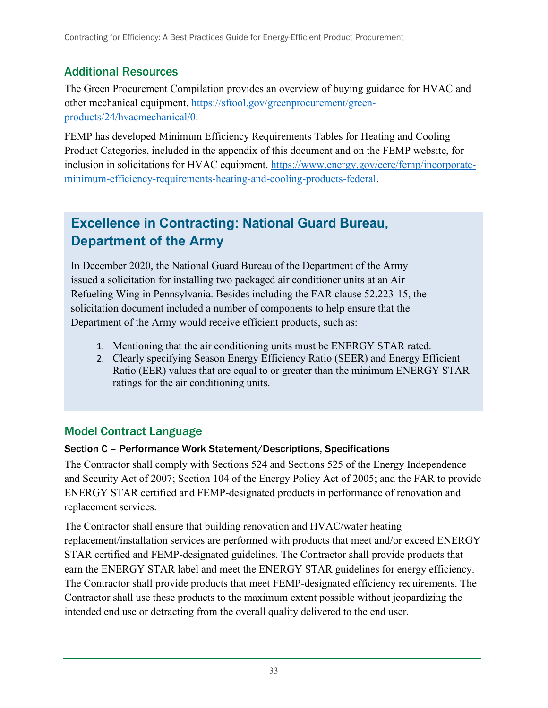## <span id="page-41-0"></span>Additional Resources

The Green Procurement Compilation provides an overview of buying guidance for HVAC and other mechanical equipment. [https://sftool.gov/greenprocurement/green](https://sftool.gov/greenprocurement/green-%20products/24/hvacmechanical/0)[products/24/hvacmechanical/0.](https://sftool.gov/greenprocurement/green-%20products/24/hvacmechanical/0)

FEMP has developed Minimum Efficiency Requirements Tables for Heating and Cooling Product Categories, included in the appendix of this document and on the FEMP website, for inclusion in solicitations for HVAC equipment. [https://www.energy.gov/eere/femp/incorporate](https://www.energy.gov/eere/femp/incorporate-minimum-efficiency-requirements-heating-and-cooling-products-federal)[minimum-efficiency-requirements-heating-and-cooling-products-federal.](https://www.energy.gov/eere/femp/incorporate-minimum-efficiency-requirements-heating-and-cooling-products-federal)

## **Excellence in Contracting: National Guard Bureau, Department of the Army**

In December 2020, the National Guard Bureau of the Department of the Army issued a solicitation for installing two packaged air conditioner units at an Air Refueling Wing in Pennsylvania. Besides including the FAR clause 52.223-15, the solicitation document included a number of components to help ensure that the Department of the Army would receive efficient products, such as:

- 1. Mentioning that the air conditioning units must be ENERGY STAR rated.
- 2. Clearly specifying Season Energy Efficiency Ratio (SEER) and Energy Efficient Ratio (EER) values that are equal to or greater than the minimum ENERGY STAR ratings for the air conditioning units.

## <span id="page-41-1"></span>Model Contract Language

#### Section C – Performance Work Statement/Descriptions, Specifications

The Contractor shall comply with Sections 524 and Sections 525 of the Energy Independence and Security Act of 2007; Section 104 of the Energy Policy Act of 2005; and the FAR to provide ENERGY STAR certified and FEMP-designated products in performance of renovation and replacement services.

The Contractor shall ensure that building renovation and HVAC/water heating replacement/installation services are performed with products that meet and/or exceed ENERGY STAR certified and FEMP-designated guidelines. The Contractor shall provide products that earn the ENERGY STAR label and meet the ENERGY STAR guidelines for energy efficiency. The Contractor shall provide products that meet FEMP-designated efficiency requirements. The Contractor shall use these products to the maximum extent possible without jeopardizing the intended end use or detracting from the overall quality delivered to the end user.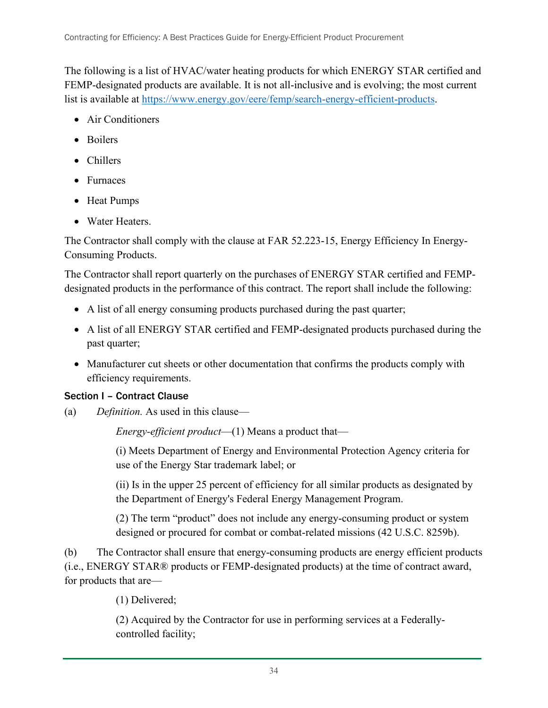The following is a list of HVAC/water heating products for which ENERGY STAR certified and FEMP-designated products are available. It is not all-inclusive and is evolving; the most current list is available at [https://www.energy.gov/eere/femp/search-energy-efficient-products.](https://www.energy.gov/eere/femp/search-energy-efficient-products)

- Air Conditioners
- Boilers
- Chillers
- Furnaces
- Heat Pumps
- Water Heaters.

The Contractor shall comply with the clause at FAR 52.223-15, Energy Efficiency In Energy-Consuming Products.

The Contractor shall report quarterly on the purchases of ENERGY STAR certified and FEMPdesignated products in the performance of this contract. The report shall include the following:

- A list of all energy consuming products purchased during the past quarter;
- A list of all ENERGY STAR certified and FEMP-designated products purchased during the past quarter;
- Manufacturer cut sheets or other documentation that confirms the products comply with efficiency requirements.

#### Section I – Contract Clause

(a) *Definition.* As used in this clause—

*Energy-efficient product*—(1) Means a product that—

(i) Meets Department of Energy and Environmental Protection Agency criteria for use of the Energy Star trademark label; or

(ii) Is in the upper 25 percent of efficiency for all similar products as designated by the Department of Energy's Federal Energy Management Program.

(2) The term "product" does not include any energy-consuming product or system designed or procured for combat or combat-related missions (42 U.S.C. 8259b).

(b) The Contractor shall ensure that energy-consuming products are energy efficient products (i.e., ENERGY STAR® products or FEMP-designated products) at the time of contract award, for products that are—

(1) Delivered;

(2) Acquired by the Contractor for use in performing services at a Federallycontrolled facility;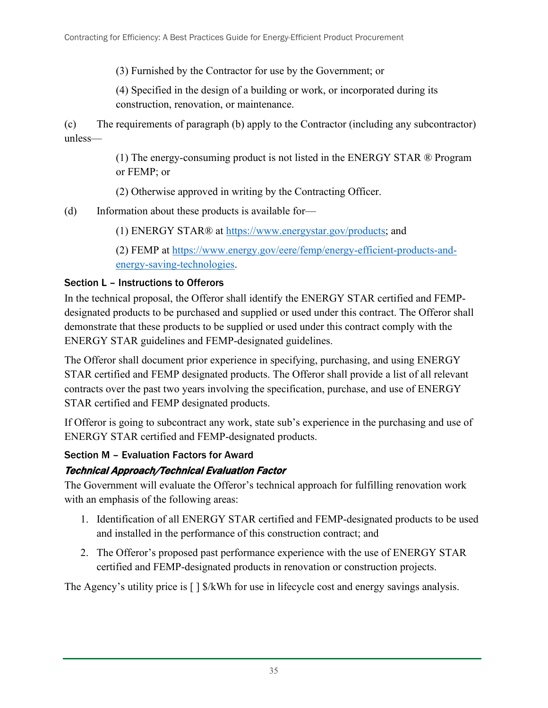(3) Furnished by the Contractor for use by the Government; or

(4) Specified in the design of a building or work, or incorporated during its construction, renovation, or maintenance.

(c) The requirements of paragraph (b) apply to the Contractor (including any subcontractor) unless—

> (1) The energy-consuming product is not listed in the ENERGY STAR ® Program or FEMP; or

(2) Otherwise approved in writing by the Contracting Officer.

(d) Information about these products is available for—

(1) ENERGY STAR® at [https://www.energystar.gov/products;](https://www.energystar.gov/products) and

(2) FEMP at [https://www.energy.gov/eere/femp/energy-efficient-products-and](https://www.energy.gov/eere/femp/energy-efficient-products-and-energy-saving-technologies)[energy-saving-technologies.](https://www.energy.gov/eere/femp/energy-efficient-products-and-energy-saving-technologies)

#### Section L – Instructions to Offerors

In the technical proposal, the Offeror shall identify the ENERGY STAR certified and FEMPdesignated products to be purchased and supplied or used under this contract. The Offeror shall demonstrate that these products to be supplied or used under this contract comply with the ENERGY STAR guidelines and FEMP-designated guidelines.

The Offeror shall document prior experience in specifying, purchasing, and using ENERGY STAR certified and FEMP designated products. The Offeror shall provide a list of all relevant contracts over the past two years involving the specification, purchase, and use of ENERGY STAR certified and FEMP designated products.

If Offeror is going to subcontract any work, state sub's experience in the purchasing and use of ENERGY STAR certified and FEMP-designated products.

#### Section M – Evaluation Factors for Award

#### Technical Approach/Technical Evaluation Factor

The Government will evaluate the Offeror's technical approach for fulfilling renovation work with an emphasis of the following areas:

- 1. Identification of all ENERGY STAR certified and FEMP-designated products to be used and installed in the performance of this construction contract; and
- 2. The Offeror's proposed past performance experience with the use of ENERGY STAR certified and FEMP-designated products in renovation or construction projects.

The Agency's utility price is  $\lceil \cdot \rceil$  \$/kWh for use in lifecycle cost and energy savings analysis.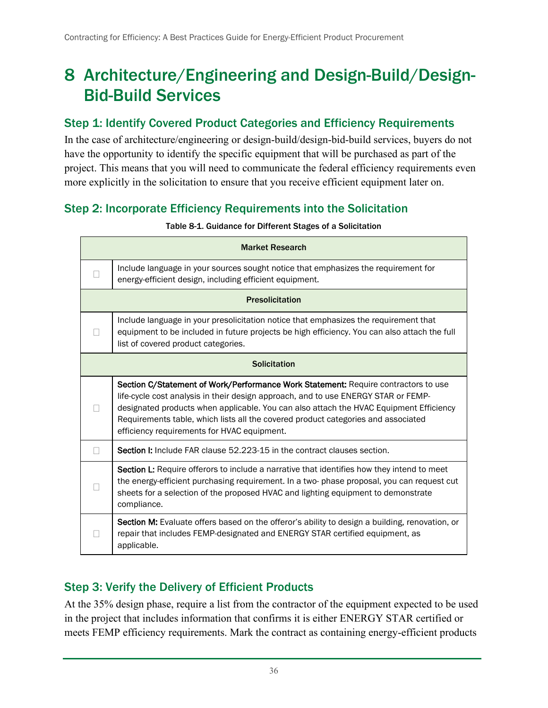## <span id="page-44-0"></span>8 Architecture/Engineering and Design-Build/Design-Bid-Build Services

#### <span id="page-44-1"></span>Step 1: Identify Covered Product Categories and Efficiency Requirements

In the case of architecture/engineering or design-build/design-bid-build services, buyers do not have the opportunity to identify the specific equipment that will be purchased as part of the project. This means that you will need to communicate the federal efficiency requirements even more explicitly in the solicitation to ensure that you receive efficient equipment later on.

### <span id="page-44-4"></span><span id="page-44-2"></span>Step 2: Incorporate Efficiency Requirements into the Solicitation

|   | <b>Market Research</b>                                                                                                                                                                                                                                                                                                                                                                                 |
|---|--------------------------------------------------------------------------------------------------------------------------------------------------------------------------------------------------------------------------------------------------------------------------------------------------------------------------------------------------------------------------------------------------------|
|   | Include language in your sources sought notice that emphasizes the requirement for<br>energy-efficient design, including efficient equipment.                                                                                                                                                                                                                                                          |
|   | <b>Presolicitation</b>                                                                                                                                                                                                                                                                                                                                                                                 |
|   | Include language in your presolicitation notice that emphasizes the requirement that<br>equipment to be included in future projects be high efficiency. You can also attach the full<br>list of covered product categories.                                                                                                                                                                            |
|   | <b>Solicitation</b>                                                                                                                                                                                                                                                                                                                                                                                    |
|   | Section C/Statement of Work/Performance Work Statement: Require contractors to use<br>life-cycle cost analysis in their design approach, and to use ENERGY STAR or FEMP-<br>designated products when applicable. You can also attach the HVAC Equipment Efficiency<br>Requirements table, which lists all the covered product categories and associated<br>efficiency requirements for HVAC equipment. |
| П | Section I: Include FAR clause 52.223-15 in the contract clauses section.                                                                                                                                                                                                                                                                                                                               |
|   | Section L: Require offerors to include a narrative that identifies how they intend to meet<br>the energy-efficient purchasing requirement. In a two-phase proposal, you can request cut<br>sheets for a selection of the proposed HVAC and lighting equipment to demonstrate<br>compliance.                                                                                                            |
|   | Section M: Evaluate offers based on the offeror's ability to design a building, renovation, or<br>repair that includes FEMP-designated and ENERGY STAR certified equipment, as<br>applicable.                                                                                                                                                                                                          |

#### Table 8-1. Guidance for Different Stages of a Solicitation

### <span id="page-44-3"></span>Step 3: Verify the Delivery of Efficient Products

At the 35% design phase, require a list from the contractor of the equipment expected to be used in the project that includes information that confirms it is either ENERGY STAR certified or meets FEMP efficiency requirements. Mark the contract as containing energy-efficient products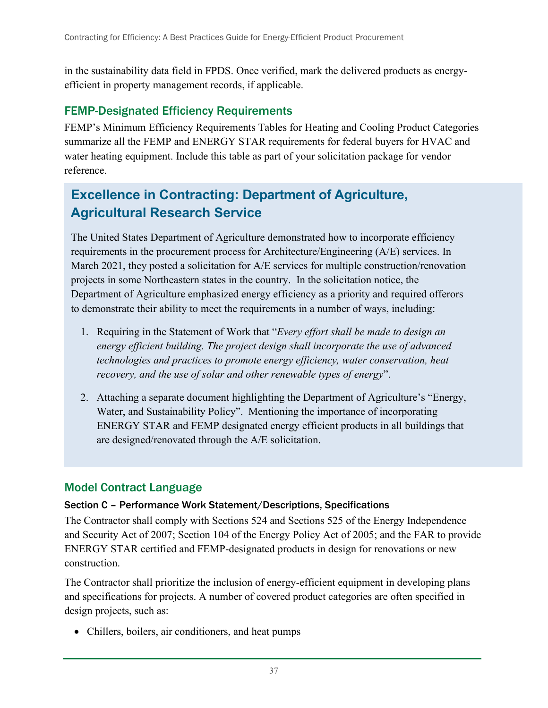in the sustainability data field in FPDS. Once verified, mark the delivered products as energyefficient in property management records, if applicable.

#### <span id="page-45-0"></span>FEMP-Designated Efficiency Requirements

FEMP's Minimum Efficiency Requirements Tables for Heating and Cooling Product Categories summarize all the FEMP and ENERGY STAR requirements for federal buyers for HVAC and water heating equipment. Include this table as part of your solicitation package for vendor reference.

## **Excellence in Contracting: Department of Agriculture, Agricultural Research Service**

The United States Department of Agriculture demonstrated how to incorporate efficiency requirements in the procurement process for Architecture/Engineering (A/E) services. In March 2021, they posted a solicitation for A/E services for multiple construction/renovation projects in some Northeastern states in the country. In the solicitation notice, the Department of Agriculture emphasized energy efficiency as a priority and required offerors to demonstrate their ability to meet the requirements in a number of ways, including:

- 1. Requiring in the Statement of Work that "*Every effort shall be made to design an energy efficient building. The project design shall incorporate the use of advanced technologies and practices to promote energy efficiency, water conservation, heat recovery, and the use of solar and other renewable types of energy*".
- 2. Attaching a separate document highlighting the Department of Agriculture's "Energy, Water, and Sustainability Policy". Mentioning the importance of incorporating ENERGY STAR and FEMP designated energy efficient products in all buildings that are designed/renovated through the A/E solicitation.

#### <span id="page-45-1"></span>Model Contract Language

#### Section C – Performance Work Statement/Descriptions, Specifications

The Contractor shall comply with Sections 524 and Sections 525 of the Energy Independence and Security Act of 2007; Section 104 of the Energy Policy Act of 2005; and the FAR to provide ENERGY STAR certified and FEMP-designated products in design for renovations or new construction.

The Contractor shall prioritize the inclusion of energy-efficient equipment in developing plans and specifications for projects. A number of covered product categories are often specified in design projects, such as:

• Chillers, boilers, air conditioners, and heat pumps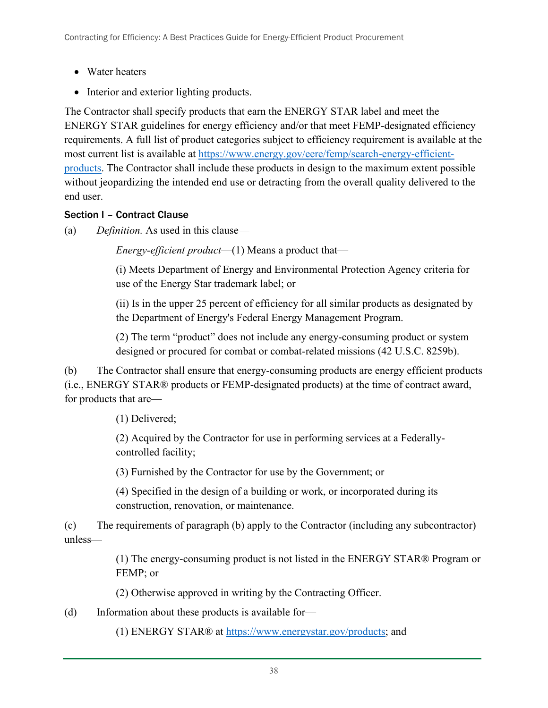- Water heaters
- Interior and exterior lighting products.

The Contractor shall specify products that earn the ENERGY STAR label and meet the ENERGY STAR guidelines for energy efficiency and/or that meet FEMP-designated efficiency requirements. A full list of product categories subject to efficiency requirement is available at the most current list is available at [https://www.energy.gov/eere/femp/search-energy-efficient](https://www.energy.gov/eere/femp/search-energy-efficient-products)[products.](https://www.energy.gov/eere/femp/search-energy-efficient-products) The Contractor shall include these products in design to the maximum extent possible without jeopardizing the intended end use or detracting from the overall quality delivered to the end user.

#### Section I – Contract Clause

(a) *Definition.* As used in this clause—

*Energy-efficient product*—(1) Means a product that—

(i) Meets Department of Energy and Environmental Protection Agency criteria for use of the Energy Star trademark label; or

(ii) Is in the upper 25 percent of efficiency for all similar products as designated by the Department of Energy's Federal Energy Management Program.

(2) The term "product" does not include any energy-consuming product or system designed or procured for combat or combat-related missions (42 U.S.C. 8259b).

(b) The Contractor shall ensure that energy-consuming products are energy efficient products (i.e., ENERGY STAR® products or FEMP-designated products) at the time of contract award, for products that are—

(1) Delivered;

(2) Acquired by the Contractor for use in performing services at a Federallycontrolled facility;

(3) Furnished by the Contractor for use by the Government; or

(4) Specified in the design of a building or work, or incorporated during its construction, renovation, or maintenance.

(c) The requirements of paragraph (b) apply to the Contractor (including any subcontractor) unless—

> (1) The energy-consuming product is not listed in the ENERGY STAR® Program or FEMP; or

(2) Otherwise approved in writing by the Contracting Officer.

(d) Information about these products is available for—

(1) ENERGY STAR® at [https://www.energystar.gov/products;](https://www.energystar.gov/products) and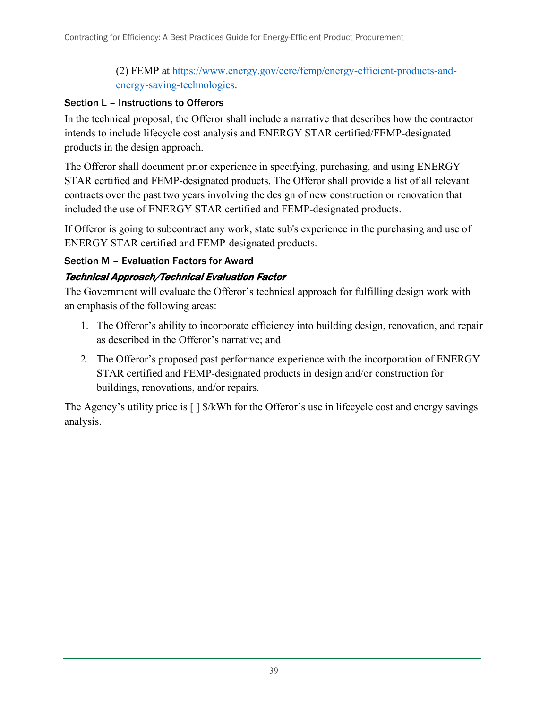#### (2) FEMP at [https://www.energy.gov/eere/femp/energy-efficient-products-and](https://www.energy.gov/eere/femp/energy-efficient-products-and-energy-saving-technologies)[energy-saving-technologies.](https://www.energy.gov/eere/femp/energy-efficient-products-and-energy-saving-technologies)

#### Section L – Instructions to Offerors

In the technical proposal, the Offeror shall include a narrative that describes how the contractor intends to include lifecycle cost analysis and ENERGY STAR certified/FEMP-designated products in the design approach.

The Offeror shall document prior experience in specifying, purchasing, and using ENERGY STAR certified and FEMP-designated products. The Offeror shall provide a list of all relevant contracts over the past two years involving the design of new construction or renovation that included the use of ENERGY STAR certified and FEMP-designated products.

If Offeror is going to subcontract any work, state sub's experience in the purchasing and use of ENERGY STAR certified and FEMP-designated products.

#### Section M – Evaluation Factors for Award

#### Technical Approach/Technical Evaluation Factor

The Government will evaluate the Offeror's technical approach for fulfilling design work with an emphasis of the following areas:

- 1. The Offeror's ability to incorporate efficiency into building design, renovation, and repair as described in the Offeror's narrative; and
- 2. The Offeror's proposed past performance experience with the incorporation of ENERGY STAR certified and FEMP-designated products in design and/or construction for buildings, renovations, and/or repairs.

The Agency's utility price is  $\lceil \frac{1}{2} \cdot \frac{1}{2} \cdot \frac{1}{2} \cdot \frac{1}{2} \cdot \frac{1}{2} \cdot \frac{1}{2} \cdot \frac{1}{2} \cdot \frac{1}{2} \cdot \frac{1}{2} \cdot \frac{1}{2} \cdot \frac{1}{2} \cdot \frac{1}{2} \cdot \frac{1}{2} \cdot \frac{1}{2} \cdot \frac{1}{2} \cdot \frac{1}{2} \cdot \frac{1}{2} \cdot \frac{1}{2} \cdot \frac{1}{2} \cdot \frac{1}{2} \cdot \frac{1}{2} \$ analysis.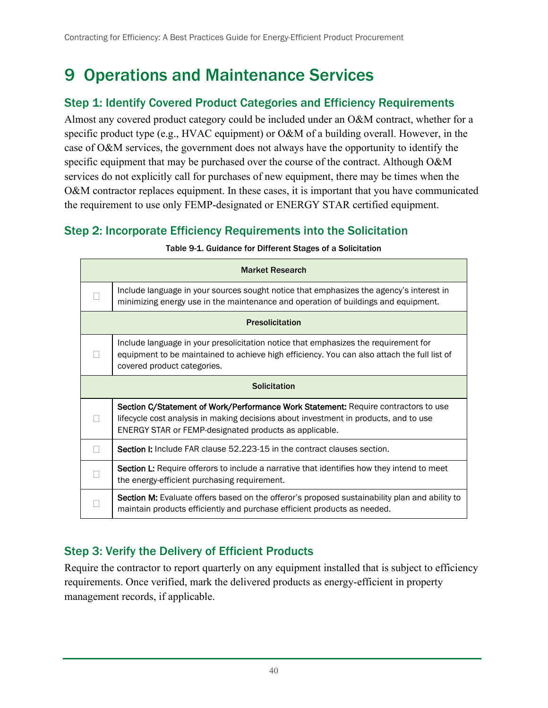## <span id="page-48-0"></span>9 Operations and Maintenance Services

### <span id="page-48-1"></span>Step 1: Identify Covered Product Categories and Efficiency Requirements

Almost any covered product category could be included under an O&M contract, whether for a specific product type (e.g., HVAC equipment) or O&M of a building overall. However, in the case of O&M services, the government does not always have the opportunity to identify the specific equipment that may be purchased over the course of the contract. Although O&M services do not explicitly call for purchases of new equipment, there may be times when the O&M contractor replaces equipment. In these cases, it is important that you have communicated the requirement to use only FEMP-designated or ENERGY STAR certified equipment.

### <span id="page-48-4"></span><span id="page-48-2"></span>Step 2: Incorporate Efficiency Requirements into the Solicitation

| <b>Market Research</b>                                                                                                                                                                                                               |
|--------------------------------------------------------------------------------------------------------------------------------------------------------------------------------------------------------------------------------------|
| Include language in your sources sought notice that emphasizes the agency's interest in<br>minimizing energy use in the maintenance and operation of buildings and equipment.                                                        |
| <b>Presolicitation</b>                                                                                                                                                                                                               |
| Include language in your presolicitation notice that emphasizes the requirement for<br>equipment to be maintained to achieve high efficiency. You can also attach the full list of<br>covered product categories.                    |
| <b>Solicitation</b>                                                                                                                                                                                                                  |
| Section C/Statement of Work/Performance Work Statement: Require contractors to use<br>lifecycle cost analysis in making decisions about investment in products, and to use<br>ENERGY STAR or FEMP-designated products as applicable. |
| <b>Section I:</b> Include FAR clause 52.223-15 in the contract clauses section.                                                                                                                                                      |
| <b>Section L:</b> Require offerors to include a narrative that identifies how they intend to meet<br>the energy-efficient purchasing requirement.                                                                                    |
| <b>Section M:</b> Evaluate offers based on the offeror's proposed sustainability plan and ability to<br>maintain products efficiently and purchase efficient products as needed.                                                     |

#### Table 9-1. Guidance for Different Stages of a Solicitation

### <span id="page-48-3"></span>Step 3: Verify the Delivery of Efficient Products

Require the contractor to report quarterly on any equipment installed that is subject to efficiency requirements. Once verified, mark the delivered products as energy-efficient in property management records, if applicable.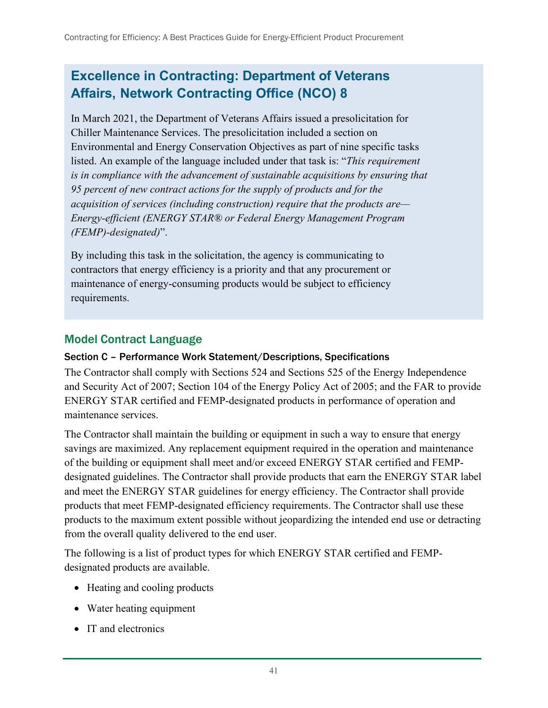## **Excellence in Contracting: Department of Veterans Affairs, Network Contracting Office (NCO) 8**

In March 2021, the Department of Veterans Affairs issued a presolicitation for Chiller Maintenance Services. The presolicitation included a section on Environmental and Energy Conservation Objectives as part of nine specific tasks listed. An example of the language included under that task is: "*This requirement is in compliance with the advancement of sustainable acquisitions by ensuring that 95 percent of new contract actions for the supply of products and for the acquisition of services (including construction) require that the products are— Energy‐efficient (ENERGY STAR® or Federal Energy Management Program (FEMP)‐designated)*".

By including this task in the solicitation, the agency is communicating to contractors that energy efficiency is a priority and that any procurement or maintenance of energy-consuming products would be subject to efficiency requirements.

#### <span id="page-49-0"></span>Model Contract Language

#### Section C – Performance Work Statement/Descriptions, Specifications

The Contractor shall comply with Sections 524 and Sections 525 of the Energy Independence and Security Act of 2007; Section 104 of the Energy Policy Act of 2005; and the FAR to provide ENERGY STAR certified and FEMP-designated products in performance of operation and maintenance services.

The Contractor shall maintain the building or equipment in such a way to ensure that energy savings are maximized. Any replacement equipment required in the operation and maintenance of the building or equipment shall meet and/or exceed ENERGY STAR certified and FEMPdesignated guidelines. The Contractor shall provide products that earn the ENERGY STAR label and meet the ENERGY STAR guidelines for energy efficiency. The Contractor shall provide products that meet FEMP-designated efficiency requirements. The Contractor shall use these products to the maximum extent possible without jeopardizing the intended end use or detracting from the overall quality delivered to the end user.

The following is a list of product types for which ENERGY STAR certified and FEMPdesignated products are available.

- Heating and cooling products
- Water heating equipment
- IT and electronics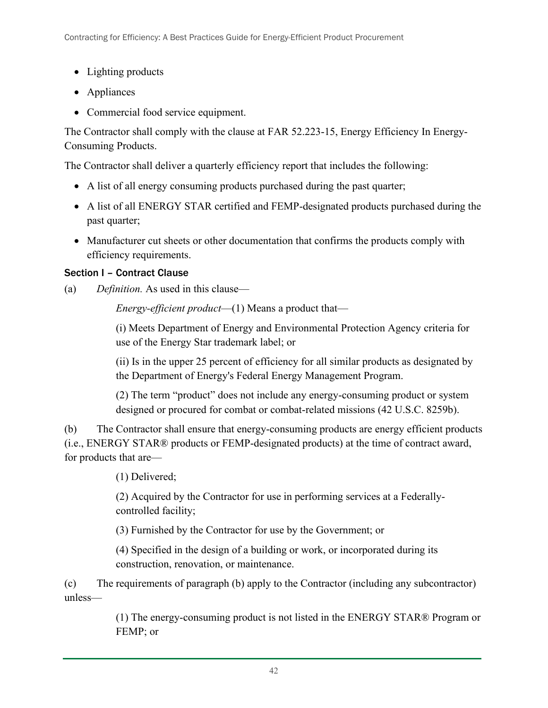- Lighting products
- Appliances
- Commercial food service equipment.

The Contractor shall comply with the clause at FAR 52.223-15, Energy Efficiency In Energy-Consuming Products.

The Contractor shall deliver a quarterly efficiency report that includes the following:

- A list of all energy consuming products purchased during the past quarter;
- A list of all ENERGY STAR certified and FEMP-designated products purchased during the past quarter;
- Manufacturer cut sheets or other documentation that confirms the products comply with efficiency requirements.

### Section I – Contract Clause

(a) *Definition.* As used in this clause—

*Energy-efficient product*—(1) Means a product that—

(i) Meets Department of Energy and Environmental Protection Agency criteria for use of the Energy Star trademark label; or

(ii) Is in the upper 25 percent of efficiency for all similar products as designated by the Department of Energy's Federal Energy Management Program.

(2) The term "product" does not include any energy-consuming product or system designed or procured for combat or combat-related missions (42 U.S.C. 8259b).

(b) The Contractor shall ensure that energy-consuming products are energy efficient products (i.e., ENERGY STAR® products or FEMP-designated products) at the time of contract award, for products that are—

(1) Delivered;

(2) Acquired by the Contractor for use in performing services at a Federallycontrolled facility;

(3) Furnished by the Contractor for use by the Government; or

(4) Specified in the design of a building or work, or incorporated during its construction, renovation, or maintenance.

(c) The requirements of paragraph (b) apply to the Contractor (including any subcontractor) unless—

> (1) The energy-consuming product is not listed in the ENERGY STAR® Program or FEMP; or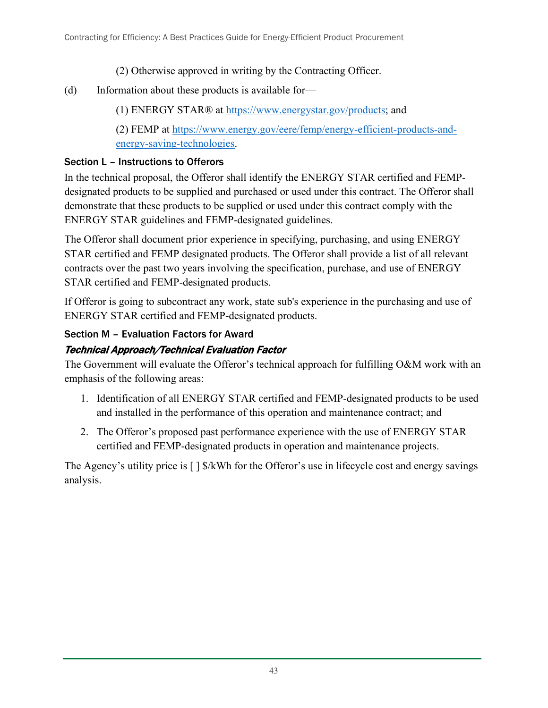- (2) Otherwise approved in writing by the Contracting Officer.
- (d) Information about these products is available for—
	- (1) ENERGY STAR® at [https://www.energystar.gov/products;](https://www.energystar.gov/products) and
	- (2) FEMP at [https://www.energy.gov/eere/femp/energy-efficient-products-and](https://www.energy.gov/eere/femp/energy-efficient-products-and-energy-saving-technologies)[energy-saving-technologies.](https://www.energy.gov/eere/femp/energy-efficient-products-and-energy-saving-technologies)

#### Section L – Instructions to Offerors

In the technical proposal, the Offeror shall identify the ENERGY STAR certified and FEMPdesignated products to be supplied and purchased or used under this contract. The Offeror shall demonstrate that these products to be supplied or used under this contract comply with the ENERGY STAR guidelines and FEMP-designated guidelines.

The Offeror shall document prior experience in specifying, purchasing, and using ENERGY STAR certified and FEMP designated products. The Offeror shall provide a list of all relevant contracts over the past two years involving the specification, purchase, and use of ENERGY STAR certified and FEMP-designated products.

If Offeror is going to subcontract any work, state sub's experience in the purchasing and use of ENERGY STAR certified and FEMP-designated products.

### Section M – Evaluation Factors for Award

### Technical Approach/Technical Evaluation Factor

The Government will evaluate the Offeror's technical approach for fulfilling O&M work with an emphasis of the following areas:

- 1. Identification of all ENERGY STAR certified and FEMP-designated products to be used and installed in the performance of this operation and maintenance contract; and
- 2. The Offeror's proposed past performance experience with the use of ENERGY STAR certified and FEMP-designated products in operation and maintenance projects.

The Agency's utility price is  $\lceil \frac{1}{2} \cdot \frac{1}{2} \cdot \frac{1}{2} \cdot \frac{1}{2} \cdot \frac{1}{2} \cdot \frac{1}{2} \cdot \frac{1}{2} \cdot \frac{1}{2} \cdot \frac{1}{2} \cdot \frac{1}{2} \cdot \frac{1}{2} \cdot \frac{1}{2} \cdot \frac{1}{2} \cdot \frac{1}{2} \cdot \frac{1}{2} \cdot \frac{1}{2} \cdot \frac{1}{2} \cdot \frac{1}{2} \cdot \frac{1}{2} \cdot \frac{1}{2} \cdot \frac{1}{2} \$ analysis.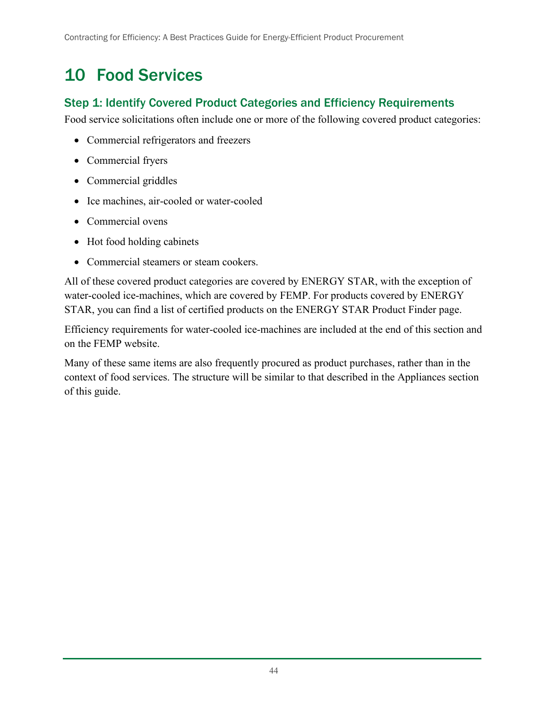## <span id="page-52-0"></span>10 Food Services

#### <span id="page-52-1"></span>Step 1: Identify Covered Product Categories and Efficiency Requirements

Food service solicitations often include one or more of the following covered product categories:

- Commercial refrigerators and freezers
- Commercial fryers
- Commercial griddles
- Ice machines, air-cooled or water-cooled
- Commercial ovens
- Hot food holding cabinets
- Commercial steamers or steam cookers.

All of these covered product categories are covered by ENERGY STAR, with the exception of water-cooled ice-machines, which are covered by FEMP. For products covered by ENERGY STAR, you can find a list of certified products on the ENERGY STAR Product Finder page.

Efficiency requirements for water-cooled ice-machines are included at the end of this section and on the FEMP website.

Many of these same items are also frequently procured as product purchases, rather than in the context of food services. The structure will be similar to that described in the Appliances section of this guide.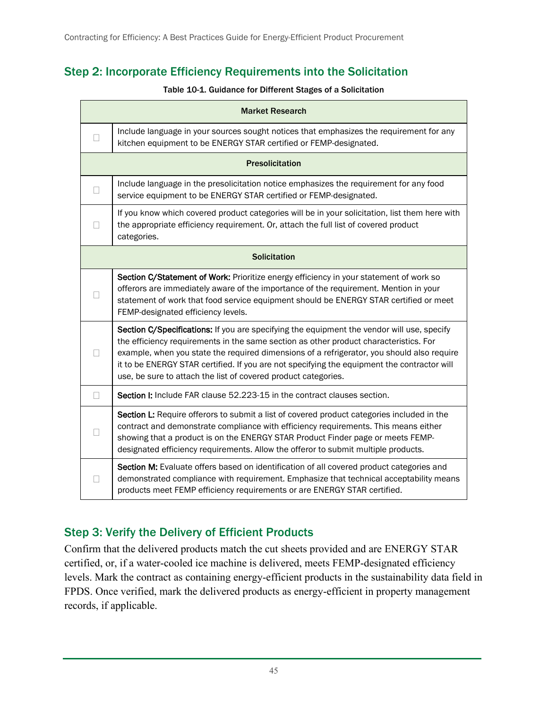## <span id="page-53-2"></span><span id="page-53-0"></span>Step 2: Incorporate Efficiency Requirements into the Solicitation

#### Table 10-1. Guidance for Different Stages of a Solicitation

|        | <b>Market Research</b>                                                                                                                                                                                                                                                                                                                                                                                                                             |
|--------|----------------------------------------------------------------------------------------------------------------------------------------------------------------------------------------------------------------------------------------------------------------------------------------------------------------------------------------------------------------------------------------------------------------------------------------------------|
| $\Box$ | Include language in your sources sought notices that emphasizes the requirement for any<br>kitchen equipment to be ENERGY STAR certified or FEMP-designated.                                                                                                                                                                                                                                                                                       |
|        | <b>Presolicitation</b>                                                                                                                                                                                                                                                                                                                                                                                                                             |
| П      | Include language in the presolicitation notice emphasizes the requirement for any food<br>service equipment to be ENERGY STAR certified or FEMP-designated.                                                                                                                                                                                                                                                                                        |
|        | If you know which covered product categories will be in your solicitation, list them here with<br>the appropriate efficiency requirement. Or, attach the full list of covered product<br>categories.                                                                                                                                                                                                                                               |
|        | <b>Solicitation</b>                                                                                                                                                                                                                                                                                                                                                                                                                                |
|        | Section C/Statement of Work: Prioritize energy efficiency in your statement of work so<br>offerors are immediately aware of the importance of the requirement. Mention in your<br>statement of work that food service equipment should be ENERGY STAR certified or meet<br>FEMP-designated efficiency levels.                                                                                                                                      |
|        | Section C/Specifications: If you are specifying the equipment the vendor will use, specify<br>the efficiency requirements in the same section as other product characteristics. For<br>example, when you state the required dimensions of a refrigerator, you should also require<br>it to be ENERGY STAR certified. If you are not specifying the equipment the contractor will<br>use, be sure to attach the list of covered product categories. |
| □      | Section I: Include FAR clause 52.223-15 in the contract clauses section.                                                                                                                                                                                                                                                                                                                                                                           |
|        | Section L: Require offerors to submit a list of covered product categories included in the<br>contract and demonstrate compliance with efficiency requirements. This means either<br>showing that a product is on the ENERGY STAR Product Finder page or meets FEMP-<br>designated efficiency requirements. Allow the offeror to submit multiple products.                                                                                         |
| Ш      | Section M: Evaluate offers based on identification of all covered product categories and<br>demonstrated compliance with requirement. Emphasize that technical acceptability means<br>products meet FEMP efficiency requirements or are ENERGY STAR certified.                                                                                                                                                                                     |

### <span id="page-53-1"></span>Step 3: Verify the Delivery of Efficient Products

Confirm that the delivered products match the cut sheets provided and are ENERGY STAR certified, or, if a water-cooled ice machine is delivered, meets FEMP-designated efficiency levels. Mark the contract as containing energy-efficient products in the sustainability data field in FPDS. Once verified, mark the delivered products as energy-efficient in property management records, if applicable.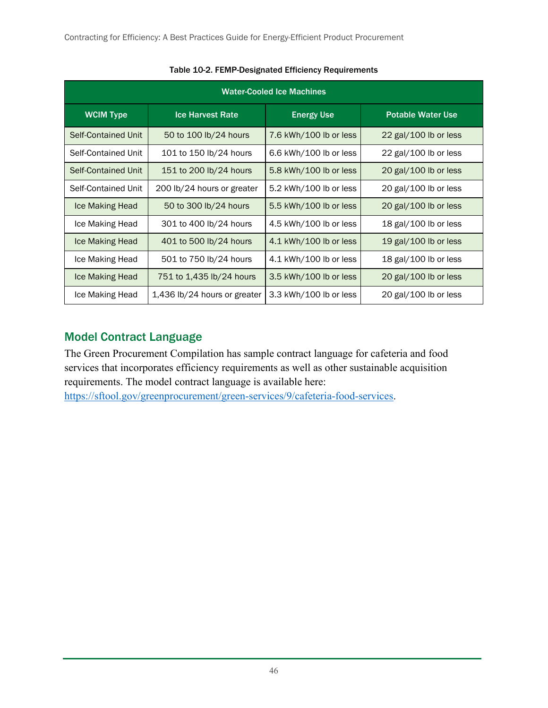<span id="page-54-1"></span>

| <b>Water-Cooled Ice Machines</b> |                              |                        |                                |  |
|----------------------------------|------------------------------|------------------------|--------------------------------|--|
| <b>WCIM Type</b>                 | <b>Ice Harvest Rate</b>      | <b>Energy Use</b>      | <b>Potable Water Use</b>       |  |
| Self-Contained Unit              | 50 to 100 lb/24 hours        | 7.6 kWh/100 lb or less | 22 $\text{gal}/100$ lb or less |  |
| Self-Contained Unit              | 101 to 150 lb/24 hours       | 6.6 kWh/100 lb or less | 22 gal/100 lb or less          |  |
| Self-Contained Unit              | 151 to 200 lb/24 hours       | 5.8 kWh/100 lb or less | 20 gal/100 lb or less          |  |
| Self-Contained Unit              | 200 lb/24 hours or greater   | 5.2 kWh/100 lb or less | 20 gal/100 lb or less          |  |
| Ice Making Head                  | 50 to 300 lb/24 hours        | 5.5 kWh/100 lb or less | 20 gal/100 lb or less          |  |
| Ice Making Head                  | 301 to 400 lb/24 hours       | 4.5 kWh/100 lb or less | 18 gal/100 lb or less          |  |
| Ice Making Head                  | 401 to 500 lb/24 hours       | 4.1 kWh/100 lb or less | 19 gal/100 lb or less          |  |
| Ice Making Head                  | 501 to 750 lb/24 hours       | 4.1 kWh/100 lb or less | 18 gal/100 lb or less          |  |
| Ice Making Head                  | 751 to 1,435 lb/24 hours     | 3.5 kWh/100 lb or less | 20 $\text{gal}/100$ lb or less |  |
| Ice Making Head                  | 1,436 lb/24 hours or greater | 3.3 kWh/100 lb or less | 20 gal/100 lb or less          |  |

#### Table 10-2. FEMP-Designated Efficiency Requirements

### <span id="page-54-0"></span>Model Contract Language

The Green Procurement Compilation has sample contract language for cafeteria and food services that incorporates efficiency requirements as well as other sustainable acquisition requirements. The model contract language is available here:

[https://sftool.gov/greenprocurement/green-services/9/cafeteria-food-services.](https://sftool.gov/greenprocurement/green-services/9/cafeteria-food-services)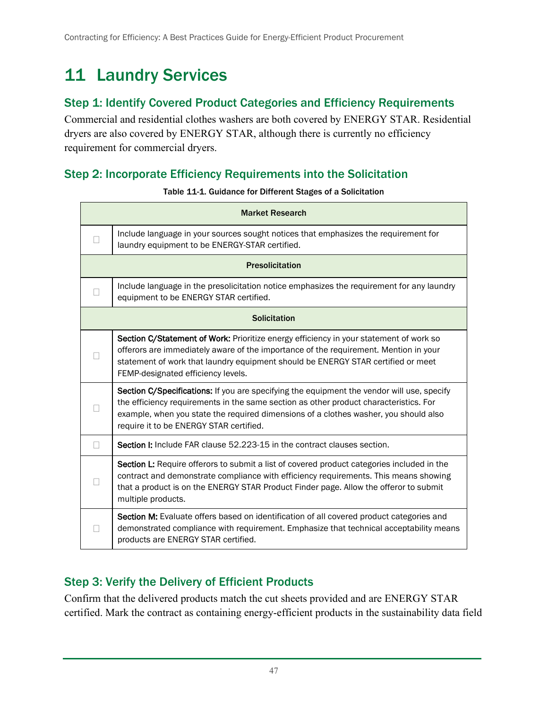## <span id="page-55-0"></span>11 Laundry Services

#### <span id="page-55-1"></span>Step 1: Identify Covered Product Categories and Efficiency Requirements

Commercial and residential clothes washers are both covered by ENERGY STAR. Residential dryers are also covered by ENERGY STAR, although there is currently no efficiency requirement for commercial dryers.

### <span id="page-55-4"></span><span id="page-55-2"></span>Step 2: Incorporate Efficiency Requirements into the Solicitation

|        | <b>Market Research</b>                                                                                                                                                                                                                                                                                                 |
|--------|------------------------------------------------------------------------------------------------------------------------------------------------------------------------------------------------------------------------------------------------------------------------------------------------------------------------|
|        | Include language in your sources sought notices that emphasizes the requirement for<br>laundry equipment to be ENERGY-STAR certified.                                                                                                                                                                                  |
|        | <b>Presolicitation</b>                                                                                                                                                                                                                                                                                                 |
|        | Include language in the presolicitation notice emphasizes the requirement for any laundry<br>equipment to be ENERGY STAR certified.                                                                                                                                                                                    |
|        | <b>Solicitation</b>                                                                                                                                                                                                                                                                                                    |
|        | Section C/Statement of Work: Prioritize energy efficiency in your statement of work so<br>offerors are immediately aware of the importance of the requirement. Mention in your<br>statement of work that laundry equipment should be ENERGY STAR certified or meet<br>FEMP-designated efficiency levels.               |
|        | Section C/Specifications: If you are specifying the equipment the vendor will use, specify<br>the efficiency requirements in the same section as other product characteristics. For<br>example, when you state the required dimensions of a clothes washer, you should also<br>require it to be ENERGY STAR certified. |
| $\Box$ | <b>Section I:</b> Include FAR clause 52.223-15 in the contract clauses section.                                                                                                                                                                                                                                        |
|        | Section L: Require offerors to submit a list of covered product categories included in the<br>contract and demonstrate compliance with efficiency requirements. This means showing<br>that a product is on the ENERGY STAR Product Finder page. Allow the offeror to submit<br>multiple products.                      |
|        | Section M: Evaluate offers based on identification of all covered product categories and<br>demonstrated compliance with requirement. Emphasize that technical acceptability means<br>products are ENERGY STAR certified.                                                                                              |

#### Table 11-1. Guidance for Different Stages of a Solicitation

### <span id="page-55-3"></span>Step 3: Verify the Delivery of Efficient Products

Confirm that the delivered products match the cut sheets provided and are ENERGY STAR certified. Mark the contract as containing energy-efficient products in the sustainability data field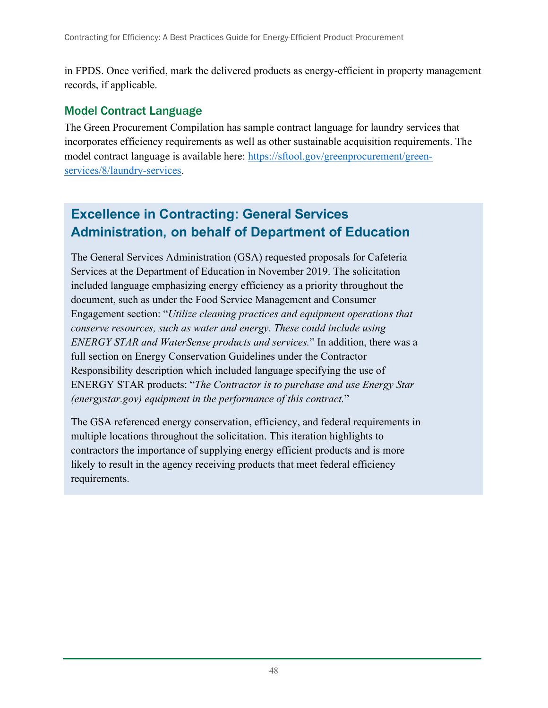in FPDS. Once verified, mark the delivered products as energy-efficient in property management records, if applicable.

#### <span id="page-56-0"></span>Model Contract Language

The Green Procurement Compilation has sample contract language for laundry services that incorporates efficiency requirements as well as other sustainable acquisition requirements. The model contract language is available here: [https://sftool.gov/greenprocurement/green](https://sftool.gov/greenprocurement/green-services/8/laundry-services)[services/8/laundry-services.](https://sftool.gov/greenprocurement/green-services/8/laundry-services)

## **Excellence in Contracting: General Services Administration, on behalf of Department of Education**

The General Services Administration (GSA) requested proposals for Cafeteria Services at the Department of Education in November 2019. The solicitation included language emphasizing energy efficiency as a priority throughout the document, such as under the Food Service Management and Consumer Engagement section: "*Utilize cleaning practices and equipment operations that conserve resources, such as water and energy. These could include using ENERGY STAR and WaterSense products and services.*" In addition, there was a full section on Energy Conservation Guidelines under the Contractor Responsibility description which included language specifying the use of ENERGY STAR products: "*The Contractor is to purchase and use Energy Star (energystar.gov) equipment in the performance of this contract.*"

The GSA referenced energy conservation, efficiency, and federal requirements in multiple locations throughout the solicitation. This iteration highlights to contractors the importance of supplying energy efficient products and is more likely to result in the agency receiving products that meet federal efficiency requirements.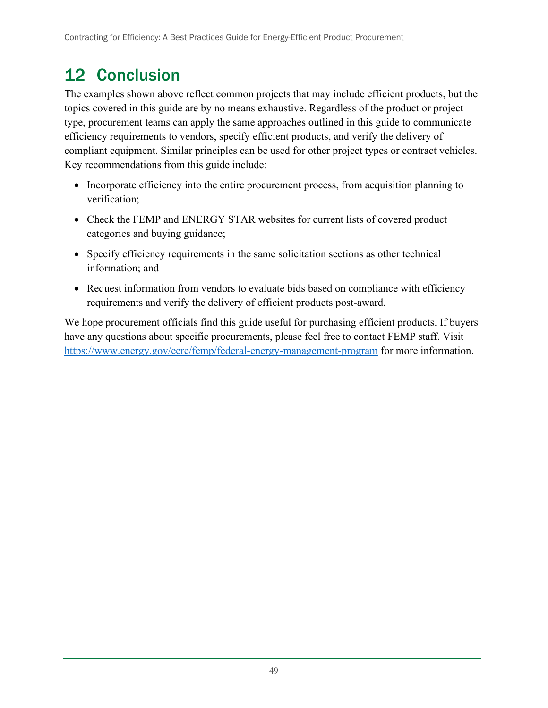## <span id="page-57-0"></span>12 Conclusion

The examples shown above reflect common projects that may include efficient products, but the topics covered in this guide are by no means exhaustive. Regardless of the product or project type, procurement teams can apply the same approaches outlined in this guide to communicate efficiency requirements to vendors, specify efficient products, and verify the delivery of compliant equipment. Similar principles can be used for other project types or contract vehicles. Key recommendations from this guide include:

- Incorporate efficiency into the entire procurement process, from acquisition planning to verification;
- Check the FEMP and ENERGY STAR websites for current lists of covered product categories and buying guidance;
- Specify efficiency requirements in the same solicitation sections as other technical information; and
- Request information from vendors to evaluate bids based on compliance with efficiency requirements and verify the delivery of efficient products post-award.

We hope procurement officials find this guide useful for purchasing efficient products. If buyers have any questions about specific procurements, please feel free to contact FEMP staff. Visit <https://www.energy.gov/eere/femp/federal-energy-management-program> for more information.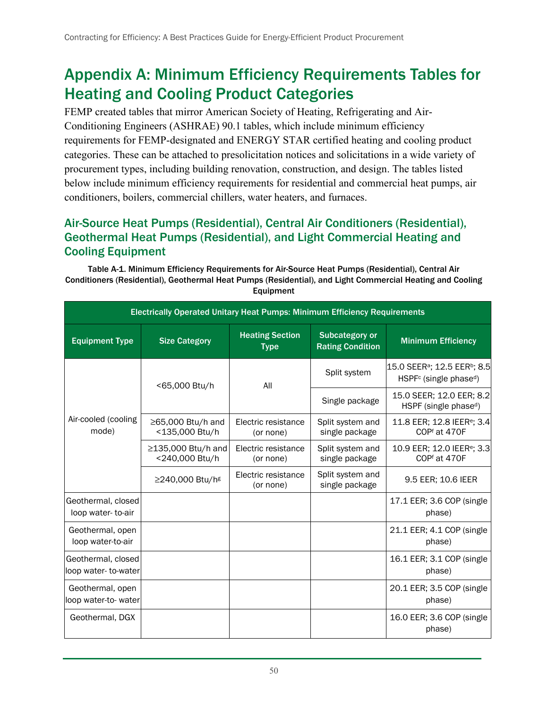## <span id="page-58-0"></span>Appendix A: Minimum Efficiency Requirements Tables for Heating and Cooling Product Categories

FEMP created tables that mirror American Society of Heating, Refrigerating and Air-Conditioning Engineers (ASHRAE) 90.1 tables, which include minimum efficiency requirements for FEMP-designated and ENERGY STAR certified heating and cooling product categories. These can be attached to presolicitation notices and solicitations in a wide variety of procurement types, including building renovation, construction, and design. The tables listed below include minimum efficiency requirements for residential and commercial heat pumps, air conditioners, boilers, commercial chillers, water heaters, and furnaces.

#### <span id="page-58-1"></span>Air-Source Heat Pumps (Residential), Central Air Conditioners (Residential), Geothermal Heat Pumps (Residential), and Light Commercial Heating and Cooling Equipment

<span id="page-58-2"></span>Table A-1. Minimum Efficiency Requirements for Air-Source Heat Pumps (Residential), Central Air Conditioners (Residential), Geothermal Heat Pumps (Residential), and Light Commercial Heating and Cooling Equipment

| Electrically Operated Unitary Heat Pumps: Minimum Efficiency Requirements |                                      |                                       |                                                  |                                                                                                        |  |
|---------------------------------------------------------------------------|--------------------------------------|---------------------------------------|--------------------------------------------------|--------------------------------------------------------------------------------------------------------|--|
| <b>Equipment Type</b>                                                     | <b>Size Category</b>                 | <b>Heating Section</b><br><b>Type</b> | <b>Subcategory or</b><br><b>Rating Condition</b> | <b>Minimum Efficiency</b>                                                                              |  |
| Air-cooled (cooling<br>mode)                                              | <65,000 Btu/h                        | All                                   | Split system                                     | 15.0 SEER <sup>a</sup> ; 12.5 EER <sup>b</sup> ; 8.5<br>HSPF <sup>c</sup> (single phase <sup>d</sup> ) |  |
|                                                                           |                                      |                                       | Single package                                   | 15.0 SEER; 12.0 EER; 8.2<br>HSPF (single phase <sup>d</sup> )                                          |  |
|                                                                           | ≥65,000 Btu/h and<br><135,000 Btu/h  | Electric resistance<br>(or none)      | Split system and<br>single package               | 11.8 EER; 12.8 IEER <sup>e</sup> ; 3.4<br>COPf at 470F                                                 |  |
|                                                                           | ≥135,000 Btu/h and<br><240,000 Btu/h | Electric resistance<br>(or none)      | Split system and<br>single package               | 10.9 EER; 12.0 IEER <sup>e</sup> ; 3.3<br>COPf at 470F                                                 |  |
|                                                                           | ≥240,000 Btu/h <sup>g</sup>          | Electric resistance<br>(or none)      | Split system and<br>single package               | 9.5 EER; 10.6 IEER                                                                                     |  |
| Geothermal, closed<br>loop water-to-air                                   |                                      |                                       |                                                  | 17.1 EER; 3.6 COP (single)<br>phase)                                                                   |  |
| Geothermal, open<br>loop water-to-air                                     |                                      |                                       |                                                  | 21.1 EER; 4.1 COP (single)<br>phase)                                                                   |  |
| Geothermal, closed<br>loop water-to-water                                 |                                      |                                       |                                                  | 16.1 EER; 3.1 COP (single<br>phase)                                                                    |  |
| Geothermal, open<br>loop water-to-water                                   |                                      |                                       |                                                  | 20.1 EER; 3.5 COP (single)<br>phase)                                                                   |  |
| Geothermal, DGX                                                           |                                      |                                       |                                                  | 16.0 EER; 3.6 COP (single)<br>phase)                                                                   |  |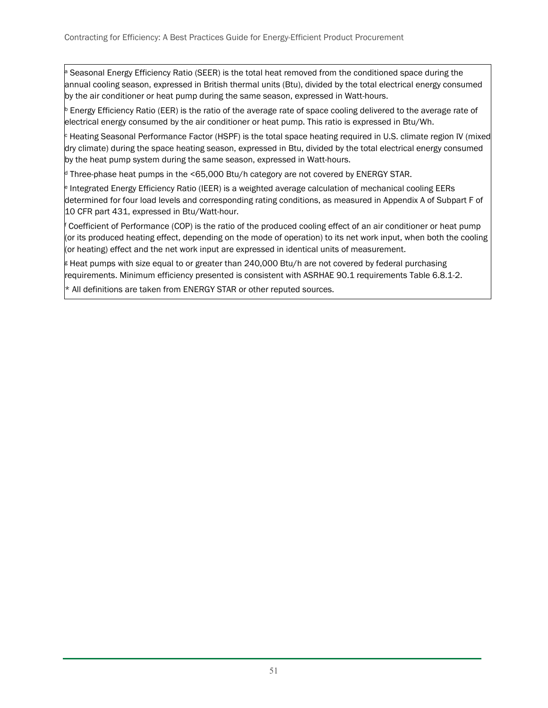Seasonal Energy Efficiency Ratio (SEER) is the total heat removed from the conditioned space during the annual cooling season, expressed in British thermal units (Btu), divided by the total electrical energy consumed by the air conditioner or heat pump during the same season, expressed in Watt-hours.

<sup>b</sup> Energy Efficiency Ratio (EER) is the ratio of the average rate of space cooling delivered to the average rate of electrical energy consumed by the air conditioner or heat pump. This ratio is expressed in Btu/Wh.

<sup>c</sup> Heating Seasonal Performance Factor (HSPF) is the total space heating required in U.S. climate region IV (mixed dry climate) during the space heating season, expressed in Btu, divided by the total electrical energy consumed by the heat pump system during the same season, expressed in Watt-hours.

 $\beta$  Three-phase heat pumps in the <65,000 Btu/h category are not covered by ENERGY STAR.

<sup>e</sup> Integrated Energy Efficiency Ratio (IEER) is a weighted average calculation of mechanical cooling EERs determined for four load levels and corresponding rating conditions, as measured in Appendix A of Subpart F of 10 CFR part 431, expressed in Btu/Watt-hour.

Coefficient of Performance (COP) is the ratio of the produced cooling effect of an air conditioner or heat pump (or its produced heating effect, depending on the mode of operation) to its net work input, when both the cooling (or heating) effect and the net work input are expressed in identical units of measurement.

I Heat pumps with size equal to or greater than 240,000 Btu/h are not covered by federal purchasing requirements. Minimum efficiency presented is consistent with ASRHAE 90.1 requirements Table 6.8.1-2.

\* All definitions are taken from ENERGY STAR or other reputed sources.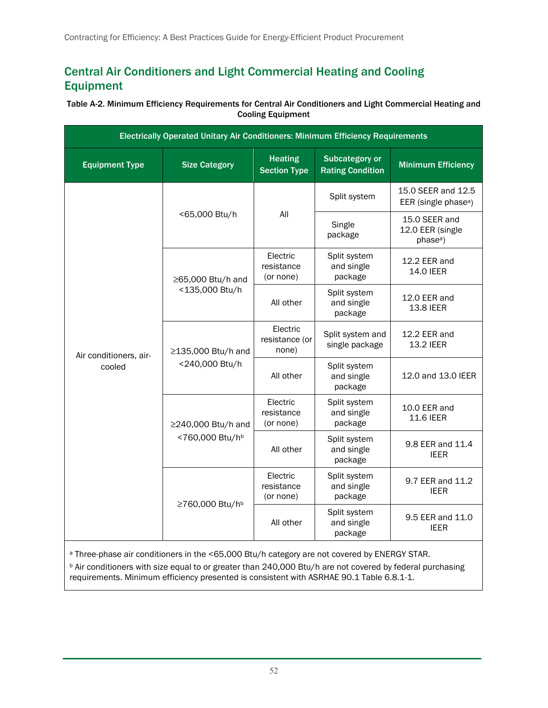### <span id="page-60-0"></span>Central Air Conditioners and Light Commercial Heating and Cooling Equipment

#### <span id="page-60-1"></span>Table A-2. Minimum Efficiency Requirements for Central Air Conditioners and Light Commercial Heating and Cooling Equipment

| Electrically Operated Unitary Air Conditioners: Minimum Efficiency Requirements |                                       |                                       |                                                  |                                                           |
|---------------------------------------------------------------------------------|---------------------------------------|---------------------------------------|--------------------------------------------------|-----------------------------------------------------------|
| <b>Equipment Type</b>                                                           | <b>Size Category</b>                  | <b>Heating</b><br><b>Section Type</b> | <b>Subcategory or</b><br><b>Rating Condition</b> | <b>Minimum Efficiency</b>                                 |
|                                                                                 |                                       | All                                   | Split system                                     | 15.0 SEER and 12.5<br>EER (single phase <sup>a</sup> )    |
|                                                                                 | <65,000 Btu/h                         |                                       | Single<br>package                                | 15.0 SEER and<br>12.0 EER (single<br>phase <sup>a</sup> ) |
|                                                                                 | ≥65,000 Btu/h and                     | Electric<br>resistance<br>(or none)   | Split system<br>and single<br>package            | 12.2 EER and<br><b>14.0 IEER</b>                          |
|                                                                                 | <135,000 Btu/h                        | All other                             | Split system<br>and single<br>package            | 12.0 EER and<br>13.8 IEER                                 |
| Air conditioners, air-                                                          | ≥135,000 Btu/h and<br><240,000 Btu/h  | Electric<br>resistance (or<br>none)   | Split system and<br>single package               | 12.2 EER and<br>13.2 IEER                                 |
| cooled                                                                          |                                       | All other                             | Split system<br>and single<br>package            | 12.0 and 13.0 IEER                                        |
|                                                                                 | ≥240,000 Btu/h and<br><760,000 Btu/hb | Electric<br>resistance<br>(or none)   | Split system<br>and single<br>package            | 10.0 EER and<br><b>11.6 IEER</b>                          |
|                                                                                 |                                       | All other                             | Split system<br>and single<br>package            | 9.8 EER and 11.4<br><b>IEER</b>                           |
|                                                                                 | ≥760,000 Btu/h <sup>b</sup>           | Electric<br>resistance<br>(or none)   | Split system<br>and single<br>package            | 9.7 EER and 11.2<br><b>IEER</b>                           |
|                                                                                 |                                       | All other                             | Split system<br>and single<br>package            | 9.5 EER and 11.0<br><b>IEER</b>                           |

a Three-phase air conditioners in the <65,000 Btu/h category are not covered by ENERGY STAR.

**b** Air conditioners with size equal to or greater than 240,000 Btu/h are not covered by federal purchasing requirements. Minimum efficiency presented is consistent with ASRHAE 90.1 Table 6.8.1-1.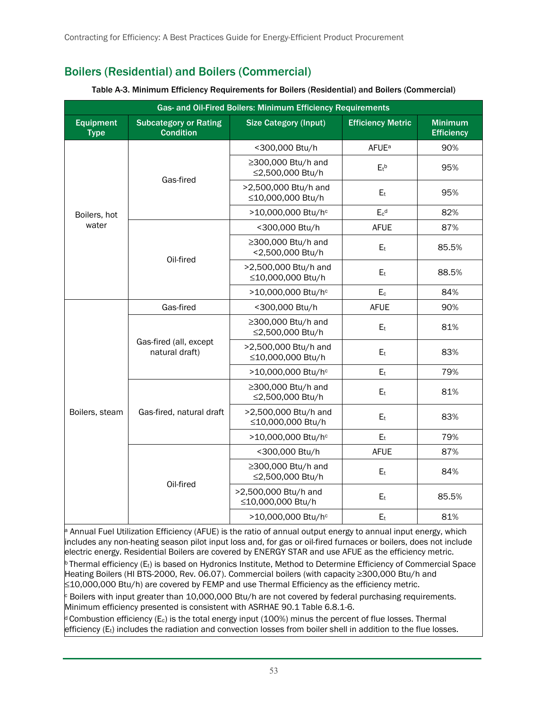## <span id="page-61-0"></span>Boilers (Residential) and Boilers (Commercial)

<span id="page-61-1"></span>

| Gas- and Oil-Fired Boilers: Minimum Efficiency Requirements |                                                  |                                                             |                          |                                     |  |
|-------------------------------------------------------------|--------------------------------------------------|-------------------------------------------------------------|--------------------------|-------------------------------------|--|
| <b>Equipment</b><br><b>Type</b>                             | <b>Subcategory or Rating</b><br><b>Condition</b> | <b>Size Category (Input)</b>                                | <b>Efficiency Metric</b> | <b>Minimum</b><br><b>Efficiency</b> |  |
| Boilers, hot                                                | Gas-fired                                        | <300,000 Btu/h                                              | <b>AFUE</b> <sup>a</sup> | 90%                                 |  |
|                                                             |                                                  | ≥300,000 Btu/h and<br>≤2,500,000 Btu/h                      | $E_t$ <sub>b</sub>       | 95%                                 |  |
|                                                             |                                                  | >2,500,000 Btu/h and<br>≤10,000,000 Btu/h                   | E <sub>t</sub>           | 95%                                 |  |
|                                                             |                                                  | >10,000,000 Btu/hc                                          | $E_c$ <sup>d</sup>       | 82%                                 |  |
| water                                                       |                                                  | <300,000 Btu/h                                              | <b>AFUE</b>              | 87%                                 |  |
|                                                             | Oil-fired                                        | ≥300,000 Btu/h and<br><2,500,000 Btu/h                      | E <sub>t</sub>           | 85.5%                               |  |
|                                                             |                                                  | >2,500,000 Btu/h and<br>≤10,000,000 Btu/h                   | E <sub>t</sub>           | 88.5%                               |  |
|                                                             |                                                  | >10,000,000 Btu/hc                                          | E <sub>c</sub>           | 84%                                 |  |
| Boilers, steam                                              | Gas-fired                                        | <300,000 Btu/h                                              | <b>AFUE</b>              | 90%                                 |  |
|                                                             | Gas-fired (all, except<br>natural draft)         | ≥300,000 Btu/h and<br>≤2,500,000 Btu/h                      | E <sub>t</sub>           | 81%                                 |  |
|                                                             |                                                  | >2,500,000 Btu/h and<br>≤10,000,000 Btu/h                   | E <sub>t</sub>           | 83%                                 |  |
|                                                             |                                                  | >10,000,000 Btu/hc                                          | E <sub>t</sub>           | 79%                                 |  |
|                                                             | Gas-fired, natural draft                         | ≥300,000 Btu/h and<br>≤2,500,000 Btu/h                      | E <sub>t</sub>           | 81%                                 |  |
|                                                             |                                                  | >2,500,000 Btu/h and<br>≤10,000,000 Btu/h                   | E <sub>t</sub>           | 83%                                 |  |
|                                                             |                                                  | >10,000,000 Btu/hc                                          | E <sub>t</sub>           | 79%                                 |  |
|                                                             |                                                  | <300,000 Btu/h                                              | <b>AFUE</b>              | 87%                                 |  |
|                                                             | Oil-fired                                        | ≥300,000 Btu/h and<br>≤2,500,000 Btu/h                      | E <sub>t</sub>           | 84%                                 |  |
|                                                             |                                                  | >2,500,000 Btu/h and<br>E <sub>t</sub><br>≤10,000,000 Btu/h |                          | 85.5%                               |  |
|                                                             |                                                  | >10,000,000 Btu/hc                                          | $E_{t}$                  | 81%                                 |  |

#### Table A-3. Minimum Efficiency Requirements for Boilers (Residential) and Boilers (Commercial)

Annual Fuel Utilization Efficiency (AFUE) is the ratio of annual output energy to annual input energy, which includes any non-heating season pilot input loss and, for gas or oil-fired furnaces or boilers, does not include electric energy. Residential Boilers are covered by ENERGY STAR and use AFUE as the efficiency metric.

Thermal efficiency (E<sub>t</sub>) is based on Hydronics Institute, Method to Determine Efficiency of Commercial Space Heating Boilers (HI BTS-2000, Rev. 06.07). Commercial boilers (with capacity ≥300,000 Btu/h and ≤10,000,000 Btu/h) are covered by FEMP and use Thermal Efficiency as the efficiency metric.

Boilers with input greater than 10,000,000 Btu/h are not covered by federal purchasing requirements. Minimum efficiency presented is consistent with ASRHAE 90.1 Table 6.8.1-6.

Combustion efficiency (E<sub>c</sub>) is the total energy input (100%) minus the percent of flue losses. Thermal efficiency (Et) includes the radiation and convection losses from boiler shell in addition to the flue losses.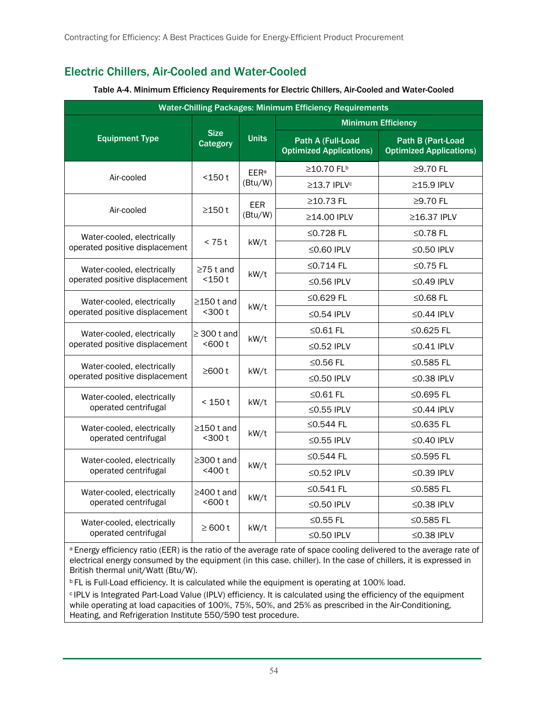## <span id="page-62-0"></span>Electric Chillers, Air-Cooled and Water-Cooled

<span id="page-62-1"></span>

| <b>Water-Chilling Packages: Minimum Efficiency Requirements</b> |                                 |                                   |                                                     |                                                     |  |
|-----------------------------------------------------------------|---------------------------------|-----------------------------------|-----------------------------------------------------|-----------------------------------------------------|--|
|                                                                 |                                 | <b>Units</b>                      | <b>Minimum Efficiency</b>                           |                                                     |  |
| <b>Equipment Type</b>                                           | <b>Size</b><br><b>Category</b>  |                                   | Path A (Full-Load<br><b>Optimized Applications)</b> | Path B (Part-Load<br><b>Optimized Applications)</b> |  |
|                                                                 | $<$ 150 $t$                     | <b>EER<sup>a</sup></b><br>(Btu/W) | ≥10.70 FL <sup>b</sup>                              | $\geq$ 9.70 FL                                      |  |
| Air-cooled                                                      |                                 |                                   | ≥13.7 IPLV <sup>c</sup>                             | ≥15.9 IPLV                                          |  |
|                                                                 | ≥150 t                          | <b>EER</b><br>(Btu/W)             | ≥10.73 FL                                           | ≥9.70 FL                                            |  |
| Air-cooled                                                      |                                 |                                   | ≥14.00 IPLV                                         | ≥16.37 IPLV                                         |  |
| Water-cooled, electrically                                      |                                 | kW/t                              | ≤0.728 FL                                           | ≤0.78 FL                                            |  |
| operated positive displacement                                  | < 75t                           |                                   | ≤0.60 IPLV                                          | $\leq$ 0.50 IPLV                                    |  |
| Water-cooled, electrically                                      | $\geq$ 75 t and                 |                                   | ≤0.714 FL                                           | ≤0.75 FL                                            |  |
| operated positive displacement                                  | $<$ 150 $t$                     | kW/t                              | $\leq$ 0.56 IPLV                                    | $\leq$ 0.49 IPLV                                    |  |
| Water-cooled, electrically                                      | $\geq$ 150 t and<br>$300t$      | kW/t                              | ≤0.629 FL                                           | ≤0.68 $FL$                                          |  |
| operated positive displacement                                  |                                 |                                   | $\leq$ 0.54 IPLV                                    | ≤0.44 IPLV                                          |  |
| Water-cooled, electrically                                      | $\geq$ 300 t and<br>< 600 t     | kW/t                              | $\leq$ 0.61 FL                                      | ≤0.625 FL                                           |  |
| operated positive displacement                                  |                                 |                                   | $\leq$ 0.52 IPLV                                    | $\leq$ 0.41 IPLV                                    |  |
| Water-cooled, electrically                                      | ≥600t                           | kW/t                              | ≤0.56 FL                                            | ≤0.585 FL                                           |  |
| operated positive displacement                                  |                                 |                                   | $\leq$ 0.50 IPLV                                    | $\leq$ 0.38 IPLV                                    |  |
| Water-cooled, electrically                                      | < 150t                          | kW/t                              | $\leq$ 0.61 FL                                      | ≤0.695 FL                                           |  |
| operated centrifugal                                            |                                 |                                   | ≤0.55 IPLV                                          | $\leq$ 0.44 IPLV                                    |  |
| Water-cooled, electrically                                      | $\geq$ 150 t and<br>$300t$      | kW/t                              | ≤0.544 FL                                           | $\leq$ 0.635 FL                                     |  |
| operated centrifugal                                            |                                 |                                   | $\leq$ 0.55 IPLV                                    | $\leq$ 0.40 IPLV                                    |  |
| Water-cooled, electrically                                      | $\geq$ 300 t and<br>$<$ 400 $t$ | kW/t                              | ≤0.544 FL                                           | ≤0.595 FL                                           |  |
| operated centrifugal                                            |                                 |                                   | $\leq$ 0.52 IPLV                                    | $\leq$ 0.39 IPLV                                    |  |
| Water-cooled, electrically                                      | $\geq$ 400 t and<br>$600t$      | kW/t                              | ≤0.541 FL                                           | ≤0.585 FL                                           |  |
| operated centrifugal                                            |                                 |                                   | $\leq$ 0.50 IPLV                                    | $\leq$ 0.38 IPLV                                    |  |
| Water-cooled, electrically                                      | $\geq 600$ t                    | kW/t                              | ≤0.55 FL                                            | ≤0.585 FL                                           |  |
| operated centrifugal                                            |                                 |                                   | $\leq$ 0.50 IPLV                                    | $\leq$ 0.38 IPLV                                    |  |

#### Table A-4. Minimum Efficiency Requirements for Electric Chillers, Air-Cooled and Water-Cooled

<sup>a</sup> Energy efficiency ratio (EER) is the ratio of the average rate of space cooling delivered to the average rate of electrical energy consumed by the equipment (in this case. chiller). In the case of chillers, it is expressed in British thermal unit/Watt (Btu/W).

**b FL is Full-Load efficiency. It is calculated while the equipment is operating at 100% load.** 

<sup>c</sup> IPLV is Integrated Part-Load Value (IPLV) efficiency. It is calculated using the efficiency of the equipment while operating at load capacities of 100%, 75%, 50%, and 25% as prescribed in the Air-Conditioning, Heating, and Refrigeration Institute 550/590 test procedure.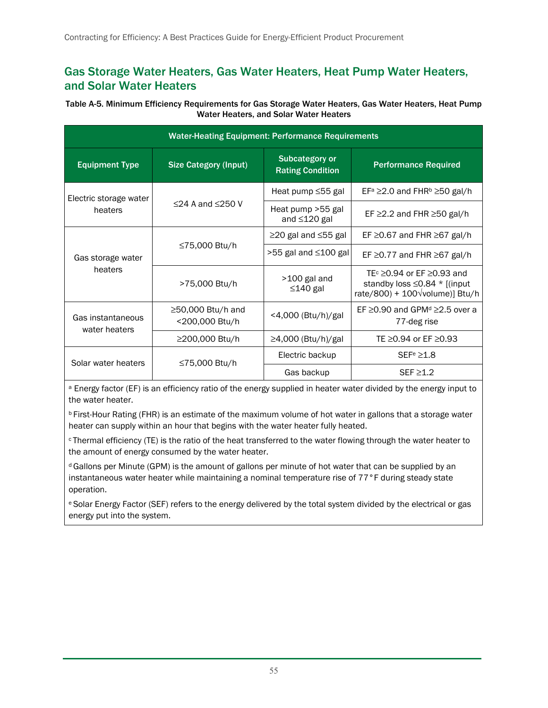#### <span id="page-63-0"></span>Gas Storage Water Heaters, Gas Water Heaters, Heat Pump Water Heaters, and Solar Water Heaters

#### <span id="page-63-1"></span>Table A-5. Minimum Efficiency Requirements for Gas Storage Water Heaters, Gas Water Heaters, Heat Pump Water Heaters, and Solar Water Heaters

| <b>Water-Heating Equipment: Performance Requirements</b> |                                     |                                           |                                                                                                                                      |  |
|----------------------------------------------------------|-------------------------------------|-------------------------------------------|--------------------------------------------------------------------------------------------------------------------------------------|--|
| <b>Equipment Type</b>                                    | <b>Size Category (Input)</b>        | Subcategory or<br><b>Rating Condition</b> | <b>Performance Required</b>                                                                                                          |  |
| Electric storage water                                   |                                     | Heat pump ≤55 gal                         | $EF^a \geq 2.0$ and $FHR^b \geq 50$ gal/h                                                                                            |  |
| heaters                                                  | $\leq$ 24 A and $\leq$ 250 V        | Heat pump > 55 gal<br>and ≤120 gal        | EF $\geq$ 2.2 and FHR $\geq$ 50 gal/h                                                                                                |  |
|                                                          |                                     | $\geq$ 20 gal and $\leq$ 55 gal           | EF $\geq$ 0.67 and FHR $\geq$ 67 gal/h                                                                                               |  |
| Gas storage water<br>heaters                             | ≤75,000 Btu/h                       | >55 gal and ≤100 gal                      | EF $\geq$ 0.77 and FHR $\geq$ 67 gal/h                                                                                               |  |
|                                                          | >75,000 Btu/h                       | $>100$ gal and<br>$\leq$ 140 gal          | TE $\text{C}$ $\geq$ 0.94 or EF $\geq$ 0.93 and<br>standby loss $\leq$ 0.84 * [(input<br>rate/800) + $100\sqrt{\text{volume}}$ Btu/h |  |
| Gas instantaneous<br>water heaters                       | ≥50,000 Btu/h and<br><200,000 Btu/h | <4,000 (Btu/h)/gal                        | EF $\geq$ 0.90 and GPM <sup>d</sup> $\geq$ 2.5 over a<br>77-deg rise                                                                 |  |
|                                                          | ≥200,000 Btu/h                      | $\geq$ 4,000 (Btu/h)/gal                  | TE ≥0.94 or EF ≥0.93                                                                                                                 |  |
| Solar water heaters                                      | ≤75,000 Btu/h                       | Electric backup                           | SEFe > 1.8                                                                                                                           |  |
|                                                          |                                     | Gas backup                                | $SEF \ge 1.2$                                                                                                                        |  |

a Energy factor (EF) is an efficiency ratio of the energy supplied in heater water divided by the energy input to the water heater.

b First-Hour Rating (FHR) is an estimate of the maximum volume of hot water in gallons that a storage water heater can supply within an hour that begins with the water heater fully heated.

c Thermal efficiency (TE) is the ratio of the heat transferred to the water flowing through the water heater to the amount of energy consumed by the water heater.

d Gallons per Minute (GPM) is the amount of gallons per minute of hot water that can be supplied by an instantaneous water heater while maintaining a nominal temperature rise of 77°F during steady state operation.

e Solar Energy Factor (SEF) refers to the energy delivered by the total system divided by the electrical or gas energy put into the system.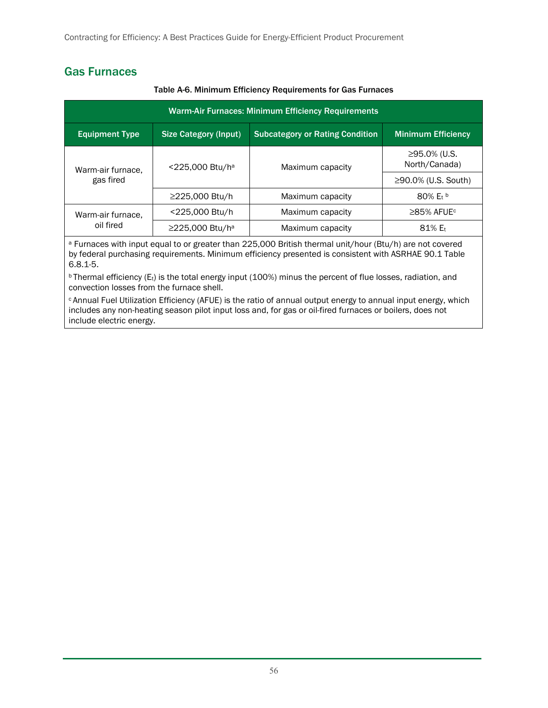### <span id="page-64-0"></span>Gas Furnaces

<span id="page-64-1"></span>

| Warm-Air Furnaces: Minimum Efficiency Requirements |                              |                                        |                               |  |
|----------------------------------------------------|------------------------------|----------------------------------------|-------------------------------|--|
| <b>Equipment Type</b>                              | <b>Size Category (Input)</b> | <b>Subcategory or Rating Condition</b> | <b>Minimum Efficiency</b>     |  |
| Warm-air furnace,<br>gas fired                     | <225,000 Btu/ha              | Maximum capacity                       | ≥95.0% (U.S.<br>North/Canada) |  |
|                                                    |                              |                                        | ≥90.0% (U.S. South)           |  |
|                                                    | ≥225,000 Btu/h               | Maximum capacity                       | $80\%$ E <sub>t</sub> b       |  |
| Warm-air furnace,<br>oil fired                     | <225,000 Btu/h               | Maximum capacity                       | $\geq$ 85% AFUE <sup>c</sup>  |  |
|                                                    | ≥225,000 Btu/h <sup>a</sup>  | Maximum capacity                       | $81\%$ E <sub>t</sub>         |  |

#### Table A-6. Minimum Efficiency Requirements for Gas Furnaces

a Furnaces with input equal to or greater than 225,000 British thermal unit/hour (Btu/h) are not covered by federal purchasing requirements. Minimum efficiency presented is consistent with ASRHAE 90.1 Table 6.8.1-5.

**b Thermal efficiency (Et) is the total energy input (100%) minus the percent of flue losses, radiation, and** convection losses from the furnace shell.

c Annual Fuel Utilization Efficiency (AFUE) is the ratio of annual output energy to annual input energy, which includes any non-heating season pilot input loss and, for gas or oil-fired furnaces or boilers, does not include electric energy.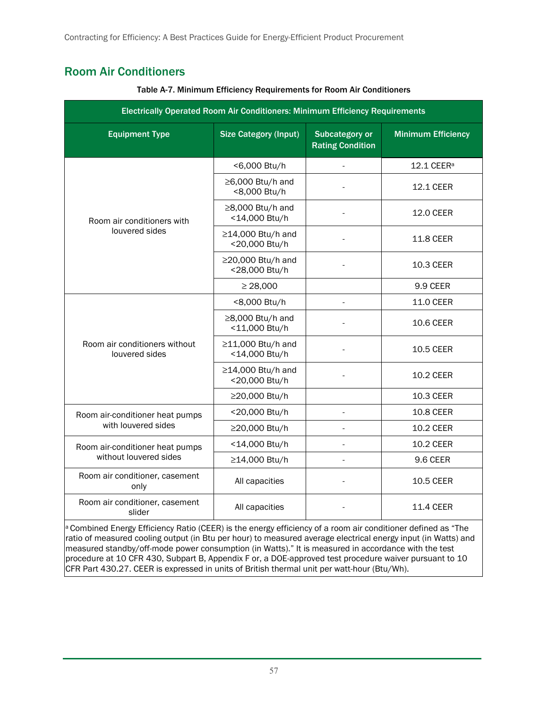## <span id="page-65-1"></span><span id="page-65-0"></span>Room Air Conditioners

| Electrically Operated Room Air Conditioners: Minimum Efficiency Requirements |                                        |                                                  |                           |  |  |
|------------------------------------------------------------------------------|----------------------------------------|--------------------------------------------------|---------------------------|--|--|
| <b>Equipment Type</b>                                                        | <b>Size Category (Input)</b>           | <b>Subcategory or</b><br><b>Rating Condition</b> | <b>Minimum Efficiency</b> |  |  |
|                                                                              | <6,000 Btu/h                           |                                                  | 12.1 CEER <sup>a</sup>    |  |  |
|                                                                              | $\geq$ 6,000 Btu/h and<br><8,000 Btu/h |                                                  | 12.1 CEER                 |  |  |
| Room air conditioners with                                                   | ≥8,000 Btu/h and<br><14,000 Btu/h      |                                                  | 12.0 CEER                 |  |  |
| louvered sides                                                               | ≥14,000 Btu/h and<br><20,000 Btu/h     |                                                  | <b>11.8 CEER</b>          |  |  |
|                                                                              | ≥20,000 Btu/h and<br><28,000 Btu/h     |                                                  | 10.3 CEER                 |  |  |
|                                                                              | $\geq$ 28,000                          |                                                  | 9.9 CEER                  |  |  |
|                                                                              | <8,000 Btu/h                           |                                                  | 11.0 CEER                 |  |  |
|                                                                              | ≥8,000 Btu/h and<br><11,000 Btu/h      |                                                  | 10.6 CEER                 |  |  |
| Room air conditioners without<br>louvered sides                              | ≥11,000 Btu/h and<br><14,000 Btu/h     |                                                  | <b>10.5 CEER</b>          |  |  |
|                                                                              | ≥14,000 Btu/h and<br><20,000 Btu/h     |                                                  | <b>10.2 CEER</b>          |  |  |
|                                                                              | ≥20,000 Btu/h                          |                                                  | 10.3 CEER                 |  |  |
| Room air-conditioner heat pumps                                              | <20,000 Btu/h                          |                                                  | 10.8 CEER                 |  |  |
| with louvered sides                                                          | ≥20,000 Btu/h                          |                                                  | 10.2 CEER                 |  |  |
| Room air-conditioner heat pumps                                              | <14,000 Btu/h                          |                                                  | 10.2 CEER                 |  |  |
| without louvered sides                                                       | ≥14,000 Btu/h                          |                                                  | 9.6 CEER                  |  |  |
| Room air conditioner, casement<br>only                                       | All capacities                         |                                                  | 10.5 CEER                 |  |  |
| Room air conditioner, casement<br>slider                                     | All capacities                         |                                                  | <b>11.4 CEER</b>          |  |  |

Table A-7. Minimum Efficiency Requirements for Room Air Conditioners

a Combined Energy Efficiency Ratio (CEER) is the energy efficiency of a room air conditioner defined as "The ratio of measured cooling output (in Btu per hour) to measured average electrical energy input (in Watts) and measured standby/off-mode power consumption (in Watts)." It is measured in accordance with the test procedure at 10 CFR 430, Subpart B, Appendix F or, a DOE-approved test procedure waiver pursuant to 10 CFR Part 430.27. CEER is expressed in units of British thermal unit per watt-hour (Btu/Wh).